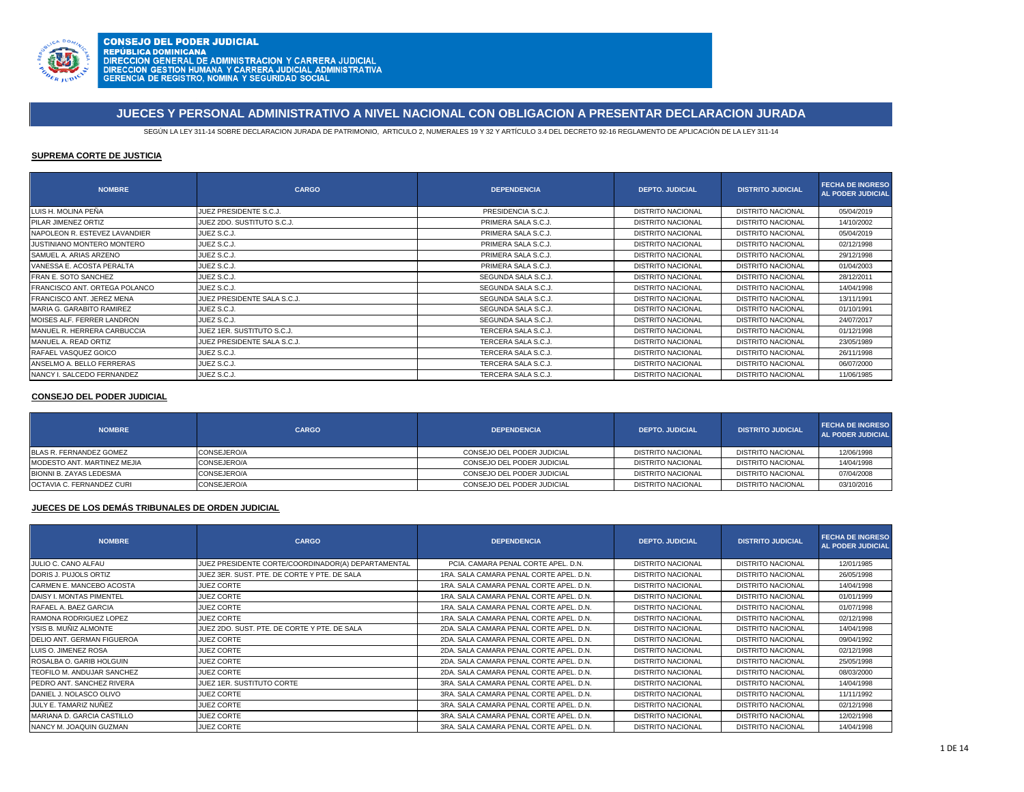

**CONSEJO DEL PODER JUDICIAL CONSEJO DEL PODER JODICIAL<br>REPÚBLICA DOMINICANA<br>DIRECCION GENERAL DE ADMINISTRACION Y CARRERA JUDICIAL<br>DIRECCION GESTION HUMANA Y CARRERA JUDICIAL ADMINISTRATIVA<br>GERENCIA DE REGISTRO, NOMINA Y SEGURIDAD SOCIAL** 

# **JUECES Y PERSONAL ADMINISTRATIVO A NIVEL NACIONAL CON OBLIGACION A PRESENTAR DECLARACION JURADA**

SEGÚN LA LEY 311-14 SOBRE DECLARACION JURADA DE PATRIMONIO, ARTICULO 2, NUMERALES 19 Y 32 Y ARTÍCULO 3.4 DEL DECRETO 92-16 REGLAMENTO DE APLICACIÓN DE LA LEY 311-14

### **SUPREMA CORTE DE JUSTICIA**

| <b>NOMBRE</b>                 | <b>CARGO</b>                | <b>DEPENDENCIA</b>  | <b>DEPTO, JUDICIAL</b>   | <b>DISTRITO JUDICIAL</b> | <b>FECHA DE INGRESO</b><br><b>AL PODER JUDICIAL</b> |
|-------------------------------|-----------------------------|---------------------|--------------------------|--------------------------|-----------------------------------------------------|
| LUIS H. MOLINA PEÑA           | JUEZ PRESIDENTE S.C.J.      | PRESIDENCIA S.C.J.  | <b>DISTRITO NACIONAL</b> | <b>DISTRITO NACIONAL</b> | 05/04/2019                                          |
| PILAR JIMENEZ ORTIZ           | JUEZ 2DO, SUSTITUTO S.C.J.  | PRIMERA SALA S.C.J. | <b>DISTRITO NACIONAL</b> | <b>DISTRITO NACIONAL</b> | 14/10/2002                                          |
| NAPOLEON R. ESTEVEZ LAVANDIER | JUEZ S.C.J.                 | PRIMERA SALA S.C.J. | <b>DISTRITO NACIONAL</b> | <b>DISTRITO NACIONAL</b> | 05/04/2019                                          |
| JUSTINIANO MONTERO MONTERO    | JUEZ S.C.J.                 | PRIMERA SALA S.C.J. | <b>DISTRITO NACIONAL</b> | <b>DISTRITO NACIONAL</b> | 02/12/1998                                          |
| SAMUEL A. ARIAS ARZENO        | JUEZ S.C.J.                 | PRIMERA SALA S.C.J. | <b>DISTRITO NACIONAL</b> | <b>DISTRITO NACIONAL</b> | 29/12/1998                                          |
| VANESSA E. ACOSTA PERALTA     | JUEZ S.C.J.                 | PRIMERA SALA S.C.J. | <b>DISTRITO NACIONAL</b> | <b>DISTRITO NACIONAL</b> | 01/04/2003                                          |
| <b>FRAN E. SOTO SANCHEZ</b>   | JUEZ S.C.J.                 | SEGUNDA SALA S.C.J. | <b>DISTRITO NACIONAL</b> | <b>DISTRITO NACIONAL</b> | 28/12/2011                                          |
| FRANCISCO ANT. ORTEGA POLANCO | JUEZ S.C.J.                 | SEGUNDA SALA S.C.J. | <b>DISTRITO NACIONAL</b> | <b>DISTRITO NACIONAL</b> | 14/04/1998                                          |
| FRANCISCO ANT. JEREZ MENA     | JUEZ PRESIDENTE SALA S.C.J. | SEGUNDA SALA S.C.J. | <b>DISTRITO NACIONAL</b> | <b>DISTRITO NACIONAL</b> | 13/11/1991                                          |
| MARIA G. GARABITO RAMIREZ     | JUEZ S.C.J.                 | SEGUNDA SALA S.C.J. | <b>DISTRITO NACIONAL</b> | <b>DISTRITO NACIONAL</b> | 01/10/1991                                          |
| MOISES ALF. FERRER LANDRON    | JUEZ S.C.J.                 | SEGUNDA SALA S.C.J. | <b>DISTRITO NACIONAL</b> | <b>DISTRITO NACIONAL</b> | 24/07/2017                                          |
| MANUEL R. HERRERA CARBUCCIA   | JUEZ 1ER. SUSTITUTO S.C.J.  | TERCERA SALA S.C.J. | <b>DISTRITO NACIONAL</b> | <b>DISTRITO NACIONAL</b> | 01/12/1998                                          |
| MANUEL A. READ ORTIZ          | JUEZ PRESIDENTE SALA S.C.J. | TERCERA SALA S.C.J. | <b>DISTRITO NACIONAL</b> | <b>DISTRITO NACIONAL</b> | 23/05/1989                                          |
| RAFAEL VASQUEZ GOICO          | JUEZ S.C.J.                 | TERCERA SALA S.C.J. | <b>DISTRITO NACIONAL</b> | <b>DISTRITO NACIONAL</b> | 26/11/1998                                          |
| ANSELMO A. BELLO FERRERAS     | JUEZ S.C.J.                 | TERCERA SALA S.C.J. | <b>DISTRITO NACIONAL</b> | <b>DISTRITO NACIONAL</b> | 06/07/2000                                          |
| NANCY I. SALCEDO FERNANDEZ    | JUEZ S.C.J.                 | TERCERA SALA S.C.J. | <b>DISTRITO NACIONAL</b> | <b>DISTRITO NACIONAL</b> | 11/06/1985                                          |

### **CONSEJO DEL PODER JUDICIAL**

| <b>NOMBRE</b>                     | <b>CARGO</b> | <b>DEPENDENCIA</b>         | <b>DEPTO, JUDICIAL</b>   | <b>DISTRITO JUDICIAL</b> | <b>FECHA DE INGRESO</b><br>AL PODER JUDICIAL |
|-----------------------------------|--------------|----------------------------|--------------------------|--------------------------|----------------------------------------------|
| BLAS R. FERNANDEZ GOMEZ           | CONSEJERO/A  | CONSEJO DEL PODER JUDICIAL | <b>DISTRITO NACIONAL</b> | <b>DISTRITO NACIONAL</b> | 12/06/1998                                   |
| MODESTO ANT. MARTINEZ MEJIA       | CONSEJERO/A  | CONSEJO DEL PODER JUDICIAL | <b>DISTRITO NACIONAL</b> | <b>DISTRITO NACIONAL</b> | 14/04/1998                                   |
| BIONNI B. ZAYAS LEDESMA           | CONSEJERO/A  | CONSEJO DEL PODER JUDICIAL | DISTRITO NACIONAL        | DISTRITO NACIONAL        | 07/04/2008                                   |
| <b>IOCTAVIA C. FERNANDEZ CURI</b> | CONSEJERO/A  | CONSEJO DEL PODER JUDICIAL | <b>DISTRITO NACIONAL</b> | <b>DISTRITO NACIONAL</b> | 03/10/2016                                   |

### **JUECES DE LOS DEMÁS TRIBUNALES DE ORDEN JUDICIAL**

| <b>NOMBRE</b>                     | <b>CARGO</b>                                       | <b>DEPENDENCIA</b>                      | <b>DEPTO, JUDICIAL</b>   | <b>DISTRITO JUDICIAL</b> | <b>FECHA DE INGRESO</b><br><b>AL PODER JUDICIAL</b> |
|-----------------------------------|----------------------------------------------------|-----------------------------------------|--------------------------|--------------------------|-----------------------------------------------------|
| JULIO C. CANO ALFAU               | JUEZ PRESIDENTE CORTE/COORDINADOR(A) DEPARTAMENTAL | PCIA, CAMARA PENAL CORTE APEL, D.N.     | <b>DISTRITO NACIONAL</b> | DISTRITO NACIONAL        | 12/01/1985                                          |
| DORIS J. PUJOLS ORTIZ             | JUEZ 3ER, SUST, PTE, DE CORTE Y PTE, DE SALA       | 1RA, SALA CAMARA PENAL CORTE APEL, D.N. | <b>DISTRITO NACIONAL</b> | <b>DISTRITO NACIONAL</b> | 26/05/1998                                          |
| CARMEN E. MANCEBO ACOSTA          | JUEZ CORTE                                         | 1RA, SALA CAMARA PENAL CORTE APEL, D.N. | <b>DISTRITO NACIONAL</b> | <b>DISTRITO NACIONAL</b> | 14/04/1998                                          |
| DAISY I. MONTAS PIMENTEL          | JUEZ CORTE                                         | 1RA, SALA CAMARA PENAL CORTE APEL, D.N. | <b>DISTRITO NACIONAL</b> | DISTRITO NACIONAL        | 01/01/1999                                          |
| RAFAEL A. BAEZ GARCIA             | JUEZ CORTE                                         | 1RA, SALA CAMARA PENAL CORTE APEL, D.N. | <b>DISTRITO NACIONAL</b> | DISTRITO NACIONAL        | 01/07/1998                                          |
| RAMONA RODRIGUEZ LOPEZ            | JUEZ CORTE                                         | 1RA, SALA CAMARA PENAL CORTE APEL, D.N. | <b>DISTRITO NACIONAL</b> | DISTRITO NACIONAL        | 02/12/1998                                          |
| YSIS B. MUÑIZ ALMONTE             | JUEZ 2DO, SUST, PTE, DE CORTE Y PTE, DE SALA       | 2DA, SALA CAMARA PENAL CORTE APEL, D.N. | <b>DISTRITO NACIONAL</b> | DISTRITO NACIONAL        | 14/04/1998                                          |
| <b>DELIO ANT. GERMAN FIGUEROA</b> | JUEZ CORTE                                         | 2DA, SALA CAMARA PENAL CORTE APEL, D.N. | <b>DISTRITO NACIONAL</b> | <b>DISTRITO NACIONAL</b> | 09/04/1992                                          |
| LUIS O. JIMENEZ ROSA              | <b>JUEZ CORTE</b>                                  | 2DA, SALA CAMARA PENAL CORTE APEL, D.N. | <b>DISTRITO NACIONAL</b> | <b>DISTRITO NACIONAL</b> | 02/12/1998                                          |
| ROSALBA O. GARIB HOLGUIN          | JUEZ CORTE                                         | 2DA, SALA CAMARA PENAL CORTE APEL, D.N. | <b>DISTRITO NACIONAL</b> | <b>DISTRITO NACIONAL</b> | 25/05/1998                                          |
| TEOFILO M. ANDUJAR SANCHEZ        | JUEZ CORTE                                         | 2DA, SALA CAMARA PENAL CORTE APEL, D.N. | <b>DISTRITO NACIONAL</b> | <b>DISTRITO NACIONAL</b> | 08/03/2000                                          |
| PEDRO ANT. SANCHEZ RIVERA         | JUEZ 1ER. SUSTITUTO CORTE                          | 3RA, SALA CAMARA PENAL CORTE APEL, D.N. | <b>DISTRITO NACIONAL</b> | <b>DISTRITO NACIONAL</b> | 14/04/1998                                          |
| DANIEL J. NOLASCO OLIVO           | JUEZ CORTE                                         | 3RA, SALA CAMARA PENAL CORTE APEL, D.N. | <b>DISTRITO NACIONAL</b> | <b>DISTRITO NACIONAL</b> | 11/11/1992                                          |
| JULY E. TAMARIZ NUÑEZ             | <b>JUEZ CORTE</b>                                  | 3RA, SALA CAMARA PENAL CORTE APEL, D.N. | <b>DISTRITO NACIONAL</b> | DISTRITO NACIONAL        | 02/12/1998                                          |
| MARIANA D. GARCIA CASTILLO        | JUEZ CORTE                                         | 3RA, SALA CAMARA PENAL CORTE APEL, D.N. | <b>DISTRITO NACIONAL</b> | <b>DISTRITO NACIONAL</b> | 12/02/1998                                          |
| NANCY M. JOAQUIN GUZMAN           | JUEZ CORTE                                         | 3RA, SALA CAMARA PENAL CORTE APEL, D.N. | <b>DISTRITO NACIONAL</b> | <b>DISTRITO NACIONAL</b> | 14/04/1998                                          |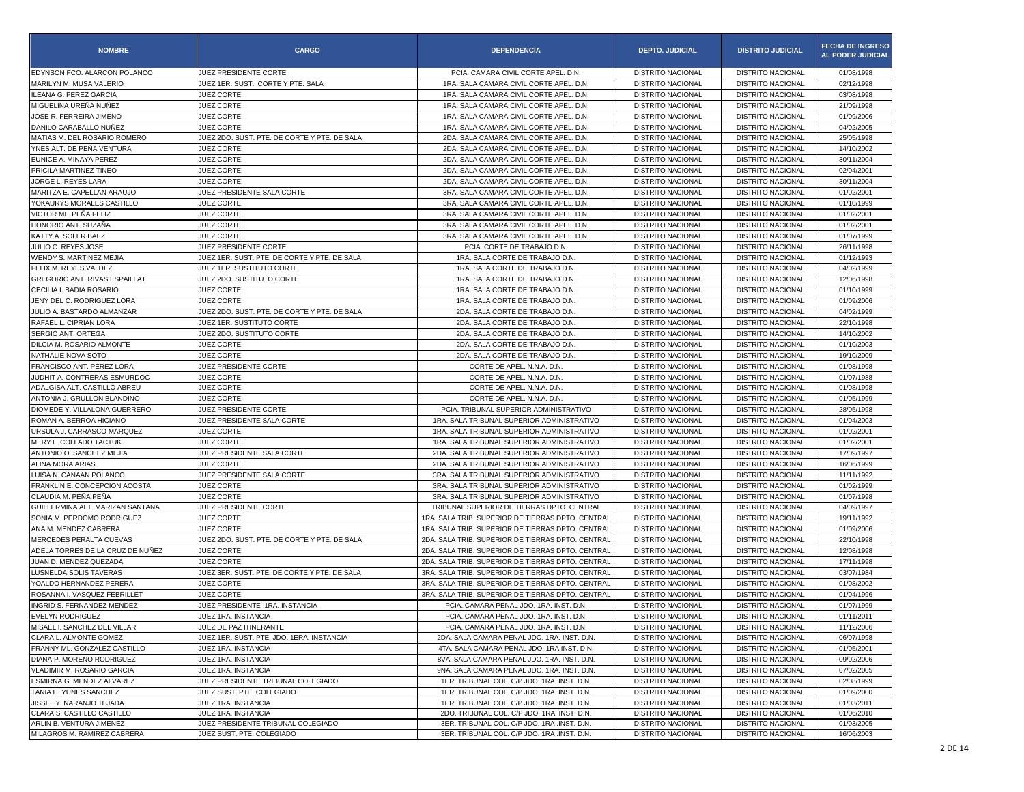| <b>NOMBRE</b>                    | <b>CARGO</b>                                                    | <b>DEPENDENCIA</b>                                | <b>DEPTO. JUDICIAL</b>   | <b>DISTRITO JUDICIAL</b> | <b>FECHA DE INGRESO</b><br><b>AL PODER JUDICIAL</b> |
|----------------------------------|-----------------------------------------------------------------|---------------------------------------------------|--------------------------|--------------------------|-----------------------------------------------------|
| EDYNSON FCO. ALARCON POLANCO     | JUEZ PRESIDENTE CORTE                                           | PCIA, CAMARA CIVIL CORTE APEL, D.N.               | <b>DISTRITO NACIONAL</b> | DISTRITO NACIONAL        | 01/08/1998                                          |
| MARILYN M. MUSA VALERIO          | JUEZ 1ER. SUST. CORTE Y PTE. SALA                               | 1RA. SALA CAMARA CIVIL CORTE APEL. D.N.           | DISTRITO NACIONAL        | <b>DISTRITO NACIONAL</b> | 02/12/1998                                          |
| ILEANA G. PEREZ GARCIA           | JUEZ CORTE                                                      | 1RA. SALA CAMARA CIVIL CORTE APEL. D.N.           | <b>DISTRITO NACIONAL</b> | DISTRITO NACIONAL        | 03/08/1998                                          |
| MIGUELINA UREÑA NUÑEZ            | <b>JUEZ CORTE</b>                                               | 1RA. SALA CAMARA CIVIL CORTE APEL. D.N            | <b>DISTRITO NACIONAL</b> | <b>DISTRITO NACIONAL</b> | 21/09/1998                                          |
| JOSE R. FERREIRA JIMENO          | <b>JUEZ CORTE</b>                                               | 1RA. SALA CAMARA CIVIL CORTE APEL. D.N.           | <b>DISTRITO NACIONAL</b> | <b>DISTRITO NACIONAL</b> | 01/09/2006                                          |
| DANILO CARABALLO NUÑEZ           | <b>JUEZ CORTE</b>                                               | 1RA. SALA CAMARA CIVIL CORTE APEL. D.N.           | <b>DISTRITO NACIONAL</b> | <b>DISTRITO NACIONAL</b> | 04/02/2005                                          |
| MATIAS M. DEL ROSARIO ROMERO     | JUEZ 2DO. SUST. PTE. DE CORTE Y PTE. DE SALA                    | 2DA. SALA CAMARA CIVIL CORTE APEL. D.N.           | DISTRITO NACIONAL        | <b>DISTRITO NACIONAL</b> | 25/05/1998                                          |
| YNES ALT. DE PEÑA VENTURA        | <b>JUEZ CORTE</b>                                               | 2DA. SALA CAMARA CIVIL CORTE APEL. D.N.           | <b>DISTRITO NACIONAL</b> | DISTRITO NACIONAL        | 14/10/2002                                          |
| EUNICE A. MINAYA PEREZ           | <b>JUEZ CORTE</b>                                               | 2DA. SALA CAMARA CIVIL CORTE APEL. D.N            | <b>DISTRITO NACIONAL</b> | <b>DISTRITO NACIONAL</b> | 30/11/2004                                          |
| PRICILA MARTINEZ TINEO           | JUEZ CORTE                                                      | 2DA. SALA CAMARA CIVIL CORTE APEL. D.N.           | <b>DISTRITO NACIONAL</b> | <b>DISTRITO NACIONAL</b> | 02/04/2001                                          |
| JORGE L. REYES LARA              | <b>JUEZ CORTE</b>                                               | 2DA. SALA CAMARA CIVIL CORTE APEL. D.N.           | <b>DISTRITO NACIONAL</b> | <b>DISTRITO NACIONAL</b> | 30/11/2004                                          |
| MARITZA E. CAPELLAN ARAUJO       | JUEZ PRESIDENTE SALA CORTE                                      | 3RA. SALA CAMARA CIVIL CORTE APEL. D.N.           | DISTRITO NACIONAL        | <b>DISTRITO NACIONAL</b> | 01/02/2001                                          |
| YOKAURYS MORALES CASTILLO        | JUEZ CORTE                                                      | 3RA. SALA CAMARA CIVIL CORTE APEL. D.N.           | <b>DISTRITO NACIONAL</b> | DISTRITO NACIONAL        | 01/10/1999                                          |
| VICTOR ML. PEÑA FELIZ            | <b>JUEZ CORTE</b>                                               | 3RA, SALA CAMARA CIVIL CORTE APEL, D.N.           | <b>DISTRITO NACIONAL</b> | <b>DISTRITO NACIONAL</b> | 01/02/2001                                          |
| HONORIO ANT. SUZAÑA              | <b>JUEZ CORTE</b>                                               | 3RA. SALA CAMARA CIVIL CORTE APEL. D.N.           | <b>DISTRITO NACIONAL</b> | <b>DISTRITO NACIONAL</b> | 01/02/2001                                          |
| KATTY A. SOLER BAEZ              | <b>JUEZ CORTE</b>                                               | 3RA. SALA CAMARA CIVIL CORTE APEL. D.N.           | <b>DISTRITO NACIONAL</b> | <b>DISTRITO NACIONAL</b> | 01/07/1999                                          |
| JULIO C. REYES JOSE              | JUEZ PRESIDENTE CORTE                                           | PCIA. CORTE DE TRABAJO D.N.                       | DISTRITO NACIONAL        | <b>DISTRITO NACIONAL</b> | 26/11/1998                                          |
| WENDY S. MARTINEZ MEJIA          | JUEZ 1ER. SUST. PTE. DE CORTE Y PTE. DE SALA                    | 1RA. SALA CORTE DE TRABAJO D.N.                   | <b>DISTRITO NACIONAL</b> | DISTRITO NACIONAL        | 01/12/1993                                          |
| FELIX M. REYES VALDEZ            | JUEZ 1ER. SUSTITUTO CORTE                                       | 1RA. SALA CORTE DE TRABAJO D.N.                   | <b>DISTRITO NACIONAL</b> | <b>DISTRITO NACIONAL</b> | 04/02/1999                                          |
| GREGORIO ANT. RIVAS ESPAILLAT    | JUEZ 2DO. SUSTITUTO CORTE                                       | 1RA. SALA CORTE DE TRABAJO D.N.                   | <b>DISTRITO NACIONAL</b> | <b>DISTRITO NACIONAL</b> | 12/06/1998                                          |
| CECILIA I. BADIA ROSARIO         | <b>JUEZ CORTE</b>                                               | 1RA. SALA CORTE DE TRABAJO D.N.                   | <b>DISTRITO NACIONAL</b> | <b>DISTRITO NACIONAL</b> | 01/10/1999                                          |
| JENY DEL C. RODRIGUEZ LORA       | JUEZ CORTE                                                      | 1RA. SALA CORTE DE TRABAJO D.N.                   | DISTRITO NACIONAL        | <b>DISTRITO NACIONAL</b> | 01/09/2006                                          |
| JULIO A. BASTARDO ALMANZAR       | JUEZ 2DO. SUST. PTE. DE CORTE Y PTE. DE SALA                    | 2DA, SALA CORTE DE TRABAJO D.N.                   | <b>DISTRITO NACIONAL</b> | DISTRITO NACIONAL        | 04/02/1999                                          |
| RAFAEL L. CIPRIAN LORA           | JUEZ 1ER. SUSTITUTO CORTE                                       | 2DA. SALA CORTE DE TRABAJO D.N.                   | <b>DISTRITO NACIONAL</b> | <b>DISTRITO NACIONAL</b> | 22/10/1998                                          |
| SERGIO ANT. ORTEGA               | JUEZ 2DO. SUSTITUTO CORTE                                       | 2DA. SALA CORTE DE TRABAJO D.N.                   | <b>DISTRITO NACIONAL</b> | <b>DISTRITO NACIONAL</b> | 14/10/2002                                          |
| DILCIA M. ROSARIO ALMONTE        | JUEZ CORTE                                                      | 2DA. SALA CORTE DE TRABAJO D.N.                   | <b>DISTRITO NACIONAL</b> | <b>DISTRITO NACIONAL</b> | 01/10/2003                                          |
| NATHALIE NOVA SOTO               | JUEZ CORTE                                                      | 2DA. SALA CORTE DE TRABAJO D.N.                   | DISTRITO NACIONAL        | <b>DISTRITO NACIONAL</b> | 19/10/2009                                          |
| FRANCISCO ANT. PEREZ LORA        | JUEZ PRESIDENTE CORTE                                           | CORTE DE APEL. N.N.A. D.N                         | <b>DISTRITO NACIONAL</b> | <b>DISTRITO NACIONAL</b> | 01/08/1998                                          |
| JUDHIT A. CONTRERAS ESMURDOC     | <b>JUEZ CORTE</b>                                               | CORTE DE APEL, N.N.A. D.N.                        | <b>DISTRITO NACIONAL</b> | <b>DISTRITO NACIONAL</b> | 01/07/1988                                          |
| ADALGISA ALT. CASTILLO ABREU     | <b>JUEZ CORTE</b>                                               | CORTE DE APEL. N.N.A. D.N.                        | <b>DISTRITO NACIONAL</b> | <b>DISTRITO NACIONAL</b> | 01/08/1998                                          |
| ANTONIA J. GRULLON BLANDINO      | <b>JUEZ CORTE</b>                                               | CORTE DE APEL. N.N.A. D.N.                        | <b>DISTRITO NACIONAL</b> | <b>DISTRITO NACIONAL</b> | 01/05/1999                                          |
| DIOMEDE Y. VILLALONA GUERRERO    | JUEZ PRESIDENTE CORTE                                           | PCIA. TRIBUNAL SUPERIOR ADMINISTRATIVO            | DISTRITO NACIONAL        | DISTRITO NACIONAL        | 28/05/1998                                          |
| ROMAN A. BERROA HICIANO          | JUEZ PRESIDENTE SALA CORTE                                      | 1RA, SALA TRIBUNAL SUPERIOR ADMINISTRATIVO        | <b>DISTRITO NACIONAL</b> | <b>DISTRITO NACIONAL</b> | 01/04/2003                                          |
| URSULA J. CARRASCO MARQUEZ       | <b>JUEZ CORTE</b>                                               | 1RA. SALA TRIBUNAL SUPERIOR ADMINISTRATIVO        | <b>DISTRITO NACIONAL</b> | <b>DISTRITO NACIONAL</b> | 01/02/2001                                          |
| MERY L. COLLADO TACTUK           | JUEZ CORTE                                                      | 1RA. SALA TRIBUNAL SUPERIOR ADMINISTRATIVO        | <b>DISTRITO NACIONAL</b> | <b>DISTRITO NACIONAL</b> | 01/02/2001                                          |
| ANTONIO O. SANCHEZ MEJIA         | JUEZ PRESIDENTE SALA CORTE                                      | 2DA. SALA TRIBUNAL SUPERIOR ADMINISTRATIVO        | <b>DISTRITO NACIONAL</b> | <b>DISTRITO NACIONAL</b> | 17/09/1997                                          |
| ALINA MORA ARIAS                 | JUEZ CORTE                                                      | 2DA. SALA TRIBUNAL SUPERIOR ADMINISTRATIVO        | DISTRITO NACIONAL        | <b>DISTRITO NACIONAL</b> | 16/06/1999                                          |
| LUISA N. CANAAN POLANCO          | JUEZ PRESIDENTE SALA CORTE                                      | 3RA. SALA TRIBUNAL SUPERIOR ADMINISTRATIVO        | <b>DISTRITO NACIONAL</b> | <b>DISTRITO NACIONAL</b> | 11/11/1992                                          |
| FRANKLIN E. CONCEPCION ACOSTA    | <b>JUEZ CORTE</b>                                               | 3RA. SALA TRIBUNAL SUPERIOR ADMINISTRATIVO        | <b>DISTRITO NACIONAL</b> | <b>DISTRITO NACIONAL</b> | 01/02/1999                                          |
| CLAUDIA M. PEÑA PEÑA             | JUEZ CORTE                                                      | 3RA. SALA TRIBUNAL SUPERIOR ADMINISTRATIVO        | <b>DISTRITO NACIONAL</b> | <b>DISTRITO NACIONAL</b> | 01/07/1998                                          |
| GUILLERMINA ALT. MARIZAN SANTANA | JUEZ PRESIDENTE CORTE                                           | TRIBUNAL SUPERIOR DE TIERRAS DPTO. CENTRAL        | <b>DISTRITO NACIONAL</b> | <b>DISTRITO NACIONAL</b> | 04/09/1997                                          |
| SONIA M. PERDOMO RODRIGUEZ       | JUEZ CORTE                                                      | 1RA. SALA TRIB. SUPERIOR DE TIERRAS DPTO. CENTRAL | DISTRITO NACIONAL        | DISTRITO NACIONAL        | 19/11/1992                                          |
| ANA M. MENDEZ CABRERA            | JUEZ CORTE                                                      | 1RA, SALA TRIB, SUPERIOR DE TIERRAS DPTO, CENTRAL | <b>DISTRITO NACIONAL</b> | <b>DISTRITO NACIONAL</b> | 01/09/2006                                          |
| MERCEDES PERALTA CUEVAS          | JUEZ 2DO. SUST. PTE. DE CORTE Y PTE. DE SALA                    | 2DA. SALA TRIB. SUPERIOR DE TIERRAS DPTO. CENTRAI | <b>DISTRITO NACIONAL</b> | <b>DISTRITO NACIONAL</b> | 22/10/1998                                          |
| ADELA TORRES DE LA CRUZ DE NUÑEZ | JUEZ CORTE                                                      | 2DA. SALA TRIB. SUPERIOR DE TIERRAS DPTO. CENTRAI | <b>DISTRITO NACIONAL</b> | <b>DISTRITO NACIONAL</b> | 12/08/1998                                          |
| JUAN D. MENDEZ QUEZADA           | <b>JUEZ CORTE</b>                                               | 2DA, SALA TRIB, SUPERIOR DE TIERRAS DPTO, CENTRAL | <b>DISTRITO NACIONAL</b> | <b>DISTRITO NACIONAL</b> | 17/11/1998                                          |
| LUSNELDA SOLIS TAVERAS           | JUEZ 3ER. SUST. PTE. DE CORTE Y PTE. DE SALA                    | 3RA, SALA TRIB, SUPERIOR DE TIERRAS DPTO, CENTRAL | DISTRITO NACIONAL        | <b>DISTRITO NACIONAL</b> | 03/07/1984                                          |
| YOALDO HERNANDEZ PERERA          | <b>JUEZ CORTE</b>                                               | 3RA, SALA TRIB, SUPERIOR DE TIERRAS DPTO, CENTRAL | <b>DISTRITO NACIONAL</b> | <b>DISTRITO NACIONAL</b> | 01/08/2002                                          |
| ROSANNA I. VASQUEZ FEBRILLET     | <b>JUEZ CORTE</b>                                               | 3RA. SALA TRIB. SUPERIOR DE TIERRAS DPTO. CENTRAI | <b>DISTRITO NACIONAL</b> | <b>DISTRITO NACIONAL</b> | 01/04/1996                                          |
| INGRID S. FERNANDEZ MENDEZ       | JUEZ PRESIDENTE 1RA. INSTANCIA                                  | PCIA. CAMARA PENAL JDO. 1RA. INST. D.N.           | <b>DISTRITO NACIONAL</b> | <b>DISTRITO NACIONAL</b> | 01/07/1999                                          |
| <b>EVELYN RODRIGUEZ</b>          | JUEZ 1RA. INSTANCIA                                             | PCIA. CAMARA PENAL JDO. 1RA. INST. D.N.           | <b>DISTRITO NACIONAL</b> | DISTRITO NACIONAL        | 01/11/2011                                          |
| MISAEL I. SANCHEZ DEL VILLAR     | JUEZ DE PAZ ITINERANTE                                          | PCIA. CAMARA PENAL JDO. 1RA. INST. D.N.           | DISTRITO NACIONAL        | <b>DISTRITO NACIONAL</b> | 11/12/2006                                          |
| CLARA L. ALMONTE GOMEZ           | JUEZ 1ER. SUST. PTE. JDO. 1ERA. INSTANCIA                       | 2DA, SALA CAMARA PENAL JDO, 1RA, INST, D.N.       | DISTRITO NACIONAL        | DISTRITO NACIONAL        | 06/07/1998                                          |
| FRANNY ML. GONZALEZ CASTILLO     | JUEZ 1RA. INSTANCIA                                             | 4TA. SALA CAMARA PENAL JDO. 1RA.INST. D.N.        | <b>DISTRITO NACIONAL</b> | <b>DISTRITO NACIONAL</b> | 01/05/2001                                          |
| DIANA P. MORENO RODRIGUEZ        | JUEZ 1RA. INSTANCIA                                             | 8VA. SALA CAMARA PENAL JDO. 1RA. INST. D.N.       | DISTRITO NACIONAL        | <b>DISTRITO NACIONAL</b> | 09/02/2006                                          |
| VLADIMIR M. ROSARIO GARCIA       | JUEZ 1RA. INSTANCIA                                             | 9NA. SALA CAMARA PENAL JDO. 1RA. INST. D.N.       | DISTRITO NACIONAL        | <b>DISTRITO NACIONAL</b> | 07/02/2005                                          |
| ESMIRNA G. MENDEZ ALVAREZ        | JUEZ PRESIDENTE TRIBUNAL COLEGIADO                              | 1ER. TRIBUNAL COL. C/P JDO. 1RA. INST. D.N.       | <b>DISTRITO NACIONAL</b> | DISTRITO NACIONAL        | 02/08/1999                                          |
| TANIA H. YUNES SANCHEZ           | JUEZ SUST. PTE. COLEGIADO                                       | 1ER. TRIBUNAL COL. C/P JDO. 1RA. INST. D.N.       | <b>DISTRITO NACIONAL</b> | <b>DISTRITO NACIONAL</b> | 01/09/2000                                          |
| JISSEL Y. NARANJO TEJADA         | JUEZ 1RA. INSTANCIA                                             | 1ER. TRIBUNAL COL. C/P JDO. 1RA. INST. D.N.       | <b>DISTRITO NACIONAL</b> | DISTRITO NACIONAL        | 01/03/2011                                          |
| CLARA S. CASTILLO CASTILLO       | JUEZ 1RA. INSTANCIA                                             | 2DO. TRIBUNAL COL. C/P JDO. 1RA. INST. D.N.       | <b>DISTRITO NACIONAL</b> | <b>DISTRITO NACIONAL</b> | 01/06/2010                                          |
| ARLIN B. VENTURA JIMENEZ         | JUEZ PRESIDENTE TRIBUNAL COLEGIADO<br>JUEZ SUST. PTE. COLEGIADO | 3ER. TRIBUNAL COL. C/P JDO. 1RA .INST. D.N.       | <b>DISTRITO NACIONAL</b> | DISTRITO NACIONAL        | 01/03/2005                                          |
| MILAGROS M. RAMIREZ CABRERA      |                                                                 | 3ER. TRIBUNAL COL. C/P JDO. 1RA .INST. D.N.       | DISTRITO NACIONAL        | <b>DISTRITO NACIONAL</b> | 16/06/2003                                          |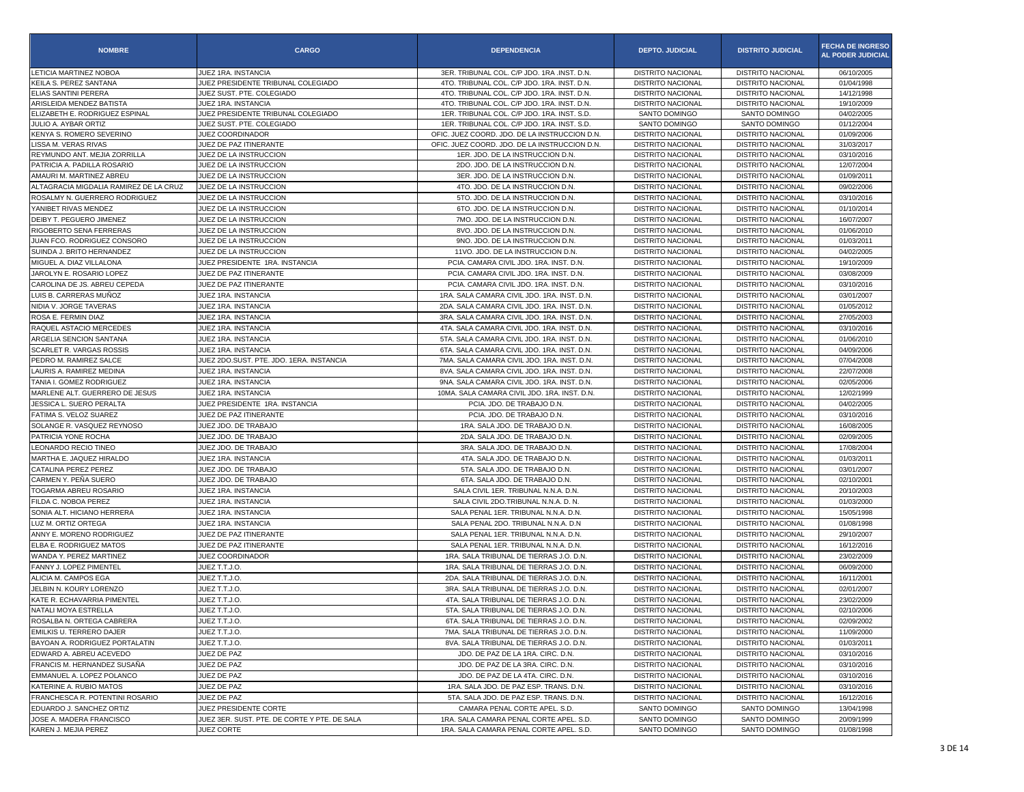| <b>NOMBRE</b>                                              | <b>CARGO</b>                                                          | <b>DEPENDENCIA</b>                            | <b>DEPTO. JUDICIAL</b>   | <b>DISTRITO JUDICIAL</b>       | <b>FECHA DE INGRESO</b><br><b>AL PODER JUDICIAL</b> |
|------------------------------------------------------------|-----------------------------------------------------------------------|-----------------------------------------------|--------------------------|--------------------------------|-----------------------------------------------------|
| <b>LETICIA MARTINEZ NOBOA</b>                              | JUEZ 1RA. INSTANCIA                                                   | 3ER. TRIBUNAL COL. C/P JDO. 1RA .INST. D.N.   | <b>DISTRITO NACIONAL</b> | <b>DISTRITO NACIONAL</b>       | 06/10/2005                                          |
| KEILA S. PEREZ SANTANA                                     | JUEZ PRESIDENTE TRIBUNAL COLEGIADO                                    | 4TO. TRIBUNAL COL. C/P JDO. 1RA. INST. D.N.   | <b>DISTRITO NACIONAL</b> | <b>DISTRITO NACIONAL</b>       | 01/04/1998                                          |
| ELIAS SANTINI PERERA                                       | JUEZ SUST. PTE. COLEGIADO                                             | 4TO. TRIBUNAL COL. C/P JDO. 1RA. INST. D.N.   | <b>DISTRITO NACIONAL</b> | <b>DISTRITO NACIONAL</b>       | 14/12/1998                                          |
| ARISLEIDA MENDEZ BATISTA                                   | JUEZ 1RA. INSTANCIA                                                   | 4TO. TRIBUNAL COL. C/P JDO. 1RA. INST. D.N.   | <b>DISTRITO NACIONAL</b> | <b>DISTRITO NACIONAL</b>       | 19/10/2009                                          |
| ELIZABETH E. RODRIGUEZ ESPINAL                             | JUEZ PRESIDENTE TRIBUNAL COLEGIADO                                    | 1ER. TRIBUNAL COL. C/P JDO. 1RA. INST. S.D.   | SANTO DOMINGO            | SANTO DOMINGO                  | 04/02/2005                                          |
| JULIO A. AYBAR ORTIZ                                       | JUEZ SUST, PTE, COLEGIADO                                             | 1ER. TRIBUNAL COL. C/P JDO. 1RA. INST. S.D.   | SANTO DOMINGO            | SANTO DOMINGO                  | 01/12/2004                                          |
| KENYA S. ROMERO SEVERINO                                   | JUEZ COORDINADOR                                                      | OFIC. JUEZ COORD. JDO. DE LA INSTRUCCION D.N. | <b>DISTRITO NACIONAL</b> | DISTRITO NACIONAL              | 01/09/2006                                          |
| LISSA M. VERAS RIVAS                                       | JUEZ DE PAZ ITINERANTE                                                | OFIC. JUEZ COORD. JDO. DE LA INSTRUCCION D.N. | <b>DISTRITO NACIONAL</b> | <b>DISTRITO NACIONAL</b>       | 31/03/2017                                          |
| REYMUNDO ANT. MEJIA ZORRILLA                               | JUEZ DE LA INSTRUCCION                                                | 1ER. JDO. DE LA INSTRUCCION D.N.              | <b>DISTRITO NACIONAL</b> | <b>DISTRITO NACIONAL</b>       | 03/10/2016                                          |
| PATRICIA A. PADILLA ROSARIO                                | JUEZ DE LA INSTRUCCION                                                | 2DO. JDO. DE LA INSTRUCCION D.N.              | <b>DISTRITO NACIONAL</b> | <b>DISTRITO NACIONAL</b>       | 12/07/2004                                          |
| AMAURI M. MARTINEZ ABREU                                   | JUEZ DE LA INSTRUCCION                                                | 3ER. JDO. DE LA INSTRUCCION D.N.              | <b>DISTRITO NACIONAL</b> | <b>DISTRITO NACIONAL</b>       | 01/09/2011                                          |
| ALTAGRACIA MIGDALIA RAMIREZ DE LA CRUZ                     | JUEZ DE LA INSTRUCCION                                                | 4TO. JDO. DE LA INSTRUCCION D.N.              | <b>DISTRITO NACIONAL</b> | <b>DISTRITO NACIONAL</b>       | 09/02/2006                                          |
| ROSALMY N. GUERRERO RODRIGUEZ                              | JUEZ DE LA INSTRUCCION                                                | 5TO. JDO. DE LA INSTRUCCION D.N.              | <b>DISTRITO NACIONAL</b> | <b>DISTRITO NACIONAL</b>       | 03/10/2016                                          |
| YANIBET RIVAS MENDEZ                                       | JUEZ DE LA INSTRUCCION                                                | 6TO. JDO. DE LA INSTRUCCION D.N.              | <b>DISTRITO NACIONAL</b> | <b>DISTRITO NACIONAL</b>       | 01/10/2014                                          |
| DEIBY T. PEGUERO JIMENEZ                                   | JUEZ DE LA INSTRUCCION                                                | 7MO. JDO. DE LA INSTRUCCION D.N.              | <b>DISTRITO NACIONAL</b> | <b>DISTRITO NACIONAL</b>       | 16/07/2007                                          |
| RIGOBERTO SENA FERRERAS                                    | JUEZ DE LA INSTRUCCION                                                | 8VO. JDO. DE LA INSTRUCCION D.N.              | <b>DISTRITO NACIONAL</b> | <b>DISTRITO NACIONAL</b>       | 01/06/2010                                          |
| JUAN FCO. RODRIGUEZ CONSORO                                | JUEZ DE LA INSTRUCCION                                                | 9NO. JDO. DE LA INSTRUCCION D.N.              | <b>DISTRITO NACIONAL</b> | <b>DISTRITO NACIONAL</b>       | 01/03/2011                                          |
| SUINDA J. BRITO HERNANDEZ                                  | JUEZ DE LA INSTRUCCION                                                | 11VO. JDO. DE LA INSTRUCCION D.N.             | <b>DISTRITO NACIONAL</b> | <b>DISTRITO NACIONAL</b>       | 04/02/2005                                          |
| MIGUEL A. DIAZ VILLALONA                                   | JUEZ PRESIDENTE 1RA. INSTANCIA                                        | PCIA. CAMARA CIVIL JDO. 1RA. INST. D.N.       | <b>DISTRITO NACIONAL</b> | <b>DISTRITO NACIONAL</b>       | 19/10/2009                                          |
| JAROLYN E. ROSARIO LOPEZ                                   | JUEZ DE PAZ ITINERANTE                                                | PCIA. CAMARA CIVIL JDO. 1RA. INST. D.N.       | <b>DISTRITO NACIONAL</b> | <b>DISTRITO NACIONAL</b>       | 03/08/2009                                          |
| CAROLINA DE JS. ABREU CEPEDA                               | JUEZ DE PAZ ITINERANTE                                                | PCIA, CAMARA CIVIL JDO, 1RA, INST, D.N.       | <b>DISTRITO NACIONAL</b> | <b>DISTRITO NACIONAL</b>       | 03/10/2016                                          |
| LUIS B. CARRERAS MUÑOZ                                     | JUEZ 1RA. INSTANCIA                                                   | 1RA. SALA CAMARA CIVIL JDO. 1RA. INST. D.N.   | <b>DISTRITO NACIONAL</b> | <b>DISTRITO NACIONAL</b>       | 03/01/2007                                          |
| NIDIA V. JORGE TAVERAS                                     | JUEZ 1RA. INSTANCIA                                                   | 2DA. SALA CAMARA CIVIL JDO. 1RA. INST. D.N.   | <b>DISTRITO NACIONAL</b> | <b>DISTRITO NACIONAL</b>       | 01/05/2012                                          |
| ROSA E. FERMIN DIAZ                                        | JUEZ 1RA. INSTANCIA                                                   | 3RA. SALA CAMARA CIVIL JDO. 1RA. INST. D.N.   | <b>DISTRITO NACIONAL</b> | <b>DISTRITO NACIONAL</b>       | 27/05/2003                                          |
| RAQUEL ASTACIO MERCEDES                                    | JUEZ 1RA. INSTANCIA                                                   | 4TA. SALA CAMARA CIVIL JDO. 1RA. INST. D.N.   | <b>DISTRITO NACIONAL</b> | <b>DISTRITO NACIONAL</b>       | 03/10/2016                                          |
| ARGELIA SENCION SANTANA                                    | JUEZ 1RA. INSTANCIA                                                   | 5TA. SALA CAMARA CIVIL JDO. 1RA. INST. D.N.   | <b>DISTRITO NACIONAL</b> | <b>DISTRITO NACIONAL</b>       | 01/06/2010                                          |
| <b>SCARLET R. VARGAS ROSSIS</b>                            | JUEZ 1RA. INSTANCIA                                                   | 6TA. SALA CAMARA CIVIL JDO. 1RA. INST. D.N.   | <b>DISTRITO NACIONAL</b> | <b>DISTRITO NACIONAL</b>       | 04/09/2006                                          |
| PEDRO M. RAMIREZ SALCE                                     | JUEZ 2DO.SUST. PTE. JDO. 1ERA. INSTANCIA                              | 7MA. SALA CAMARA CIVIL JDO. 1RA. INST. D.N.   | <b>DISTRITO NACIONAL</b> |                                | 07/04/2008                                          |
|                                                            | JUEZ 1RA. INSTANCIA                                                   |                                               |                          | <b>DISTRITO NACIONAL</b>       |                                                     |
| LAURIS A. RAMIREZ MEDINA                                   |                                                                       | 8VA. SALA CAMARA CIVIL JDO. 1RA. INST. D.N.   | <b>DISTRITO NACIONAL</b> | <b>DISTRITO NACIONAL</b>       | 22/07/2008                                          |
| TANIA I. GOMEZ RODRIGUEZ<br>MARLENE ALT. GUERRERO DE JESUS | JUEZ 1RA. INSTANCIA                                                   | 9NA. SALA CAMARA CIVIL JDO. 1RA. INST. D.N.   | <b>DISTRITO NACIONAL</b> | <b>DISTRITO NACIONAL</b>       | 02/05/2006                                          |
|                                                            | JUEZ 1RA. INSTANCIA                                                   | 10MA. SALA CAMARA CIVIL JDO. 1RA. INST. D.N.  | <b>DISTRITO NACIONAL</b> | <b>DISTRITO NACIONAL</b>       | 12/02/1999                                          |
| JESSICA L. SUERO PERALTA                                   | JUEZ PRESIDENTE 1RA. INSTANCIA                                        | PCIA, JDO, DE TRABAJO D.N.                    | <b>DISTRITO NACIONAL</b> | <b>DISTRITO NACIONAL</b>       | 04/02/2005                                          |
| FATIMA S. VELOZ SUAREZ                                     | JUEZ DE PAZ ITINERANTE                                                | PCIA. JDO. DE TRABAJO D.N.                    | <b>DISTRITO NACIONAL</b> | <b>DISTRITO NACIONAL</b>       | 03/10/2016                                          |
| SOLANGE R. VASQUEZ REYNOSO                                 | JUEZ JDO. DE TRABAJO                                                  | 1RA. SALA JDO. DE TRABAJO D.N.                | <b>DISTRITO NACIONAL</b> | <b>DISTRITO NACIONAL</b>       | 16/08/2005                                          |
| PATRICIA YONE ROCHA                                        | JUEZ JDO. DE TRABAJO                                                  | 2DA. SALA JDO. DE TRABAJO D.N.                | <b>DISTRITO NACIONAL</b> | <b>DISTRITO NACIONAL</b>       | 02/09/2005                                          |
| LEONARDO RECIO TINEO                                       | JUEZ JDO. DE TRABAJO                                                  | 3RA. SALA JDO. DE TRABAJO D.N.                | <b>DISTRITO NACIONAL</b> | <b>DISTRITO NACIONAL</b>       | 17/08/2004                                          |
| MARTHA E. JAQUEZ HIRALDO                                   | JUEZ 1RA. INSTANCIA                                                   | 4TA. SALA JDO. DE TRABAJO D.N.                | <b>DISTRITO NACIONAL</b> | <b>DISTRITO NACIONAL</b>       | 01/03/2011                                          |
| CATALINA PEREZ PEREZ                                       | JUEZ JDO. DE TRABAJO                                                  | 5TA. SALA JDO. DE TRABAJO D.N.                | <b>DISTRITO NACIONAL</b> | <b>DISTRITO NACIONAL</b>       | 03/01/2007                                          |
| CARMEN Y. PEÑA SUERO                                       | JUEZ JDO. DE TRABAJO                                                  | 6TA. SALA JDO. DE TRABAJO D.N.                | <b>DISTRITO NACIONAL</b> | <b>DISTRITO NACIONAL</b>       | 02/10/2001                                          |
| TOGARMA ABREU ROSARIO                                      | JUEZ 1RA. INSTANCIA                                                   | SALA CIVIL 1ER. TRIBUNAL N.N.A. D.N.          | <b>DISTRITO NACIONAL</b> | <b>DISTRITO NACIONAL</b>       | 20/10/2003                                          |
| FILDA C. NOBOA PEREZ                                       | JUEZ 1RA. INSTANCIA                                                   | SALA CIVIL 2DO.TRIBUNAL N.N.A. D. N.          | <b>DISTRITO NACIONAL</b> | <b>DISTRITO NACIONAL</b>       | 01/03/2000                                          |
| SONIA ALT. HICIANO HERRERA                                 | JUEZ 1RA. INSTANCIA                                                   | SALA PENAL 1ER. TRIBUNAL N.N.A. D.N.          | <b>DISTRITO NACIONAL</b> | <b>DISTRITO NACIONAL</b>       | 15/05/1998                                          |
| LUZ M. ORTIZ ORTEGA                                        | JUEZ 1RA. INSTANCIA                                                   | SALA PENAL 2DO. TRIBUNAL N.N.A. D.N           | <b>DISTRITO NACIONAL</b> | <b>DISTRITO NACIONAL</b>       | 01/08/1998                                          |
| ANNY E. MORENO RODRIGUEZ                                   | JUEZ DE PAZ ITINERANTE                                                | SALA PENAL 1ER. TRIBUNAL N.N.A. D.N.          | <b>DISTRITO NACIONAL</b> | <b>DISTRITO NACIONAL</b>       | 29/10/2007                                          |
| ELBA E. RODRIGUEZ MATOS                                    | JUEZ DE PAZ ITINERANTE                                                | SALA PENAL 1ER. TRIBUNAL N.N.A. D.N.          | <b>DISTRITO NACIONAL</b> | <b>DISTRITO NACIONAL</b>       | 16/12/2016                                          |
| WANDA Y. PEREZ MARTINEZ                                    | JUEZ COORDINADOR                                                      | 1RA. SALA TRIBUNAL DE TIERRAS J.O. D.N.       | <b>DISTRITO NACIONAL</b> | <b>DISTRITO NACIONAL</b>       | 23/02/2009                                          |
| FANNY J. LOPEZ PIMENTEL                                    | JUEZ T.T.J.O.                                                         | 1RA. SALA TRIBUNAL DE TIERRAS J.O. D.N.       | <b>DISTRITO NACIONAL</b> | <b>DISTRITO NACIONAL</b>       | 06/09/2000                                          |
| ALICIA M. CAMPOS EGA                                       | JUEZ T.T.J.O.                                                         | 2DA. SALA TRIBUNAL DE TIERRAS J.O. D.N.       | <b>DISTRITO NACIONAL</b> | <b>DISTRITO NACIONAL</b>       | 16/11/2001                                          |
| JELBIN N. KOURY LORENZO                                    | JUEZ T.T.J.O.                                                         | 3RA. SALA TRIBUNAL DE TIERRAS J.O. D.N.       | <b>DISTRITO NACIONAL</b> | <b>DISTRITO NACIONAL</b>       | 02/01/2007                                          |
| KATE R. ECHAVARRIA PIMENTEL                                | JUEZ T.T.J.O.                                                         | 4TA. SALA TRIBUNAL DE TIERRAS J.O. D.N.       | <b>DISTRITO NACIONAL</b> | <b>DISTRITO NACIONAL</b>       | 23/02/2009                                          |
| NATALI MOYA ESTRELLA                                       | JUEZ T.T.J.O.                                                         | 5TA. SALA TRIBUNAL DE TIERRAS J.O. D.N.       | DISTRITO NACIONAL        | DISTRITO NACIONAL              | 02/10/2006                                          |
| ROSALBA N. ORTEGA CABRERA                                  | JUEZ T.T.J.O.                                                         | 6TA. SALA TRIBUNAL DE TIERRAS J.O. D.N.       | <b>DISTRITO NACIONAL</b> | <b>DISTRITO NACIONAL</b>       | 02/09/2002                                          |
| EMILKIS U. TERRERO DAJER                                   | JUEZ T.T.J.O.                                                         | 7MA. SALA TRIBUNAL DE TIERRAS J.O. D.N.       | DISTRITO NACIONAL        | <b>DISTRITO NACIONAL</b>       | 11/09/2000                                          |
| BAYOAN A. RODRIGUEZ PORTALATIN                             | JUEZ T.T.J.O.                                                         | 8VA. SALA TRIBUNAL DE TIERRAS J.O. D.N.       | DISTRITO NACIONAL        | DISTRITO NACIONAL              | 01/03/2011                                          |
| EDWARD A. ABREU ACEVEDO                                    | JUEZ DE PAZ                                                           | JDO. DE PAZ DE LA 1RA. CIRC. D.N.             | <b>DISTRITO NACIONAL</b> | <b>DISTRITO NACIONAL</b>       | 03/10/2016                                          |
| FRANCIS M. HERNANDEZ SUSAÑA                                | JUEZ DE PAZ                                                           | JDO. DE PAZ DE LA 3RA. CIRC. D.N.             | DISTRITO NACIONAL        | DISTRITO NACIONAL              | 03/10/2016                                          |
| EMMANUEL A. LOPEZ POLANCO                                  | JUEZ DE PAZ                                                           | JDO, DE PAZ DE LA 4TA, CIRC, D.N.             | <b>DISTRITO NACIONAL</b> | <b>DISTRITO NACIONAL</b>       | 03/10/2016                                          |
| KATERINE A. RUBIO MATOS                                    | JUEZ DE PAZ                                                           | 1RA. SALA JDO. DE PAZ ESP. TRANS. D.N.        | DISTRITO NACIONAL        | DISTRITO NACIONAL              | 03/10/2016                                          |
| FRANCHESCA R. POTENTINI ROSARIO                            | JUEZ DE PAZ                                                           | 5TA. SALA JDO. DE PAZ ESP. TRANS. D.N.        | DISTRITO NACIONAL        | DISTRITO NACIONAL              | 16/12/2016                                          |
|                                                            |                                                                       | CAMARA PENAL CORTE APEL. S.D.                 | SANTO DOMINGO            |                                |                                                     |
| EDUARDO J. SANCHEZ ORTIZ<br>JOSE A. MADERA FRANCISCO       | JUEZ PRESIDENTE CORTE<br>JUEZ 3ER. SUST. PTE. DE CORTE Y PTE. DE SALA | 1RA. SALA CAMARA PENAL CORTE APEL. S.D.       | SANTO DOMINGO            | SANTO DOMINGO<br>SANTO DOMINGO | 13/04/1998<br>20/09/1999                            |
|                                                            |                                                                       |                                               |                          | SANTO DOMINGO                  |                                                     |
| KAREN J. MEJIA PEREZ                                       | JUEZ CORTE                                                            | 1RA. SALA CAMARA PENAL CORTE APEL. S.D.       | SANTO DOMINGO            |                                | 01/08/1998                                          |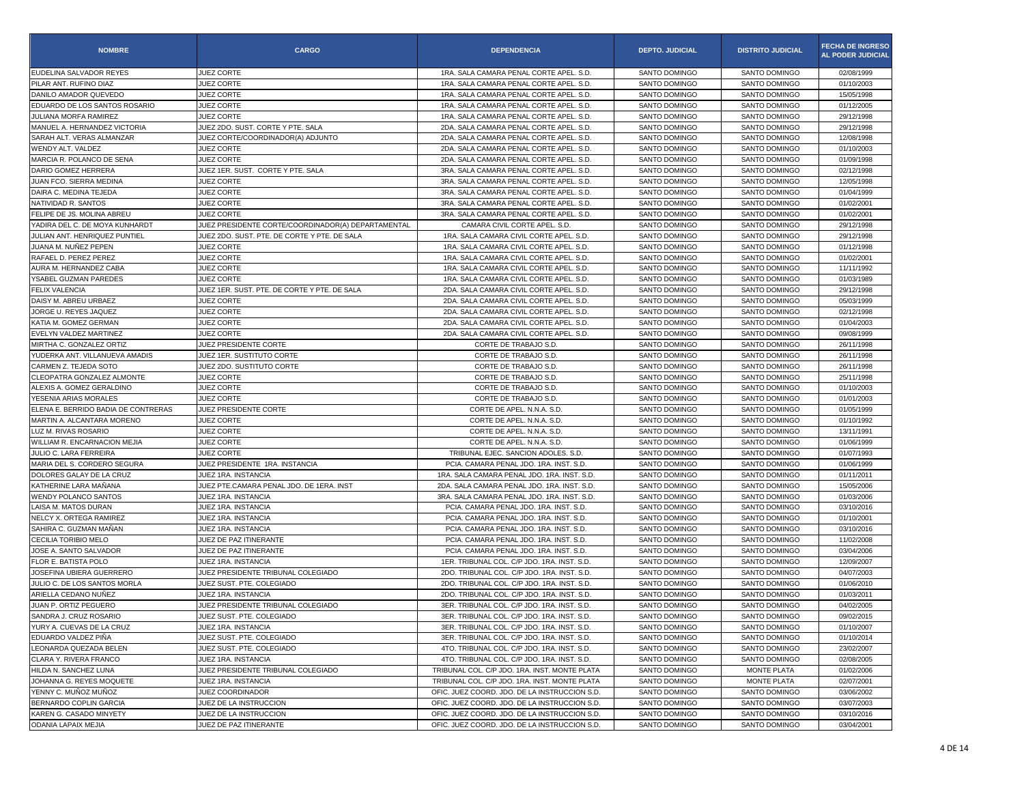| <b>NOMBRE</b>                       | <b>CARGO</b>                                       | <b>DEPENDENCIA</b>                            | <b>DEPTO. JUDICIAL</b> | <b>DISTRITO JUDICIAL</b> | <b>FECHA DE INGRESO</b><br><b>AL PODER JUDICIAL</b> |
|-------------------------------------|----------------------------------------------------|-----------------------------------------------|------------------------|--------------------------|-----------------------------------------------------|
| EUDELINA SALVADOR REYES             | JUEZ CORTE                                         | 1RA. SALA CAMARA PENAL CORTE APEL. S.D.       | SANTO DOMINGO          | SANTO DOMINGO            | 02/08/1999                                          |
| PILAR ANT. RUFINO DIAZ              | JUEZ CORTE                                         | 1RA. SALA CAMARA PENAL CORTE APEL. S.D.       | SANTO DOMINGO          | SANTO DOMINGO            | 01/10/2003                                          |
| DANILO AMADOR QUEVEDO               | JUEZ CORTE                                         | 1RA. SALA CAMARA PENAL CORTE APEL. S.D.       | SANTO DOMINGO          | SANTO DOMINGO            | 15/05/1998                                          |
| EDUARDO DE LOS SANTOS ROSARIO       | JUEZ CORTE                                         | 1RA. SALA CAMARA PENAL CORTE APEL. S.D.       | SANTO DOMINGO          | SANTO DOMINGO            | 01/12/2005                                          |
| JULIANA MORFA RAMIREZ               | JUEZ CORTE                                         | 1RA, SALA CAMARA PENAL CORTE APEL, S.D.       | SANTO DOMINGO          | SANTO DOMINGO            | 29/12/1998                                          |
| MANUEL A. HERNANDEZ VICTORIA        | JUEZ 2DO. SUST. CORTE Y PTE. SALA                  | 2DA. SALA CAMARA PENAL CORTE APEL. S.D.       | SANTO DOMINGO          | SANTO DOMINGO            | 29/12/1998                                          |
| SARAH ALT. VERAS ALMANZAR           | JUEZ CORTE/COORDINADOR(A) ADJUNTO                  | 2DA. SALA CAMARA PENAL CORTE APEL. S.D.       | SANTO DOMINGO          | SANTO DOMINGO            | 12/08/1998                                          |
| WENDY ALT. VALDEZ                   | JUEZ CORTE                                         | 2DA. SALA CAMARA PENAL CORTE APEL. S.D.       | SANTO DOMINGO          | SANTO DOMINGO            | 01/10/2003                                          |
| MARCIA R. POLANCO DE SENA           | JUEZ CORTE                                         | 2DA. SALA CAMARA PENAL CORTE APEL. S.D.       | <b>SANTO DOMINGO</b>   | SANTO DOMINGO            | 01/09/1998                                          |
| DARIO GOMEZ HERRERA                 | JUEZ 1ER. SUST. CORTE Y PTE. SALA                  | 3RA. SALA CAMARA PENAL CORTE APEL. S.D.       | SANTO DOMINGO          | SANTO DOMINGO            | 02/12/1998                                          |
| JUAN FCO. SIERRA MEDINA             | <b>JUEZ CORTE</b>                                  | 3RA, SALA CAMARA PENAL CORTE APEL, S.D.       | SANTO DOMINGO          | SANTO DOMINGO            | 12/05/1998                                          |
| DAIRA C. MEDINA TEJEDA              | JUEZ CORTE                                         | 3RA, SALA CAMARA PENAL CORTE APEL, S.D.       | SANTO DOMINGO          | SANTO DOMINGO            | 01/04/1999                                          |
| NATIVIDAD R. SANTOS                 | <b>JUEZ CORTE</b>                                  | 3RA, SALA CAMARA PENAL CORTE APEL, S.D.       | SANTO DOMINGO          | SANTO DOMINGO            | 01/02/2001                                          |
| FELIPE DE JS. MOLINA ABREU          | JUEZ CORTE                                         | 3RA. SALA CAMARA PENAL CORTE APEL. S.D.       | <b>SANTO DOMINGO</b>   | SANTO DOMINGO            | 01/02/2001                                          |
| YADIRA DEL C. DE MOYA KUNHARDT      | JUEZ PRESIDENTE CORTE/COORDINADOR(A) DEPARTAMENTAL | CAMARA CIVIL CORTE APEL. S.D.                 | SANTO DOMINGO          | SANTO DOMINGO            | 29/12/1998                                          |
| JULIAN ANT. HENRIQUEZ PUNTIEL       | JUEZ 2DO. SUST. PTE. DE CORTE Y PTE. DE SALA       | 1RA. SALA CAMARA CIVIL CORTE APEL. S.D.       | SANTO DOMINGO          | SANTO DOMINGO            | 29/12/1998                                          |
| JUANA M. NUÑEZ PEPEN                | JUEZ CORTE                                         | 1RA. SALA CAMARA CIVIL CORTE APEL. S.D.       | SANTO DOMINGO          | SANTO DOMINGO            | 01/12/1998                                          |
| RAFAEL D. PEREZ PEREZ               | JUEZ CORTE                                         | 1RA. SALA CAMARA CIVIL CORTE APEL. S.D.       | SANTO DOMINGO          | SANTO DOMINGO            | 01/02/2001                                          |
| AURA M. HERNANDEZ CABA              | JUEZ CORTE                                         | 1RA. SALA CAMARA CIVIL CORTE APEL. S.D.       | SANTO DOMINGO          | SANTO DOMINGO            | 11/11/1992                                          |
| YSABEL GUZMAN PAREDES               | <b>JUEZ CORTE</b>                                  | 1RA. SALA CAMARA CIVIL CORTE APEL. S.D.       | SANTO DOMINGO          | SANTO DOMINGO            | 01/03/1989                                          |
| FELIX VALENCIA                      | JUEZ 1ER. SUST. PTE. DE CORTE Y PTE. DE SALA       | 2DA. SALA CAMARA CIVIL CORTE APEL. S.D.       | SANTO DOMINGO          | SANTO DOMINGO            | 29/12/1998                                          |
| DAISY M. ABREU URBAEZ               | JUEZ CORTE                                         | 2DA, SALA CAMARA CIVIL CORTE APEL, S.D.       | SANTO DOMINGO          | SANTO DOMINGO            | 05/03/1999                                          |
| JORGE U. REYES JAQUEZ               | JUEZ CORTE                                         | 2DA. SALA CAMARA CIVIL CORTE APEL. S.D.       | SANTO DOMINGO          | SANTO DOMINGO            | 02/12/1998                                          |
| KATIA M. GOMEZ GERMAN               | JUEZ CORTE                                         | 2DA. SALA CAMARA CIVIL CORTE APEL. S.D.       | SANTO DOMINGO          | SANTO DOMINGO            | 01/04/2003                                          |
| EVELYN VALDEZ MARTINEZ              | JUEZ CORTE                                         | 2DA. SALA CAMARA CIVIL CORTE APEL. S.D.       | SANTO DOMINGO          | SANTO DOMINGO            | 09/08/1999                                          |
| MIRTHA C. GONZALEZ ORTIZ            | JUEZ PRESIDENTE CORTE                              | CORTE DE TRABAJO S.D.                         | SANTO DOMINGO          | SANTO DOMINGO            | 26/11/1998                                          |
| YUDERKA ANT. VILLANUEVA AMADIS      | JUEZ 1ER. SUSTITUTO CORTE                          | CORTE DE TRABAJO S.D.                         | SANTO DOMINGO          | SANTO DOMINGO            | 26/11/1998                                          |
| CARMEN Z. TEJEDA SOTO               | JUEZ 2DO, SUSTITUTO CORTE                          | CORTE DE TRABAJO S.D.                         | SANTO DOMINGO          | SANTO DOMINGO            | 26/11/1998                                          |
| CLEOPATRA GONZALEZ ALMONTE          | JUEZ CORTE                                         | CORTE DE TRABAJO S.D.                         | SANTO DOMINGO          | SANTO DOMINGO            | 25/11/1998                                          |
| ALEXIS A. GOMEZ GERALDINO           | JUEZ CORTE                                         | CORTE DE TRABAJO S.D.                         | SANTO DOMINGO          | SANTO DOMINGO            | 01/10/2003                                          |
| YESENIA ARIAS MORALES               | JUEZ CORTE                                         | CORTE DE TRABAJO S.D.                         | SANTO DOMINGO          | SANTO DOMINGO            | 01/01/2003                                          |
| ELENA E. BERRIDO BADIA DE CONTRERAS | JUEZ PRESIDENTE CORTE                              | CORTE DE APEL. N.N.A. S.D.                    | SANTO DOMINGO          | SANTO DOMINGO            | 01/05/1999                                          |
| MARTIN A. ALCANTARA MORENO          | <b>JUEZ CORTE</b>                                  | CORTE DE APEL. N.N.A. S.D.                    | SANTO DOMINGO          | SANTO DOMINGO            | 01/10/1992                                          |
| LUZ M. RIVAS ROSARIO                | JUEZ CORTE                                         | CORTE DE APEL. N.N.A. S.D                     | SANTO DOMINGO          | SANTO DOMINGO            | 13/11/1991                                          |
| WILLIAM R. ENCARNACION MEJIA        | JUEZ CORTE                                         | CORTE DE APEL. N.N.A. S.D.                    | SANTO DOMINGO          | SANTO DOMINGO            | 01/06/1999                                          |
| JULIO C. LARA FERREIRA              | <b>JUEZ CORTE</b>                                  | TRIBUNAL EJEC. SANCION ADOLES. S.D.           | SANTO DOMINGO          | SANTO DOMINGO            | 01/07/1993                                          |
| MARIA DEL S. CORDERO SEGURA         | JUEZ PRESIDENTE 1RA. INSTANCIA                     | PCIA. CAMARA PENAL JDO. 1RA. INST. S.D.       | SANTO DOMINGO          | SANTO DOMINGO            | 01/06/1999                                          |
| DOLORES GALAY DE LA CRUZ            | JUEZ 1RA. INSTANCIA                                | 1RA. SALA CAMARA PENAL JDO. 1RA. INST. S.D.   | SANTO DOMINGO          | SANTO DOMINGO            | 01/11/2011                                          |
| KATHERINE LARA MAÑANA               | JUEZ PTE.CAMARA PENAL JDO. DE 1ERA. INST           | 2DA. SALA CAMARA PENAL JDO. 1RA. INST. S.D    | SANTO DOMINGO          | SANTO DOMINGO            | 15/05/2006                                          |
| <b>WENDY POLANCO SANTOS</b>         | JUEZ 1RA. INSTANCIA                                | 3RA. SALA CAMARA PENAL JDO. 1RA. INST. S.D    | SANTO DOMINGO          | SANTO DOMINGO            | 01/03/2006                                          |
| LAISA M. MATOS DURAN                | JUEZ 1RA. INSTANCIA                                | PCIA. CAMARA PENAL JDO. 1RA. INST. S.D.       | SANTO DOMINGO          | SANTO DOMINGO            | 03/10/2016                                          |
| NELCY X. ORTEGA RAMIREZ             | JUEZ 1RA. INSTANCIA                                | PCIA. CAMARA PENAL JDO. 1RA. INST. S.D.       | SANTO DOMINGO          | SANTO DOMINGO            | 01/10/2001                                          |
| SAHIRA C. GUZMAN MAÑAN              | JUEZ 1RA. INSTANCIA                                | PCIA, CAMARA PENAL JDO, 1RA, INST, S.D.       | SANTO DOMINGO          | SANTO DOMINGO            | 03/10/2016                                          |
| CECILIA TORIBIO MELO                | JUEZ DE PAZ ITINERANTE                             | PCIA. CAMARA PENAL JDO. 1RA. INST. S.D        | SANTO DOMINGO          | SANTO DOMINGO            | 11/02/2008                                          |
| JOSE A. SANTO SALVADOR              | JUEZ DE PAZ ITINERANTE                             | PCIA. CAMARA PENAL JDO. 1RA. INST. S.D        | SANTO DOMINGO          | SANTO DOMINGO            | 03/04/2006                                          |
| FLOR E. BATISTA POLO                | JUEZ 1RA. INSTANCIA                                | 1ER. TRIBUNAL COL. C/P JDO. 1RA. INST. S.D.   | SANTO DOMINGO          | SANTO DOMINGO            | 12/09/2007                                          |
| JOSEFINA UBIERA GUERRERO            | JUEZ PRESIDENTE TRIBUNAL COLEGIADO                 | 2DO. TRIBUNAL COL. C/P JDO. 1RA. INST. S.D.   | SANTO DOMINGO          | SANTO DOMINGO            | 04/07/2003                                          |
| JULIO C. DE LOS SANTOS MORLA        | JUEZ SUST. PTE. COLEGIADO                          | 2DO. TRIBUNAL COL. C/P JDO. 1RA. INST. S.D.   | SANTO DOMINGO          | SANTO DOMINGO            | 01/06/2010                                          |
| ARIELLA CEDANO NUÑEZ                | JUEZ 1RA. INSTANCIA                                | 2DO. TRIBUNAL COL. C/P JDO. 1RA. INST. S.D    | SANTO DOMINGO          | SANTO DOMINGO            | 01/03/2011                                          |
| JUAN P. ORTIZ PEGUERO               | JUEZ PRESIDENTE TRIBUNAL COLEGIADO                 | 3ER. TRIBUNAL COL. C/P JDO. 1RA. INST. S.D.   | SANTO DOMINGO          | SANTO DOMINGO            | 04/02/2005                                          |
| SANDRA J. CRUZ ROSARIO              | JUEZ SUST. PTE. COLEGIADO                          | 3ER. TRIBUNAL COL. C/P JDO. 1RA. INST. S.D.   | SANTO DOMINGO          | SANTO DOMINGO            | 09/02/2015                                          |
| YURY A. CUEVAS DE LA CRUZ           | JUEZ 1RA. INSTANCIA                                | 3ER. TRIBUNAL COL. C/P JDO. 1RA. INST. S.D.   | SANTO DOMINGO          | SANTO DOMINGO            | 01/10/2007                                          |
| EDUARDO VALDEZ PIÑA                 | JUEZ SUST. PTE. COLEGIADO                          | 3ER. TRIBUNAL COL. C/P JDO. 1RA. INST. S.D.   | SANTO DOMINGO          | SANTO DOMINGO            | 01/10/2014                                          |
| LEONARDA QUEZADA BELEN              | JUEZ SUST. PTE. COLEGIADO                          | 4TO. TRIBUNAL COL. C/P JDO. 1RA. INST. S.D.   | SANTO DOMINGO          | SANTO DOMINGO            | 23/02/2007                                          |
| CLARA Y. RIVERA FRANCO              | JUEZ 1RA. INSTANCIA                                | 4TO. TRIBUNAL COL. C/P JDO. 1RA. INST. S.D.   | SANTO DOMINGO          | SANTO DOMINGO            | 02/08/2005                                          |
| HILDA N. SANCHEZ LUNA               | JUEZ PRESIDENTE TRIBUNAL COLEGIADO                 | TRIBUNAL COL. C/P JDO. 1RA. INST. MONTE PLATA | SANTO DOMINGO          | MONTE PLATA              | 01/02/2006                                          |
| JOHANNA G. REYES MOQUETE            | JUEZ 1RA. INSTANCIA                                | TRIBUNAL COL. C/P JDO. 1RA. INST. MONTE PLATA | SANTO DOMINGO          | MONTE PLATA              | 02/07/2001                                          |
| YENNY C. MUÑOZ MUÑOZ                | JUEZ COORDINADOR                                   | OFIC, JUEZ COORD, JDO, DE LA INSTRUCCION S.D. | SANTO DOMINGO          | SANTO DOMINGO            | 03/06/2002                                          |
| BERNARDO COPLIN GARCIA              | JUEZ DE LA INSTRUCCION                             | OFIC. JUEZ COORD. JDO. DE LA INSTRUCCION S.D. | SANTO DOMINGO          | SANTO DOMINGO            | 03/07/2003                                          |
| KAREN G. CASADO MINYETY             | JUEZ DE LA INSTRUCCION                             | OFIC. JUEZ COORD. JDO. DE LA INSTRUCCION S.D. | SANTO DOMINGO          | SANTO DOMINGO            | 03/10/2016                                          |
| ODANIA LAPAIX MEJIA                 | JUEZ DE PAZ ITINERANTE                             | OFIC. JUEZ COORD. JDO. DE LA INSTRUCCION S.D. | SANTO DOMINGO          | SANTO DOMINGO            | 03/04/2001                                          |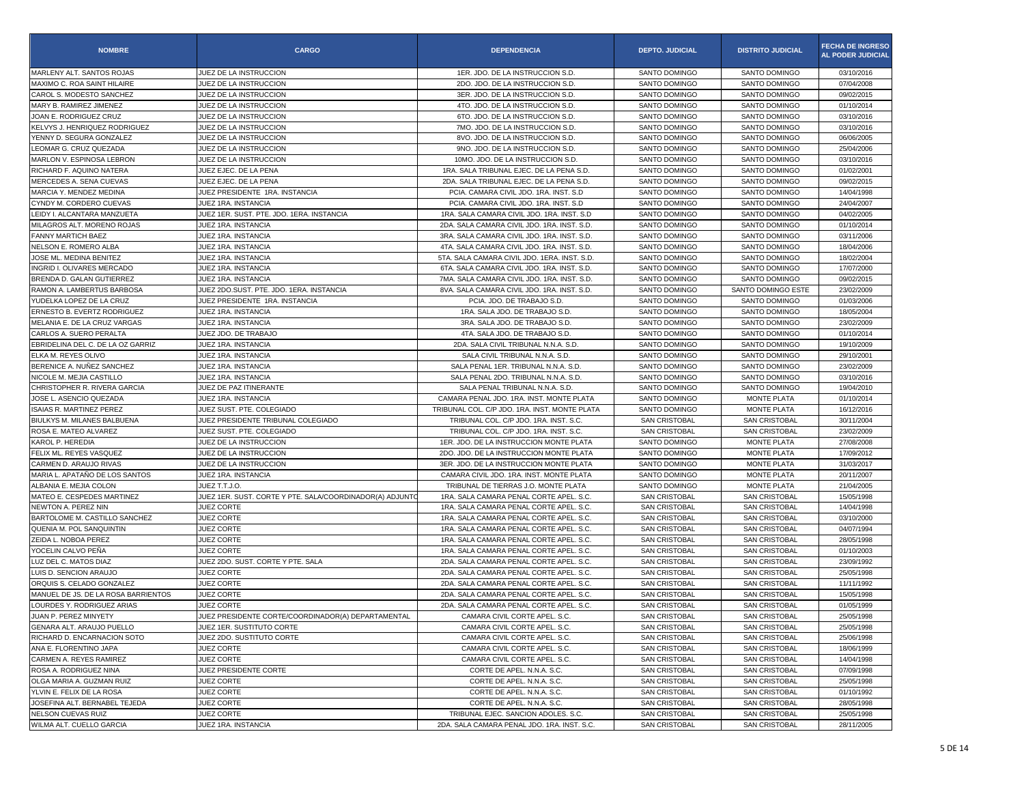| <b>NOMBRE</b>                                    | <b>CARGO</b>                                            | <b>DEPENDENCIA</b>                                                                | <b>DEPTO. JUDICIAL</b>                       | <b>DISTRITO JUDICIAL</b>              | <b>FECHA DE INGRESO</b><br><b>AL PODER JUDICIAL</b> |
|--------------------------------------------------|---------------------------------------------------------|-----------------------------------------------------------------------------------|----------------------------------------------|---------------------------------------|-----------------------------------------------------|
| MARLENY ALT. SANTOS ROJAS                        | JUEZ DE LA INSTRUCCION                                  | 1ER. JDO. DE LA INSTRUCCION S.D.                                                  | SANTO DOMINGO                                | SANTO DOMINGO                         | 03/10/2016                                          |
| MAXIMO C. ROA SAINT HILAIRE                      | JUEZ DE LA INSTRUCCION                                  | 2DO. JDO. DE LA INSTRUCCION S.D.                                                  | SANTO DOMINGO                                | SANTO DOMINGO                         | 07/04/2008                                          |
| CAROL S. MODESTO SANCHEZ                         | JUEZ DE LA INSTRUCCION                                  | 3ER. JDO. DE LA INSTRUCCION S.D.                                                  | SANTO DOMINGO                                | SANTO DOMINGO                         | 09/02/2015                                          |
| MARY B. RAMIREZ JIMENEZ                          | JUEZ DE LA INSTRUCCION                                  | 4TO. JDO. DE LA INSTRUCCION S.D                                                   | SANTO DOMINGO                                | SANTO DOMINGO                         | 01/10/2014                                          |
| JOAN E. RODRIGUEZ CRUZ                           | JUEZ DE LA INSTRUCCION                                  | 6TO. JDO. DE LA INSTRUCCION S.D                                                   | SANTO DOMINGO                                | SANTO DOMINGO                         | 03/10/2016                                          |
| KELVYS J. HENRIQUEZ RODRIGUEZ                    | JUEZ DE LA INSTRUCCION                                  | 7MO. JDO. DE LA INSTRUCCION S.D.                                                  | <b>SANTO DOMINGO</b>                         | SANTO DOMINGO                         | 03/10/2016                                          |
| YENNY D. SEGURA GONZALEZ                         | JUEZ DE LA INSTRUCCION                                  | 8VO. JDO. DE LA INSTRUCCION S.D.                                                  | SANTO DOMINGO                                | SANTO DOMINGO                         | 06/06/2005                                          |
| LEOMAR G. CRUZ QUEZADA                           | JUEZ DE LA INSTRUCCION                                  | 9NO. JDO. DE LA INSTRUCCION S.D.                                                  | SANTO DOMINGO                                | SANTO DOMINGO                         | 25/04/2006                                          |
| MARLON V. ESPINOSA LEBRON                        | JUEZ DE LA INSTRUCCION                                  | 10MO. JDO. DE LA INSTRUCCION S.D                                                  | SANTO DOMINGO                                | SANTO DOMINGO                         | 03/10/2016                                          |
| RICHARD F. AQUINO NATERA                         | JUEZ EJEC, DE LA PENA                                   | 1RA. SALA TRIBUNAL EJEC. DE LA PENA S.D.                                          | SANTO DOMINGO                                | SANTO DOMINGO                         | 01/02/2001                                          |
| MERCEDES A. SENA CUEVAS                          | JUEZ EJEC. DE LA PENA                                   | 2DA, SALA TRIBUNAL EJEC, DE LA PENA S.D.                                          | SANTO DOMINGO                                | SANTO DOMINGO                         | 09/02/2015                                          |
| MARCIA Y. MENDEZ MEDINA                          | JUEZ PRESIDENTE 1RA. INSTANCIA                          | PCIA. CAMARA CIVIL JDO. 1RA. INST. S.D                                            | SANTO DOMINGO                                | SANTO DOMINGO                         | 14/04/1998                                          |
| CYNDY M. CORDERO CUEVAS                          | JUEZ 1RA. INSTANCIA                                     | PCIA. CAMARA CIVIL JDO. 1RA. INST. S.D                                            | SANTO DOMINGO                                | SANTO DOMINGO                         | 24/04/2007                                          |
| LEIDY I. ALCANTARA MANZUETA                      | JUEZ 1ER. SUST. PTE. JDO. 1ERA. INSTANCIA               | 1RA. SALA CAMARA CIVIL JDO. 1RA. INST. S.D                                        | SANTO DOMINGO                                | SANTO DOMINGO                         | 04/02/2005                                          |
| MILAGROS ALT. MORENO ROJAS                       | JUEZ 1RA. INSTANCIA                                     | 2DA. SALA CAMARA CIVIL JDO. 1RA. INST. S.D.                                       | SANTO DOMINGO                                | SANTO DOMINGO                         | 01/10/2014                                          |
| <b>FANNY MARTICH BAEZ</b>                        | JUEZ 1RA. INSTANCIA                                     | 3RA. SALA CAMARA CIVIL JDO. 1RA. INST. S.D.                                       | SANTO DOMINGO                                | SANTO DOMINGO                         | 03/11/2006                                          |
| NELSON E. ROMERO ALBA                            | JUEZ 1RA. INSTANCIA                                     | 4TA. SALA CAMARA CIVIL JDO. 1RA. INST. S.D.                                       | SANTO DOMINGO                                | SANTO DOMINGO                         | 18/04/2006                                          |
| JOSE ML. MEDINA BENITEZ                          | JUEZ 1RA. INSTANCIA                                     | 5TA. SALA CAMARA CIVIL JDO. 1ERA. INST. S.D.                                      | SANTO DOMINGO                                | SANTO DOMINGO                         | 18/02/2004                                          |
| INGRID I. OLIVARES MERCADO                       | JUEZ 1RA. INSTANCIA                                     | 6TA. SALA CAMARA CIVIL JDO. 1RA. INST. S.D                                        | SANTO DOMINGO                                | SANTO DOMINGO                         | 17/07/2000                                          |
| BRENDA D. GALAN GUTIERREZ                        | JUEZ 1RA. INSTANCIA                                     | 7MA. SALA CAMARA CIVIL JDO. 1RA. INST. S.D.                                       | SANTO DOMINGO                                | SANTO DOMINGO                         | 09/02/2015                                          |
| RAMON A. LAMBERTUS BARBOSA                       | JUEZ 2DO.SUST. PTE. JDO. 1ERA. INSTANCIA                | 8VA. SALA CAMARA CIVIL JDO. 1RA. INST. S.D.                                       | SANTO DOMINGO                                | SANTO DOMINGO ESTE                    | 23/02/2009                                          |
| YUDELKA LOPEZ DE LA CRUZ                         | JUEZ PRESIDENTE 1RA. INSTANCIA                          | PCIA. JDO. DE TRABAJO S.D.                                                        | SANTO DOMINGO                                | SANTO DOMINGO                         | 01/03/2006                                          |
| ERNESTO B. EVERTZ RODRIGUEZ                      | JUEZ 1RA. INSTANCIA                                     | 1RA. SALA JDO. DE TRABAJO S.D.                                                    | SANTO DOMINGO                                | SANTO DOMINGO                         | 18/05/2004                                          |
| MELANIA E. DE LA CRUZ VARGAS                     | JUEZ 1RA. INSTANCIA                                     | 3RA. SALA JDO. DE TRABAJO S.D.                                                    | SANTO DOMINGO                                | SANTO DOMINGO                         | 23/02/2009                                          |
| CARLOS A. SUERO PERALTA                          | JUEZ JDO. DE TRABAJO                                    | 4TA. SALA JDO. DE TRABAJO S.D.                                                    | SANTO DOMINGO                                | SANTO DOMINGO                         | 01/10/2014                                          |
| EBRIDELINA DEL C. DE LA OZ GARRIZ                | JUEZ 1RA. INSTANCIA                                     | 2DA, SALA CIVIL TRIBUNAL N.N.A. S.D.                                              | SANTO DOMINGO                                | SANTO DOMINGO                         | 19/10/2009                                          |
| ELKA M. REYES OLIVO                              | JUEZ 1RA. INSTANCIA                                     | SALA CIVIL TRIBUNAL N.N.A. S.D.                                                   | SANTO DOMINGO                                | SANTO DOMINGO                         | 29/10/2001                                          |
| BERENICE A. NUÑEZ SANCHEZ                        | JUEZ 1RA. INSTANCIA                                     | SALA PENAL 1ER. TRIBUNAL N.N.A. S.D.                                              | SANTO DOMINGO                                | SANTO DOMINGO                         | 23/02/2009                                          |
| NICOLE M. MEJIA CASTILLO                         | JUEZ 1RA. INSTANCIA                                     | SALA PENAL 2DO. TRIBUNAL N.N.A. S.D.                                              | SANTO DOMINGO                                | SANTO DOMINGO                         | 03/10/2016                                          |
| CHRISTOPHER R. RIVERA GARCIA                     | JUEZ DE PAZ ITINERANTE                                  | SALA PENAL TRIBUNAL N.N.A. S.D.                                                   | SANTO DOMINGO                                | SANTO DOMINGO                         | 19/04/2010                                          |
| JOSE L. ASENCIO QUEZADA                          | JUEZ 1RA. INSTANCIA                                     | CAMARA PENAL JDO. 1RA. INST. MONTE PLATA                                          | SANTO DOMINGO                                | <b>MONTE PLATA</b>                    | 01/10/2014                                          |
| <b>ISAIAS R. MARTINEZ PEREZ</b>                  | JUEZ SUST. PTE. COLEGIADO                               | TRIBUNAL COL. C/P JDO. 1RA. INST. MONTE PLATA                                     | SANTO DOMINGO                                | MONTE PLATA                           | 16/12/2016                                          |
| BIULKYS M. MILANES BALBUENA                      | JUEZ PRESIDENTE TRIBUNAL COLEGIADO                      | TRIBUNAL COL. C/P JDO, 1RA, INST, S.C.                                            | <b>SAN CRISTOBAL</b>                         | <b>SAN CRISTOBAL</b>                  | 30/11/2004                                          |
| ROSA E. MATEO ALVAREZ                            | JUEZ SUST. PTE. COLEGIADO                               | TRIBUNAL COL. C/P JDO. 1RA. INST. S.C                                             | <b>SAN CRISTOBAL</b>                         | <b>SAN CRISTOBAL</b>                  | 23/02/2009                                          |
| KAROL P. HEREDIA                                 | JUEZ DE LA INSTRUCCION                                  | 1ER. JDO. DE LA INSTRUCCION MONTE PLATA                                           | SANTO DOMINGO                                | <b>MONTE PLATA</b>                    | 27/08/2008                                          |
| FELIX ML. REYES VASQUEZ                          | JUEZ DE LA INSTRUCCION                                  | 2DO. JDO. DE LA INSTRUCCION MONTE PLATA                                           | SANTO DOMINGO                                | <b>MONTE PLATA</b>                    | 17/09/2012                                          |
| CARMEN D. ARAUJO RIVAS                           | JUEZ DE LA INSTRUCCION                                  | 3ER. JDO. DE LA INSTRUCCION MONTE PLATA                                           | SANTO DOMINGO                                | MONTE PLATA                           | 31/03/2017                                          |
| MARIA L. APATAÑO DE LOS SANTOS                   | JUEZ 1RA. INSTANCIA                                     | CAMARA CIVIL JDO, 1RA, INST, MONTE PLATA                                          | SANTO DOMINGO                                | MONTE PLATA                           | 20/11/2007                                          |
| ALBANIA E. MEJIA COLON                           | JUEZ T.T.J.O.                                           | TRIBUNAL DE TIERRAS J.O. MONTE PLATA                                              | SANTO DOMINGO                                | <b>MONTE PLATA</b>                    | 21/04/2005                                          |
| MATEO E. CESPEDES MARTINEZ                       | JUEZ 1ER. SUST. CORTE Y PTE. SALA/COORDINADOR(A) ADJUNT | 1RA. SALA CAMARA PENAL CORTE APEL. S.C                                            | <b>SAN CRISTOBAL</b>                         | SAN CRISTOBAL                         | 15/05/1998                                          |
| NEWTON A. PEREZ NIN                              | <b>JUEZ CORTE</b>                                       | 1RA. SALA CAMARA PENAL CORTE APEL. S.C                                            | <b>SAN CRISTOBAL</b>                         | <b>SAN CRISTOBAL</b>                  | 14/04/1998                                          |
| BARTOLOME M. CASTILLO SANCHEZ                    | JUEZ CORTE                                              | 1RA. SALA CAMARA PENAL CORTE APEL. S.C.                                           | <b>SAN CRISTOBAL</b>                         | SAN CRISTOBAL                         | 03/10/2000                                          |
| QUENIA M. POL SANQUINTIN<br>ZEIDA L. NOBOA PEREZ | <b>JUEZ CORTE</b>                                       | 1RA, SALA CAMARA PENAL CORTE APEL, S.C.                                           | <b>SAN CRISTOBAL</b>                         | SAN CRISTOBAL                         | 04/07/1994                                          |
| YOCELIN CALVO PEÑA                               | <b>JUEZ CORTE</b><br><b>JUEZ CORTE</b>                  | 1RA. SALA CAMARA PENAL CORTE APEL. S.C<br>1RA. SALA CAMARA PENAL CORTE APEL. S.C  | <b>SAN CRISTOBAL</b><br><b>SAN CRISTOBAL</b> | <b>SAN CRISTOBAL</b>                  | 28/05/1998                                          |
|                                                  | JUEZ 2DO, SUST, CORTE Y PTE, SALA                       |                                                                                   | <b>SAN CRISTOBAL</b>                         | <b>SAN CRISTOBAL</b>                  | 01/10/2003<br>23/09/1992                            |
| LUZ DEL C. MATOS DIAZ<br>LUIS D. SENCION ARAUJO  | JUEZ CORTE                                              | 2DA. SALA CAMARA PENAL CORTE APEL. S.C<br>2DA. SALA CAMARA PENAL CORTE APEL. S.C. | SAN CRISTOBAL                                | <b>SAN CRISTOBAL</b><br>SAN CRISTOBAL | 25/05/1998                                          |
| ORQUIS S. CELADO GONZALEZ                        | <b>JUEZ CORTE</b>                                       | 2DA, SALA CAMARA PENAL CORTE APEL, S.C.                                           | <b>SAN CRISTOBAL</b>                         | <b>SAN CRISTOBAL</b>                  | 11/11/1992                                          |
| MANUEL DE JS. DE LA ROSA BARRIENTOS              | JUEZ CORTE                                              | 2DA. SALA CAMARA PENAL CORTE APEL. S.C                                            | <b>SAN CRISTOBAL</b>                         | <b>SAN CRISTOBAL</b>                  | 15/05/1998                                          |
| LOURDES Y. RODRIGUEZ ARIAS                       | JUEZ CORTE                                              | 2DA, SALA CAMARA PENAL CORTE APEL, S.C.                                           | <b>SAN CRISTOBAL</b>                         | SAN CRISTOBAL                         | 01/05/1999                                          |
| JUAN P. PEREZ MINYETY                            | JUEZ PRESIDENTE CORTE/COORDINADOR(A) DEPARTAMENTAL      |                                                                                   |                                              | SAN CRISTOBAL                         | 25/05/1998                                          |
| GENARA ALT. ARAUJO PUELLO                        | JUEZ 1ER. SUSTITUTO CORTE                               | CAMARA CIVIL CORTE APEL. S.C.<br>CAMARA CIVIL CORTE APEL. S.C.                    | SAN CRISTOBAL<br>SAN CRISTOBAL               | SAN CRISTOBAL                         | 25/05/1998                                          |
| RICHARD D. ENCARNACION SOTO                      | JUEZ 2DO. SUSTITUTO CORTE                               | CAMARA CIVIL CORTE APEL. S.C.                                                     | SAN CRISTOBAL                                | SAN CRISTOBAL                         | 25/06/1998                                          |
| ANA E. FLORENTINO JAPA                           | JUEZ CORTE                                              | CAMARA CIVIL CORTE APEL. S.C.                                                     | <b>SAN CRISTOBAL</b>                         | SAN CRISTOBAL                         | 18/06/1999                                          |
| CARMEN A. REYES RAMIREZ                          | JUEZ CORTE                                              | CAMARA CIVIL CORTE APEL. S.C.                                                     | SAN CRISTOBAL                                | SAN CRISTOBAL                         | 14/04/1998                                          |
| ROSA A. RODRIGUEZ NINA                           | JUEZ PRESIDENTE CORTE                                   | CORTE DE APEL. N.N.A. S.C.                                                        | SAN CRISTOBAL                                | SAN CRISTOBAL                         | 07/09/1998                                          |
| OLGA MARIA A. GUZMAN RUIZ                        | JUEZ CORTE                                              | CORTE DE APEL. N.N.A. S.C.                                                        | SAN CRISTOBAL                                | SAN CRISTOBAL                         | 25/05/1998                                          |
| YLVIN E. FELIX DE LA ROSA                        | JUEZ CORTE                                              | CORTE DE APEL, N.N.A. S.C.                                                        | SAN CRISTOBAL                                | <b>SAN CRISTOBAL</b>                  | 01/10/1992                                          |
| JOSEFINA ALT. BERNABEL TEJEDA                    | JUEZ CORTE                                              | CORTE DE APEL. N.N.A. S.C.                                                        | <b>SAN CRISTOBAL</b>                         | SAN CRISTOBAL                         | 28/05/1998                                          |
| NELSON CUEVAS RUIZ                               | JUEZ CORTE                                              | TRIBUNAL EJEC. SANCION ADOLES. S.C.                                               | SAN CRISTOBAL                                | SAN CRISTOBAL                         | 25/05/1998                                          |
| WILMA ALT. CUELLO GARCIA                         | JUEZ 1RA. INSTANCIA                                     | 2DA. SALA CAMARA PENAL JDO. 1RA. INST. S.C.                                       | SAN CRISTOBAL                                | SAN CRISTOBAL                         | 28/11/2005                                          |
|                                                  |                                                         |                                                                                   |                                              |                                       |                                                     |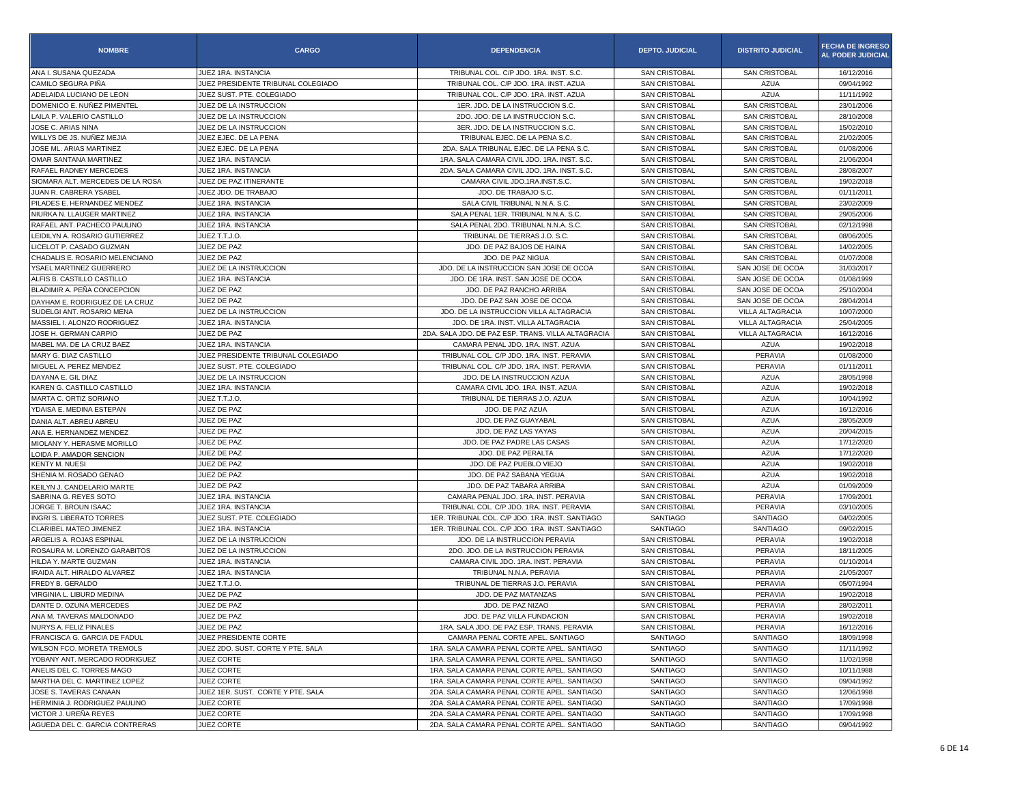| <b>NOMBRE</b>                    | <b>CARGO</b>                       | <b>DEPENDENCIA</b>                                 | <b>DEPTO. JUDICIAL</b> | <b>DISTRITO JUDICIAL</b> | <b>FECHA DE INGRESO</b><br><b>AL PODER JUDICIAL</b> |
|----------------------------------|------------------------------------|----------------------------------------------------|------------------------|--------------------------|-----------------------------------------------------|
| ANA I. SUSANA QUEZADA            | JUEZ 1RA. INSTANCIA                | TRIBUNAL COL. C/P JDO. 1RA. INST. S.C.             | <b>SAN CRISTOBAL</b>   | SAN CRISTOBAL            | 16/12/2016                                          |
| CAMILO SEGURA PIÑA               | JUEZ PRESIDENTE TRIBUNAL COLEGIADO | TRIBUNAL COL. C/P JDO. 1RA. INST. AZUA             | SAN CRISTOBAL          | <b>AZUA</b>              | 09/04/1992                                          |
| ADELAIDA LUCIANO DE LEON         | JUEZ SUST. PTE. COLEGIADO          | TRIBUNAL COL. C/P JDO. 1RA. INST. AZUA             | <b>SAN CRISTOBAL</b>   | <b>AZUA</b>              | 11/11/1992                                          |
| DOMENICO E. NUÑEZ PIMENTEL       | JUEZ DE LA INSTRUCCION             | 1ER. JDO. DE LA INSTRUCCION S.C                    | <b>SAN CRISTOBAL</b>   | SAN CRISTOBAL            | 23/01/2006                                          |
| LAILA P. VALERIO CASTILLO        | JUEZ DE LA INSTRUCCION             | 2DO. JDO. DE LA INSTRUCCION S.C.                   | <b>SAN CRISTOBAL</b>   | <b>SAN CRISTOBAL</b>     | 28/10/2008                                          |
| JOSE C. ARIAS NINA               | JUEZ DE LA INSTRUCCION             | 3ER. JDO. DE LA INSTRUCCION S.C.                   | <b>SAN CRISTOBAL</b>   | <b>SAN CRISTOBAL</b>     | 15/02/2010                                          |
| WILLYS DE JS. NUÑEZ MEJIA        | JUEZ EJEC. DE LA PENA              | TRIBUNAL EJEC. DE LA PENA S.C.                     | <b>SAN CRISTOBAL</b>   | SAN CRISTOBAL            | 21/02/2005                                          |
| JOSE ML. ARIAS MARTINEZ          | JUEZ EJEC. DE LA PENA              | 2DA. SALA TRIBUNAL EJEC. DE LA PENA S.C.           | <b>SAN CRISTOBAL</b>   | <b>SAN CRISTOBAL</b>     | 01/08/2006                                          |
| OMAR SANTANA MARTINEZ            | JUEZ 1RA. INSTANCIA                | 1RA. SALA CAMARA CIVIL JDO. 1RA. INST. S.C         | <b>SAN CRISTOBAL</b>   | <b>SAN CRISTOBAL</b>     | 21/06/2004                                          |
| RAFAEL RADNEY MERCEDES           | JUEZ 1RA. INSTANCIA                | 2DA. SALA CAMARA CIVIL JDO. 1RA. INST. S.C.        | <b>SAN CRISTOBAL</b>   | <b>SAN CRISTOBAL</b>     | 28/08/2007                                          |
| SIOMARA ALT. MERCEDES DE LA ROSA | JUEZ DE PAZ ITINERANTE             | CAMARA CIVIL JDO.1RA.INST.S.C.                     | <b>SAN CRISTOBAL</b>   | <b>SAN CRISTOBAL</b>     | 19/02/2018                                          |
| JUAN R. CABRERA YSABEL           | JUEZ JDO, DE TRABAJO               | JDO. DE TRABAJO S.C.                               | SAN CRISTOBAL          | <b>SAN CRISTOBAL</b>     | 01/11/2011                                          |
| PILADES E. HERNANDEZ MENDEZ      | JUEZ 1RA. INSTANCIA                | SALA CIVIL TRIBUNAL N.N.A. S.C.                    | <b>SAN CRISTOBAL</b>   | <b>SAN CRISTOBAL</b>     | 23/02/2009                                          |
| NIURKA N. LLAUGER MARTINEZ       | JUEZ 1RA. INSTANCIA                | SALA PENAL 1ER. TRIBUNAL N.N.A. S.C.               | <b>SAN CRISTOBAL</b>   | <b>SAN CRISTOBAL</b>     | 29/05/2006                                          |
| RAFAEL ANT. PACHECO PAULINO      | JUEZ 1RA. INSTANCIA                | SALA PENAL 2DO. TRIBUNAL N.N.A. S.C.               | <b>SAN CRISTOBAL</b>   | SAN CRISTOBAL            | 02/12/1998                                          |
| LEIDILYN A. ROSARIO GUTIERREZ    | JUEZ T.T.J.O.                      | TRIBUNAL DE TIERRAS J.O. S.C.                      | <b>SAN CRISTOBAL</b>   | <b>SAN CRISTOBAL</b>     | 08/06/2005                                          |
| LICELOT P. CASADO GUZMAN         | JUEZ DE PAZ                        | JDO. DE PAZ BAJOS DE HAINA                         | <b>SAN CRISTOBAL</b>   | SAN CRISTOBAL            | 14/02/2005                                          |
| CHADALIS E. ROSARIO MELENCIANO   | JUEZ DE PAZ                        | JDO. DE PAZ NIGUA                                  | <b>SAN CRISTOBAL</b>   | <b>SAN CRISTOBAL</b>     | 01/07/2008                                          |
| YSAEL MARTINEZ GUERRERO          | JUEZ DE LA INSTRUCCION             | JDO. DE LA INSTRUCCION SAN JOSE DE OCOA            | <b>SAN CRISTOBAL</b>   | SAN JOSE DE OCOA         | 31/03/2017                                          |
| ALFIS B. CASTILLO CASTILLO       | JUEZ 1RA. INSTANCIA                | JDO. DE 1RA. INST. SAN JOSE DE OCOA                | <b>SAN CRISTOBAL</b>   | SAN JOSE DE OCOA         | 01/08/1999                                          |
| BLADIMIR A. PEÑA CONCEPCION      | JUEZ DE PAZ                        | JDO. DE PAZ RANCHO ARRIBA                          | <b>SAN CRISTOBAL</b>   | SAN JOSE DE OCOA         | 25/10/2004                                          |
| DAYHAM E. RODRIGUEZ DE LA CRUZ   | JUEZ DE PAZ                        | JDO. DE PAZ SAN JOSE DE OCOA                       | SAN CRISTOBAL          | SAN JOSE DE OCOA         | 28/04/2014                                          |
| SUDELGI ANT. ROSARIO MENA        | JUEZ DE LA INSTRUCCION             | JDO. DE LA INSTRUCCION VILLA ALTAGRACIA            | <b>SAN CRISTOBAL</b>   | VILLA ALTAGRACIA         | 10/07/2000                                          |
| MASSIEL I. ALONZO RODRIGUEZ      | JUEZ 1RA. INSTANCIA                | JDO. DE 1RA. INST. VILLA ALTAGRACIA                | <b>SAN CRISTOBAL</b>   | VILLA ALTAGRACIA         | 25/04/2005                                          |
| JOSE H. GERMAN CARPIO            | JUEZ DE PAZ                        | 2DA. SALA JDO. DE PAZ ESP. TRANS. VILLA ALTAGRACIA | <b>SAN CRISTOBAL</b>   | VILLA ALTAGRACIA         | 16/12/2016                                          |
| MABEL MA. DE LA CRUZ BAEZ        | <b>JUEZ 1RA, INSTANCIA</b>         | CAMARA PENAL JDO. 1RA. INST. AZUA                  | <b>SAN CRISTOBAL</b>   | <b>AZUA</b>              | 19/02/2018                                          |
| MARY G. DIAZ CASTILLO            | JUEZ PRESIDENTE TRIBUNAL COLEGIADO | TRIBUNAL COL. C/P JDO. 1RA. INST. PERAVIA          | SAN CRISTOBAL          | PERAVIA                  | 01/08/2000                                          |
| MIGUEL A. PEREZ MENDEZ           | JUEZ SUST, PTE, COLEGIADO          | TRIBUNAL COL. C/P JDO, 1RA, INST, PERAVIA          | <b>SAN CRISTOBAL</b>   | PERAVIA                  | 01/11/2011                                          |
| DAYANA E. GIL DIAZ               | JUEZ DE LA INSTRUCCION             | JDO. DE LA INSTRUCCION AZUA                        | <b>SAN CRISTOBAL</b>   | <b>AZUA</b>              | 28/05/1998                                          |
| KAREN G. CASTILLO CASTILLO       | JUEZ 1RA. INSTANCIA                | CAMARA CIVIL JDO. 1RA. INST. AZUA                  | <b>SAN CRISTOBAL</b>   | <b>AZUA</b>              | 19/02/2018                                          |
| MARTA C. ORTIZ SORIANO           | JUEZ T.T.J.O.                      | TRIBUNAL DE TIERRAS J.O. AZUA                      | <b>SAN CRISTOBAL</b>   | <b>AZUA</b>              | 10/04/1992                                          |
| YDAISA E. MEDINA ESTEPAN         | JUEZ DE PAZ                        | JDO. DE PAZ AZUA                                   | <b>SAN CRISTOBAL</b>   | <b>AZUA</b>              | 16/12/2016                                          |
| DANIA ALT. ABREU ABREU           | JUEZ DE PAZ                        | JDO. DE PAZ GUAYABAL                               | <b>SAN CRISTOBAL</b>   | <b>AZUA</b>              | 28/05/2009                                          |
| ANA E. HERNANDEZ MENDEZ          | JUEZ DE PAZ                        | JDO. DE PAZ LAS YAYAS                              | <b>SAN CRISTOBAL</b>   | <b>AZUA</b>              | 20/04/2015                                          |
| MIOLANY Y. HERASME MORILLO       | JUEZ DE PAZ                        | JDO. DE PAZ PADRE LAS CASAS                        | <b>SAN CRISTOBAL</b>   | <b>AZUA</b>              | 17/12/2020                                          |
| LOIDA P. AMADOR SENCION          | JUEZ DE PAZ                        | JDO. DE PAZ PERALTA                                | <b>SAN CRISTOBAL</b>   | <b>AZUA</b>              | 17/12/2020                                          |
| KENTY M. NUESI                   | JUEZ DE PAZ                        | JDO. DE PAZ PUEBLO VIEJO                           | SAN CRISTOBAL          | <b>AZUA</b>              | 19/02/2018                                          |
| SHENIA M. ROSADO GENAO           | JUEZ DE PAZ                        | JDO. DE PAZ SABANA YEGUA                           | <b>SAN CRISTOBAL</b>   | <b>AZUA</b>              | 19/02/2018                                          |
| KEILYN J. CANDELARIO MARTE       | JUEZ DE PAZ                        | JDO. DE PAZ TABARA ARRIBA                          | <b>SAN CRISTOBAL</b>   | <b>AZUA</b>              | 01/09/2009                                          |
| SABRINA G. REYES SOTO            | JUEZ 1RA. INSTANCIA                | CAMARA PENAL JDO. 1RA. INST. PERAVIA               | <b>SAN CRISTOBAL</b>   | PERAVIA                  | 17/09/2001                                          |
| JORGE T. BROUN ISAAC             | JUEZ 1RA. INSTANCIA                | TRIBUNAL COL. C/P JDO. 1RA. INST. PERAVIA          | <b>SAN CRISTOBAL</b>   | PERAVIA                  | 03/10/2005                                          |
| INGRI S. LIBERATO TORRES         | JUEZ SUST. PTE. COLEGIADO          | 1ER. TRIBUNAL COL. C/P JDO. 1RA. INST. SANTIAGO    | SANTIAGO               | SANTIAGO                 | 04/02/2005                                          |
| CLARIBEL MATEO JIMENEZ           | <b>JUEZ 1RA, INSTANCIA</b>         | 1ER. TRIBUNAL COL. C/P JDO. 1RA. INST. SANTIAGO    | <b>SANTIAGO</b>        | <b>SANTIAGO</b>          | 09/02/2015                                          |
| ARGELIS A. ROJAS ESPINAL         | JUEZ DE LA INSTRUCCION             | JDO, DE LA INSTRUCCION PERAVIA                     | <b>SAN CRISTOBAL</b>   | PERAVIA                  | 19/02/2018                                          |
| ROSAURA M. LORENZO GARABITOS     | JUEZ DE LA INSTRUCCION             | 2DO. JDO. DE LA INSTRUCCION PERAVIA                | <b>SAN CRISTOBAL</b>   | PERAVIA                  | 18/11/2005                                          |
| HILDA Y. MARTE GUZMAN            | JUEZ 1RA. INSTANCIA                | CAMARA CIVIL JDO. 1RA. INST. PERAVIA               | <b>SAN CRISTOBAL</b>   | PERAVIA                  | 01/10/2014                                          |
| IRAIDA ALT. HIRALDO ALVAREZ      | JUEZ 1RA. INSTANCIA                | TRIBUNAL N.N.A. PERAVIA                            | <b>SAN CRISTOBAL</b>   | PERAVIA                  | 21/05/2007                                          |
| FREDY B. GERALDO                 | JUEZ T.T.J.O.                      | TRIBUNAL DE TIERRAS J.O. PERAVIA                   | <b>SAN CRISTOBAL</b>   | PERAVIA                  | 05/07/1994                                          |
| VIRGINIA L. LIBURD MEDINA        | JUEZ DE PAZ                        | JDO. DE PAZ MATANZAS                               | <b>SAN CRISTOBAL</b>   | PERAVIA                  | 19/02/2018                                          |
| DANTE D. OZUNA MERCEDES          | JUEZ DE PAZ                        | JDO. DE PAZ NIZAO                                  | <b>SAN CRISTOBAL</b>   | PERAVIA                  | 28/02/2011                                          |
| ANA M. TAVERAS MALDONADO         | JUEZ DE PAZ                        | JDO. DE PAZ VILLA FUNDACION                        | SAN CRISTOBAL          | PERAVIA                  | 19/02/2018                                          |
| NURYS A. FELIZ PINALES           | JUEZ DE PAZ                        | 1RA. SALA JDO. DE PAZ ESP. TRANS. PERAVIA          | SAN CRISTOBAL          | PERAVIA                  | 16/12/2016                                          |
| FRANCISCA G. GARCIA DE FADUL     | JUEZ PRESIDENTE CORTE              | CAMARA PENAL CORTE APEL. SANTIAGO                  | SANTIAGO               | <b>SANTIAGO</b>          | 18/09/1998                                          |
| WILSON FCO. MORETA TREMOLS       | JUEZ 2DO. SUST. CORTE Y PTE. SALA  | 1RA. SALA CAMARA PENAL CORTE APEL. SANTIAGO        | SANTIAGO               | SANTIAGO                 | 11/11/1992                                          |
| YOBANY ANT. MERCADO RODRIGUEZ    | JUEZ CORTE                         | 1RA. SALA CAMARA PENAL CORTE APEL. SANTIAGO        | <b>SANTIAGO</b>        | SANTIAGO                 | 11/02/1998                                          |
| ANELIS DEL C. TORRES MAGO        | JUEZ CORTE                         | 1RA. SALA CAMARA PENAL CORTE APEL. SANTIAGO        | SANTIAGO               | SANTIAGO                 | 10/11/1988                                          |
| MARTHA DEL C. MARTINEZ LOPEZ     | JUEZ CORTE                         | 1RA. SALA CAMARA PENAL CORTE APEL. SANTIAGO        | SANTIAGO               | SANTIAGO                 | 09/04/1992                                          |
| JOSE S. TAVERAS CANAAN           | JUEZ 1ER, SUST. CORTE Y PTE, SALA  | 2DA. SALA CAMARA PENAL CORTE APEL. SANTIAGO        | <b>SANTIAGO</b>        | <b>SANTIAGO</b>          | 12/06/1998                                          |
| HERMINIA J. RODRIGUEZ PAULINO    | JUEZ CORTE                         | 2DA. SALA CAMARA PENAL CORTE APEL. SANTIAGO        | SANTIAGO               | SANTIAGO                 | 17/09/1998                                          |
| VICTOR J. UREÑA REYES            | JUEZ CORTE                         | 2DA. SALA CAMARA PENAL CORTE APEL. SANTIAGO        | <b>SANTIAGO</b>        | SANTIAGO                 | 17/09/1998                                          |
| AGUEDA DEL C. GARCIA CONTRERAS   | JUEZ CORTE                         | 2DA. SALA CAMARA PENAL CORTE APEL. SANTIAGO        | SANTIAGO               | SANTIAGO                 | 09/04/1992                                          |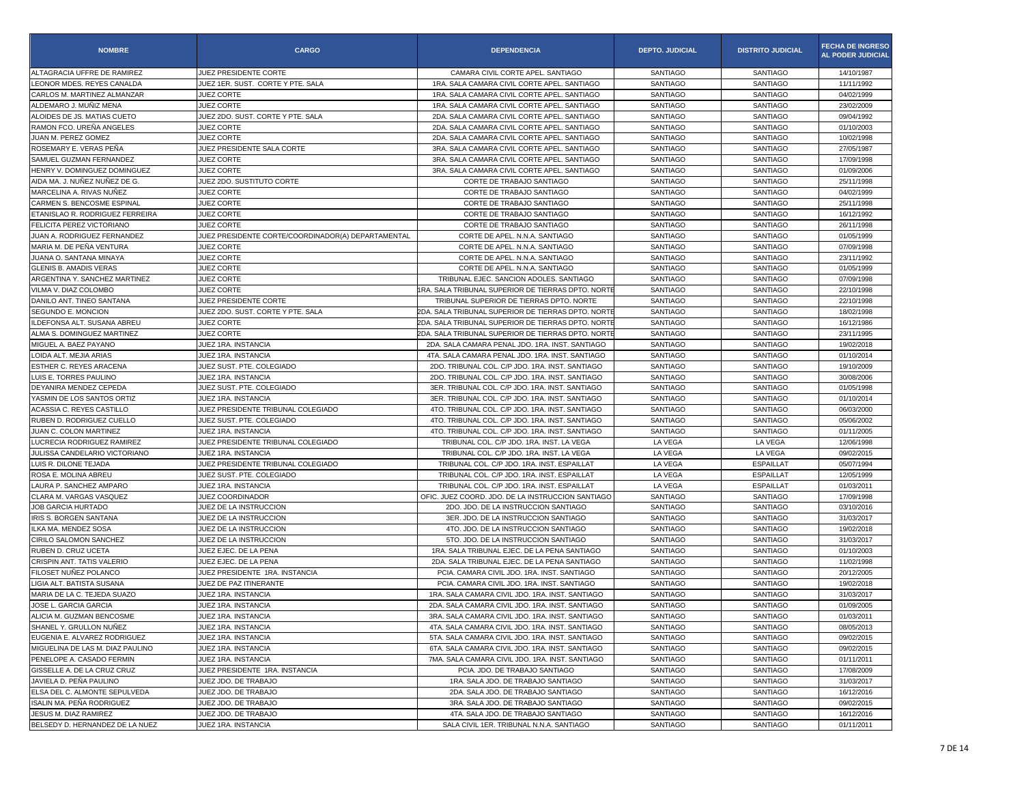| <b>NOMBRE</b>                    | <b>CARGO</b>                                       | <b>DEPENDENCIA</b>                                 | <b>DEPTO. JUDICIAL</b> | <b>DISTRITO JUDICIAL</b> | <b>FECHA DE INGRESO</b><br>AL PODER JUDICIAL |
|----------------------------------|----------------------------------------------------|----------------------------------------------------|------------------------|--------------------------|----------------------------------------------|
| ALTAGRACIA UFFRE DE RAMIREZ      | JUEZ PRESIDENTE CORTE                              | CAMARA CIVIL CORTE APEL. SANTIAGO                  | SANTIAGO               | SANTIAGO                 | 14/10/1987                                   |
| LEONOR MDES. REYES CANALDA       | JUEZ 1ER. SUST. CORTE Y PTE. SALA                  | 1RA. SALA CAMARA CIVIL CORTE APEL. SANTIAGO        | SANTIAGO               | SANTIAGO                 | 11/11/1992                                   |
| CARLOS M. MARTINEZ ALMANZAR      | JUEZ CORTE                                         | 1RA. SALA CAMARA CIVIL CORTE APEL. SANTIAGO        | SANTIAGO               | SANTIAGO                 | 04/02/1999                                   |
| ALDEMARO J. MUÑIZ MENA           | <b>JUEZ CORTE</b>                                  | 1RA. SALA CAMARA CIVIL CORTE APEL. SANTIAGO        | SANTIAGO               | <b>SANTIAGO</b>          | 23/02/2009                                   |
| ALOIDES DE JS. MATIAS CUETO      | JUEZ 2DO, SUST, CORTE Y PTE, SALA                  | 2DA. SALA CAMARA CIVIL CORTE APEL. SANTIAGO        | SANTIAGO               | SANTIAGO                 | 09/04/1992                                   |
| RAMON FCO. UREÑA ANGELES         | <b>JUEZ CORTE</b>                                  | 2DA. SALA CAMARA CIVIL CORTE APEL. SANTIAGO        | SANTIAGO               | <b>SANTIAGO</b>          | 01/10/2003                                   |
| JUAN M. PEREZ GOMEZ              | JUEZ CORTE                                         | 2DA. SALA CAMARA CIVIL CORTE APEL. SANTIAGO        | SANTIAGO               | SANTIAGO                 | 10/02/1998                                   |
| ROSEMARY E. VERAS PEÑA           | JUEZ PRESIDENTE SALA CORTE                         | 3RA. SALA CAMARA CIVIL CORTE APEL. SANTIAGO        | <b>SANTIAGO</b>        | <b>SANTIAGO</b>          | 27/05/1987                                   |
| SAMUEL GUZMAN FERNANDEZ          | <b>JUEZ CORTE</b>                                  | 3RA. SALA CAMARA CIVIL CORTE APEL. SANTIAGO        | SANTIAGO               | SANTIAGO                 | 17/09/1998                                   |
| HENRY V. DOMINGUEZ DOMINGUEZ     | <b>JUEZ CORTE</b>                                  | 3RA, SALA CAMARA CIVIL CORTE APEL, SANTIAGO        | SANTIAGO               | <b>SANTIAGO</b>          | 01/09/2006                                   |
| AIDA MA. J. NUÑEZ NUÑEZ DE G.    | JUEZ 2DO. SUSTITUTO CORTE                          | CORTE DE TRABAJO SANTIAGO                          | SANTIAGO               | <b>SANTIAGO</b>          | 25/11/1998                                   |
| MARCELINA A. RIVAS NUÑEZ         | JUEZ CORTE                                         | CORTE DE TRABAJO SANTIAGO                          | SANTIAGO               | SANTIAGO                 | 04/02/1999                                   |
| CARMEN S. BENCOSME ESPINAL       | JUEZ CORTE                                         | CORTE DE TRABAJO SANTIAGO                          | SANTIAGO               | SANTIAGO                 | 25/11/1998                                   |
| ETANISLAO R. RODRIGUEZ FERREIRA  | <b>JUEZ CORTE</b>                                  | CORTE DE TRABAJO SANTIAGO                          | SANTIAGO               | SANTIAGO                 | 16/12/1992                                   |
| FELICITA PEREZ VICTORIANO        | JUEZ CORTE                                         | CORTE DE TRABAJO SANTIAGO                          | SANTIAGO               | <b>SANTIAGO</b>          | 26/11/1998                                   |
| JUAN A. RODRIGUEZ FERNANDEZ      | JUEZ PRESIDENTE CORTE/COORDINADOR(A) DEPARTAMENTAL | CORTE DE APEL. N.N.A. SANTIAGO                     | <b>SANTIAGO</b>        | <b>SANTIAGO</b>          | 01/05/1999                                   |
| MARIA M. DE PEÑA VENTURA         | JUEZ CORTE                                         | CORTE DE APEL. N.N.A. SANTIAGO                     | SANTIAGO               | SANTIAGO                 | 07/09/1998                                   |
| JUANA O. SANTANA MINAYA          | JUEZ CORTE                                         | CORTE DE APEL. N.N.A. SANTIAGO                     | SANTIAGO               | <b>SANTIAGO</b>          | 23/11/1992                                   |
| <b>GLENIS B. AMADIS VERAS</b>    | <b>JUEZ CORTE</b>                                  | CORTE DE APEL. N.N.A. SANTIAGO                     | SANTIAGO               | SANTIAGO                 | 01/05/1999                                   |
| ARGENTINA Y. SANCHEZ MARTINEZ    | JUEZ CORTE                                         | TRIBUNAL EJEC. SANCION ADOLES. SANTIAGO            | <b>SANTIAGO</b>        | <b>SANTIAGO</b>          | 07/09/1998                                   |
| VILMA V. DIAZ COLOMBO            | JUEZ CORTE                                         | 1RA. SALA TRIBUNAL SUPERIOR DE TIERRAS DPTO. NORTE | SANTIAGO               | <b>SANTIAGO</b>          | 22/10/1998                                   |
| DANILO ANT. TINEO SANTANA        | JUEZ PRESIDENTE CORTE                              | TRIBUNAL SUPERIOR DE TIERRAS DPTO. NORTE           | SANTIAGO               | SANTIAGO                 | 22/10/1998                                   |
| SEGUNDO E. MONCION               | JUEZ 2DO. SUST. CORTE Y PTE. SALA                  | 2DA. SALA TRIBUNAL SUPERIOR DE TIERRAS DPTO. NORTE | <b>SANTIAGO</b>        | <b>SANTIAGO</b>          | 18/02/1998                                   |
| ILDEFONSA ALT. SUSANA ABREU      | <b>JUEZ CORTE</b>                                  | 2DA. SALA TRIBUNAL SUPERIOR DE TIERRAS DPTO. NORT  | SANTIAGO               | SANTIAGO                 | 16/12/1986                                   |
| ALMA S. DOMINGUEZ MARTINEZ       | JUEZ CORTE                                         | 2DA. SALA TRIBUNAL SUPERIOR DE TIERRAS DPTO. NORT  | <b>SANTIAGO</b>        | <b>SANTIAGO</b>          | 23/11/1995                                   |
| MIGUEL A. BAEZ PAYANO            | JUEZ 1RA. INSTANCIA                                | 2DA. SALA CAMARA PENAL JDO. 1RA. INST. SANTIAGO    | SANTIAGO               | <b>SANTIAGO</b>          | 19/02/2018                                   |
| LOIDA ALT. MEJIA ARIAS           | JUEZ 1RA, INSTANCIA                                | 4TA. SALA CAMARA PENAL JDO. 1RA. INST. SANTIAGO    | SANTIAGO               | SANTIAGO                 | 01/10/2014                                   |
| ESTHER C. REYES ARACENA          | JUEZ SUST. PTE. COLEGIADO                          | 2DO. TRIBUNAL COL. C/P JDO. 1RA. INST. SANTIAGO    | <b>SANTIAGO</b>        | <b>SANTIAGO</b>          | 19/10/2009                                   |
| LUIS E. TORRES PAULINO           | JUEZ 1RA. INSTANCIA                                | 2DO, TRIBUNAL COL, C/P JDO, 1RA, INST, SANTIAGO    | SANTIAGO               | SANTIAGO                 | 30/08/2006                                   |
| DEYANIRA MENDEZ CEPEDA           | JUEZ SUST, PTE, COLEGIADO                          | 3ER. TRIBUNAL COL. C/P JDO. 1RA. INST. SANTIAGO    | <b>SANTIAGO</b>        | <b>SANTIAGO</b>          | 01/05/1998                                   |
| YASMIN DE LOS SANTOS ORTIZ       | JUEZ 1RA. INSTANCIA                                | 3ER. TRIBUNAL COL. C/P JDO. 1RA. INST. SANTIAGO    | SANTIAGO               | <b>SANTIAGO</b>          | 01/10/2014                                   |
| ACASSIA C. REYES CASTILLO        | JUEZ PRESIDENTE TRIBUNAL COLEGIADO                 | 4TO. TRIBUNAL COL. C/P JDO. 1RA. INST. SANTIAGO    | SANTIAGO               | <b>SANTIAGO</b>          | 06/03/2000                                   |
| RUBEN D. RODRIGUEZ CUELLO        | JUEZ SUST. PTE. COLEGIADO                          | 4TO. TRIBUNAL COL. C/P JDO. 1RA. INST. SANTIAGO    | <b>SANTIAGO</b>        | <b>SANTIAGO</b>          | 05/06/2002                                   |
| JUAN C. COLON MARTINEZ           | JUEZ 1RA. INSTANCIA                                | 4TO. TRIBUNAL COL. C/P JDO. 1RA. INST. SANTIAGO    | SANTIAGO               | SANTIAGO                 | 01/11/2005                                   |
| LUCRECIA RODRIGUEZ RAMIREZ       | JUEZ PRESIDENTE TRIBUNAL COLEGIADO                 | TRIBUNAL COL. C/P JDO. 1RA. INST. LA VEGA          | LA VEGA                | LA VEGA                  | 12/06/1998                                   |
| JULISSA CANDELARIO VICTORIANO    | JUEZ 1RA. INSTANCIA                                | TRIBUNAL COL. C/P JDO. 1RA. INST. LA VEGA          | LA VEGA                | LA VEGA                  | 09/02/2015                                   |
| LUIS R. DILONE TEJADA            | JUEZ PRESIDENTE TRIBUNAL COLEGIADO                 | TRIBUNAL COL. C/P JDO. 1RA. INST. ESPAILLAT        | LA VEGA                | <b>ESPAILLAT</b>         | 05/07/1994                                   |
| ROSA E. MOLINA ABREU             | JUEZ SUST. PTE. COLEGIADO                          | TRIBUNAL COL. C/P JDO. 1RA. INST. ESPAILLAT        | LA VEGA                | <b>ESPAILLAT</b>         | 12/05/1999                                   |
| LAURA P. SANCHEZ AMPARO          | JUEZ 1RA. INSTANCIA                                | TRIBUNAL COL. C/P JDO. 1RA. INST. ESPAILLAT        | LA VEGA                | <b>ESPAILLAT</b>         | 01/03/2011                                   |
| CLARA M. VARGAS VASQUEZ          | JUEZ COORDINADOR                                   | OFIC. JUEZ COORD. JDO. DE LA INSTRUCCION SANTIAGO  | <b>SANTIAGO</b>        | SANTIAGO                 | 17/09/1998                                   |
| <b>JOB GARCIA HURTADO</b>        | JUEZ DE LA INSTRUCCION                             | 2DO. JDO. DE LA INSTRUCCION SANTIAGO               | SANTIAGO               | <b>SANTIAGO</b>          | 03/10/2016                                   |
| IRIS S. BORGEN SANTANA           | JUEZ DE LA INSTRUCCION                             | 3ER. JDO. DE LA INSTRUCCION SANTIAGO               | SANTIAGO               | SANTIAGO                 | 31/03/2017                                   |
| ILKA MA. MENDEZ SOSA             | JUEZ DE LA INSTRUCCION                             | 4TO, JDO, DE LA INSTRUCCION SANTIAGO               | <b>SANTIAGO</b>        | SANTIAGO                 | 19/02/2018                                   |
| CIRILO SALOMON SANCHEZ           | JUEZ DE LA INSTRUCCION                             | 5TO. JDO. DE LA INSTRUCCION SANTIAGO               | SANTIAGO               | SANTIAGO                 | 31/03/2017                                   |
| RUBEN D. CRUZ UCETA              | JUEZ EJEC. DE LA PENA                              | 1RA, SALA TRIBUNAL EJEC, DE LA PENA SANTIAGO       | <b>SANTIAGO</b>        | <b>SANTIAGO</b>          | 01/10/2003                                   |
| CRISPIN ANT. TATIS VALERIO       | JUEZ EJEC, DE LA PENA                              | 2DA. SALA TRIBUNAL EJEC. DE LA PENA SANTIAGO       | SANTIAGO               | <b>SANTIAGO</b>          | 11/02/1998                                   |
| FILOSET NUÑEZ POLANCO            | JUEZ PRESIDENTE 1RA. INSTANCIA                     | PCIA. CAMARA CIVIL JDO. 1RA. INST. SANTIAGO        | SANTIAGO               | SANTIAGO                 | 20/12/2005                                   |
| LIGIA ALT. BATISTA SUSANA        | JUEZ DE PAZ ITINERANTE                             | PCIA, CAMARA CIVIL JDO, 1RA, INST. SANTIAGO        | <b>SANTIAGO</b>        | SANTIAGO                 | 19/02/2018                                   |
| MARIA DE LA C. TEJEDA SUAZO      | JUEZ 1RA, INSTANCIA                                | 1RA, SALA CAMARA CIVIL JDO, 1RA, INST, SANTIAGO    | SANTIAGO               | SANTIAGO                 | 31/03/2017                                   |
| JOSE L. GARCIA GARCIA            | JUEZ 1RA. INSTANCIA                                | 2DA, SALA CAMARA CIVIL JDO, 1RA, INST, SANTIAGO    | <b>SANTIAGO</b>        | SANTIAGO                 | 01/09/2005                                   |
| ALICIA M. GUZMAN BENCOSME        | JUEZ 1RA. INSTANCIA                                | 3RA. SALA CAMARA CIVIL JDO. 1RA. INST. SANTIAGO    | SANTIAGO               | SANTIAGO                 | 01/03/2011                                   |
| SHANEL Y. GRULLON NUÑEZ          | JUEZ 1RA. INSTANCIA                                | 4TA. SALA CAMARA CIVIL JDO. 1RA. INST. SANTIAGO    | <b>SANTIAGO</b>        | SANTIAGO                 | 08/05/2013                                   |
| EUGENIA E. ALVAREZ RODRIGUEZ     | JUEZ 1RA. INSTANCIA                                | 5TA, SALA CAMARA CIVIL JDO, 1RA, INST, SANTIAGO    | <b>SANTIAGO</b>        | <b>SANTIAGO</b>          | 09/02/2015                                   |
| MIGUELINA DE LAS M. DIAZ PAULINO | JUEZ 1RA. INSTANCIA                                | 6TA. SALA CAMARA CIVIL JDO. 1RA. INST. SANTIAGO    | SANTIAGO               | SANTIAGO                 | 09/02/2015                                   |
| PENELOPE A. CASADO FERMIN        | JUEZ 1RA. INSTANCIA                                | 7MA. SALA CAMARA CIVIL JDO. 1RA. INST. SANTIAGO    | SANTIAGO               | SANTIAGO                 | 01/11/2011                                   |
| GISSELLE A. DE LA CRUZ CRUZ      | JUEZ PRESIDENTE 1RA. INSTANCIA                     | PCIA. JDO. DE TRABAJO SANTIAGO                     | SANTIAGO               | SANTIAGO                 | 17/08/2009                                   |
| JAVIELA D. PEÑA PAULINO          | JUEZ JDO. DE TRABAJO                               | 1RA. SALA JDO. DE TRABAJO SANTIAGO                 | SANTIAGO               | SANTIAGO                 | 31/03/2017                                   |
| ELSA DEL C. ALMONTE SEPULVEDA    | JUEZ JDO. DE TRABAJO                               | 2DA. SALA JDO. DE TRABAJO SANTIAGO                 | <b>SANTIAGO</b>        | SANTIAGO                 | 16/12/2016                                   |
| ISALIN MA. PEÑA RODRIGUEZ        | JUEZ JDO. DE TRABAJO                               | 3RA. SALA JDO. DE TRABAJO SANTIAGO                 | SANTIAGO               | SANTIAGO                 | 09/02/2015                                   |
| JESUS M. DIAZ RAMIREZ            | JUEZ JDO. DE TRABAJO                               | 4TA. SALA JDO. DE TRABAJO SANTIAGO                 | <b>SANTIAGO</b>        | SANTIAGO                 | 16/12/2016                                   |
| BELSEDY D. HERNANDEZ DE LA NUEZ  | JUEZ 1RA. INSTANCIA                                | SALA CIVIL 1ER. TRIBUNAL N.N.A. SANTIAGO           | SANTIAGO               | SANTIAGO                 | 01/11/2011                                   |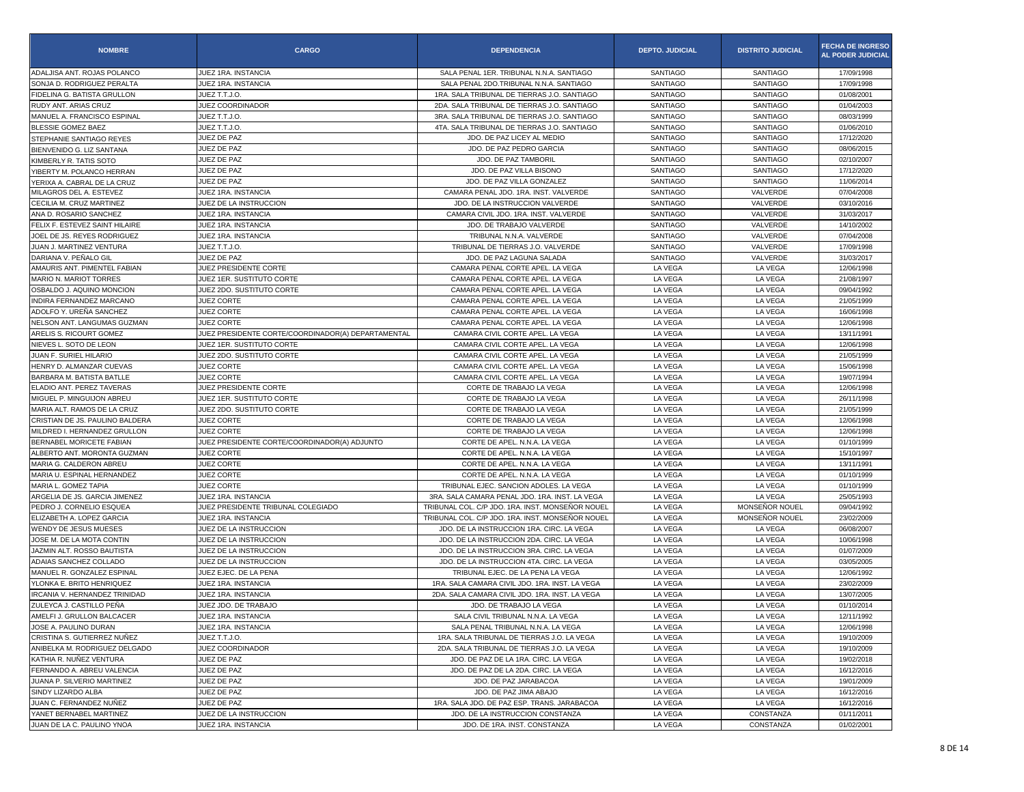| <b>NOMBRE</b>                   | <b>CARGO</b>                                       | <b>DEPENDENCIA</b>                               | <b>DEPTO. JUDICIAL</b> | <b>DISTRITO JUDICIAL</b> | <b>FECHA DE INGRESO</b><br><b>AL PODER JUDICIAL</b> |
|---------------------------------|----------------------------------------------------|--------------------------------------------------|------------------------|--------------------------|-----------------------------------------------------|
| ADALJISA ANT. ROJAS POLANCO     | JUEZ 1RA. INSTANCIA                                | SALA PENAL 1ER. TRIBUNAL N.N.A. SANTIAGO         | <b>SANTIAGO</b>        | SANTIAGO                 | 17/09/1998                                          |
| SONJA D. RODRIGUEZ PERALTA      | JUEZ 1RA. INSTANCIA                                | SALA PENAL 2DO.TRIBUNAL N.N.A. SANTIAGO          | <b>SANTIAGO</b>        | SANTIAGO                 | 17/09/1998                                          |
| FIDELINA G. BATISTA GRULLON     | JUEZ T.T.J.O.                                      | 1RA. SALA TRIBUNAL DE TIERRAS J.O. SANTIAGO      | <b>SANTIAGO</b>        | SANTIAGO                 | 01/08/2001                                          |
| RUDY ANT. ARIAS CRUZ            | JUEZ COORDINADOR                                   | 2DA. SALA TRIBUNAL DE TIERRAS J.O. SANTIAGO      | SANTIAGO               | <b>SANTIAGO</b>          | 01/04/2003                                          |
| MANUEL A. FRANCISCO ESPINAL     | JUEZ T.T.J.O.                                      | 3RA. SALA TRIBUNAL DE TIERRAS J.O. SANTIAGO      | <b>SANTIAGO</b>        | SANTIAGO                 | 08/03/1999                                          |
| <b>BLESSIE GOMEZ BAEZ</b>       | JUEZ T.T.J.O.                                      | 4TA. SALA TRIBUNAL DE TIERRAS J.O. SANTIAGO      | <b>SANTIAGO</b>        | <b>SANTIAGO</b>          | 01/06/2010                                          |
| STEPHANIE SANTIAGO REYES        | JUEZ DE PAZ                                        | JDO. DE PAZ LICEY AL MEDIO                       | <b>SANTIAGO</b>        | SANTIAGO                 | 17/12/2020                                          |
| BIENVENIDO G. LIZ SANTANA       | JUEZ DE PAZ                                        | JDO. DE PAZ PEDRO GARCIA                         | <b>SANTIAGO</b>        | SANTIAGO                 | 08/06/2015                                          |
| KIMBERLY R. TATIS SOTO          | JUEZ DE PAZ                                        | JDO. DE PAZ TAMBORII                             | <b>SANTIAGO</b>        | <b>SANTIAGO</b>          | 02/10/2007                                          |
| YIBERTY M. POLANCO HERRAN       | JUEZ DE PAZ                                        | JDO. DE PAZ VILLA BISONO                         | <b>SANTIAGO</b>        | SANTIAGO                 | 17/12/2020                                          |
| YERIXA A. CABRAL DE LA CRUZ     | JUEZ DE PAZ                                        | JDO. DE PAZ VILLA GONZALEZ                       | <b>SANTIAGO</b>        | <b>SANTIAGO</b>          | 11/06/2014                                          |
| MILAGROS DEL A. ESTEVEZ         | JUEZ 1RA. INSTANCIA                                | CAMARA PENAL JDO, 1RA, INST, VALVERDE            | <b>SANTIAGO</b>        | VALVERDE                 | 07/04/2008                                          |
| CECILIA M. CRUZ MARTINEZ        | JUEZ DE LA INSTRUCCION                             | JDO. DE LA INSTRUCCION VALVERDE                  | <b>SANTIAGO</b>        | VALVERDE                 | 03/10/2016                                          |
| ANA D. ROSARIO SANCHEZ          | JUEZ 1RA. INSTANCIA                                | CAMARA CIVIL JDO. 1RA. INST. VALVERDE            | SANTIAGO               | VALVERDE                 | 31/03/2017                                          |
| FELIX F. ESTEVEZ SAINT HILAIRE  | JUEZ 1RA. INSTANCIA                                | JDO. DE TRABAJO VALVERDE                         | <b>SANTIAGO</b>        | VALVERDE                 | 14/10/2002                                          |
| JOEL DE JS. REYES RODRIGUEZ     | JUEZ 1RA. INSTANCIA                                | TRIBUNAL N.N.A. VALVERDE                         | <b>SANTIAGO</b>        | VALVERDE                 | 07/04/2008                                          |
| JUAN J. MARTINEZ VENTURA        | JUEZ T.T.J.O.                                      | TRIBUNAL DE TIERRAS J.O. VALVERDE                | <b>SANTIAGO</b>        | VALVERDE                 | 17/09/1998                                          |
| DARIANA V. PEÑALO GIL           | JUEZ DE PAZ                                        | JDO. DE PAZ LAGUNA SALADA                        | SANTIAGO               | VALVERDE                 | 31/03/2017                                          |
| AMAURIS ANT. PIMENTEL FABIAN    | JUEZ PRESIDENTE CORTE                              | CAMARA PENAL CORTE APEL. LA VEGA                 | LA VEGA                | LA VEGA                  | 12/06/1998                                          |
| MARIO N. MARIOT TORRES          | JUEZ 1ER. SUSTITUTO CORTE                          | CAMARA PENAL CORTE APEL. LA VEGA                 | LA VEGA                | LA VEGA                  | 21/08/1997                                          |
| OSBALDO J. AQUINO MONCION       | JUEZ 2DO. SUSTITUTO CORTE                          | CAMARA PENAL CORTE APEL. LA VEGA                 | LA VEGA                | LA VEGA                  | 09/04/1992                                          |
| INDIRA FERNANDEZ MARCANO        | JUEZ CORTE                                         | CAMARA PENAL CORTE APEL. LA VEGA                 | LA VEGA                | LA VEGA                  | 21/05/1999                                          |
| ADOLFO Y. UREÑA SANCHEZ         | JUEZ CORTE                                         | CAMARA PENAL CORTE APEL. LA VEGA                 | LA VEGA                | LA VEGA                  | 16/06/1998                                          |
| NELSON ANT. LANGUMAS GUZMAN     | JUEZ CORTE                                         | CAMARA PENAL CORTE APEL. LA VEGA                 | LA VEGA                | LA VEGA                  | 12/06/1998                                          |
| ARELIS S. RICOURT GOMEZ         | JUEZ PRESIDENTE CORTE/COORDINADOR(A) DEPARTAMENTAL | CAMARA CIVIL CORTE APEL. LA VEGA                 | LA VEGA                | LA VEGA                  | 13/11/1991                                          |
| NIEVES L. SOTO DE LEON          | JUEZ 1ER. SUSTITUTO CORTE                          | CAMARA CIVIL CORTE APEL. LA VEGA                 | LA VEGA                | LA VEGA                  | 12/06/1998                                          |
| JUAN F. SURIEL HILARIO          | JUEZ 2DO. SUSTITUTO CORTE                          | CAMARA CIVIL CORTE APEL. LA VEGA                 | LA VEGA                | LA VEGA                  | 21/05/1999                                          |
| HENRY D. ALMANZAR CUEVAS        | JUEZ CORTE                                         | CAMARA CIVIL CORTE APEL. LA VEGA                 | LA VEGA                | LA VEGA                  | 15/06/1998                                          |
| BARBARA M. BATISTA BATLLE       | <b>JUEZ CORTE</b>                                  | CAMARA CIVIL CORTE APEL. LA VEGA                 | LA VEGA                | LA VEGA                  | 19/07/1994                                          |
| ELADIO ANT. PEREZ TAVERAS       | JUEZ PRESIDENTE CORTE                              | CORTE DE TRABAJO LA VEGA                         | LA VEGA                | LA VEGA                  | 12/06/1998                                          |
| MIGUEL P. MINGUIJON ABREU       | JUEZ 1ER. SUSTITUTO CORTE                          | CORTE DE TRABAJO LA VEGA                         | LA VEGA                | LA VEGA                  | 26/11/1998                                          |
| MARIA ALT. RAMOS DE LA CRUZ     | JUEZ 2DO. SUSTITUTO CORTE                          | CORTE DE TRABAJO LA VEGA                         | LA VEGA                | LA VEGA                  | 21/05/1999                                          |
| CRISTIAN DE JS. PAULINO BALDERA | JUEZ CORTE                                         | CORTE DE TRABAJO LA VEGA                         | LA VEGA                | LA VEGA                  | 12/06/1998                                          |
| MILDRED I. HERNANDEZ GRULLON    | JUEZ CORTE                                         | CORTE DE TRABAJO LA VEGA                         | LA VEGA                | LA VEGA                  | 12/06/1998                                          |
| BERNABEL MORICETE FABIAN        | JUEZ PRESIDENTE CORTE/COORDINADOR(A) ADJUNTO       | CORTE DE APEL. N.N.A. LA VEGA                    | LA VEGA                | LA VEGA                  | 01/10/1999                                          |
| ALBERTO ANT. MORONTA GUZMAN     | <b>JUEZ CORTE</b>                                  | CORTE DE APEL. N.N.A. LA VEGA                    | LA VEGA                | LA VEGA                  | 15/10/1997                                          |
| MARIA G. CALDERON ABREU         | JUEZ CORTE                                         | CORTE DE APEL. N.N.A. LA VEGA                    | LA VEGA                | LA VEGA                  | 13/11/1991                                          |
| MARIA U. ESPINAL HERNANDEZ      | JUEZ CORTE                                         | CORTE DE APEL. N.N.A. LA VEGA                    | LA VEGA                | LA VEGA                  | 01/10/1999                                          |
| MARIA L. GOMEZ TAPIA            | JUEZ CORTE                                         | TRIBUNAL EJEC. SANCION ADOLES. LA VEGA           | LA VEGA                | LA VEGA                  | 01/10/1999                                          |
| ARGELIA DE JS. GARCIA JIMENEZ   | JUEZ 1RA. INSTANCIA                                | 3RA. SALA CAMARA PENAL JDO. 1RA. INST. LA VEGA   | LA VEGA                | LA VEGA                  | 25/05/1993                                          |
| PEDRO J. CORNELIO ESQUEA        | JUEZ PRESIDENTE TRIBUNAL COLEGIADO                 | TRIBUNAL COL. C/P JDO. 1RA. INST. MONSEÑOR NOUEL | LA VEGA                | MONSEÑOR NOUEL           | 09/04/1992                                          |
| ELIZABETH A. LOPEZ GARCIA       | JUEZ 1RA. INSTANCIA                                | TRIBUNAL COL. C/P JDO. 1RA. INST. MONSEÑOR NOUEL | LA VEGA                | MONSENOR NOUEL           | 23/02/2009                                          |
| WENDY DE JESUS MUESES           | JUEZ DE LA INSTRUCCION                             | JDO. DE LA INSTRUCCION 1RA. CIRC. LA VEGA        | LA VEGA                | LA VEGA                  | 06/08/2007                                          |
| JOSE M. DE LA MOTA CONTIN       | JUEZ DE LA INSTRUCCION                             | JDO. DE LA INSTRUCCION 2DA. CIRC. LA VEGA        | LA VEGA                | LA VEGA                  | 10/06/1998                                          |
| JAZMIN ALT. ROSSO BAUTISTA      | JUEZ DE LA INSTRUCCION                             | JDO. DE LA INSTRUCCION 3RA. CIRC. LA VEGA        | LA VEGA                | LA VEGA                  | 01/07/2009                                          |
| ADAIAS SANCHEZ COLLADO          | JUEZ DE LA INSTRUCCION                             | JDO. DE LA INSTRUCCION 4TA. CIRC. LA VEGA        | LA VEGA                | LA VEGA                  | 03/05/2005                                          |
| MANUEL R. GONZALEZ ESPINAL      | JUEZ EJEC. DE LA PENA                              | TRIBUNAL EJEC. DE LA PENA LA VEGA                | LA VEGA                | LA VEGA                  | 12/06/1992                                          |
| YLONKA E. BRITO HENRIQUEZ       | JUEZ 1RA. INSTANCIA                                | 1RA. SALA CAMARA CIVIL JDO. 1RA. INST. LA VEGA   | LA VEGA                | LA VEGA                  | 23/02/2009                                          |
| IRCANIA V. HERNANDEZ TRINIDAD   | JUEZ 1RA. INSTANCIA                                | 2DA. SALA CAMARA CIVIL JDO. 1RA. INST. LA VEGA   | LA VEGA                | LA VEGA                  | 13/07/2005                                          |
| ZULEYCA J. CASTILLO PEÑA        | JUEZ JDO. DE TRABAJO                               | JDO. DE TRABAJO LA VEGA                          | LA VEGA                | LA VEGA                  | 01/10/2014                                          |
| AMELFI J. GRULLON BALCACER      | JUEZ 1RA. INSTANCIA                                | SALA CIVIL TRIBUNAL N.N.A. LA VEGA               | LA VEGA                | LA VEGA                  | 12/11/1992                                          |
| JOSE A. PAULINO DURAN           | JUEZ 1RA. INSTANCIA                                | SALA PENAL TRIBUNAL N.N.A. LA VEGA               | LA VEGA                | LA VEGA                  | 12/06/1998                                          |
| CRISTINA S. GUTIERREZ NUÑEZ     | JUEZ T.T.J.O.                                      | 1RA. SALA TRIBUNAL DE TIERRAS J.O. LA VEGA       | LA VEGA                | LA VEGA                  | 19/10/2009                                          |
| ANIBELKA M. RODRIGUEZ DELGADO   | JUEZ COORDINADOR                                   | 2DA. SALA TRIBUNAL DE TIERRAS J.O. LA VEGA       | LA VEGA                | LA VEGA                  | 19/10/2009                                          |
| KATHIA R. NUÑEZ VENTURA         | JUEZ DE PAZ                                        | JDO. DE PAZ DE LA 1RA. CIRC. LA VEGA             | LA VEGA                | LA VEGA                  | 19/02/2018                                          |
| FERNANDO A. ABREU VALENCIA      | JUEZ DE PAZ                                        | JDO. DE PAZ DE LA 2DA. CIRC. LA VEGA             | LA VEGA                | LA VEGA                  | 16/12/2016                                          |
| JUANA P. SILVERIO MARTINEZ      | JUEZ DE PAZ                                        | JDO. DE PAZ JARABACOA                            | LA VEGA                | LA VEGA                  | 19/01/2009                                          |
| SINDY LIZARDO ALBA              | JUEZ DE PAZ                                        | JDO. DE PAZ JIMA ABAJO                           | LA VEGA                | LA VEGA                  | 16/12/2016                                          |
| JUAN C. FERNANDEZ NUÑEZ         | JUEZ DE PAZ                                        | 1RA. SALA JDO. DE PAZ ESP. TRANS. JARABACOA      | LA VEGA                | LA VEGA                  | 16/12/2016                                          |
| YANET BERNABEL MARTINEZ         | JUEZ DE LA INSTRUCCION                             | JDO. DE LA INSTRUCCION CONSTANZA                 | LA VEGA                | CONSTANZA                | 01/11/2011                                          |
| JUAN DE LA C. PAULINO YNOA      | JUEZ 1RA. INSTANCIA                                | JDO. DE 1RA. INST. CONSTANZA                     | LA VEGA                | CONSTANZA                | 01/02/2001                                          |
|                                 |                                                    |                                                  |                        |                          |                                                     |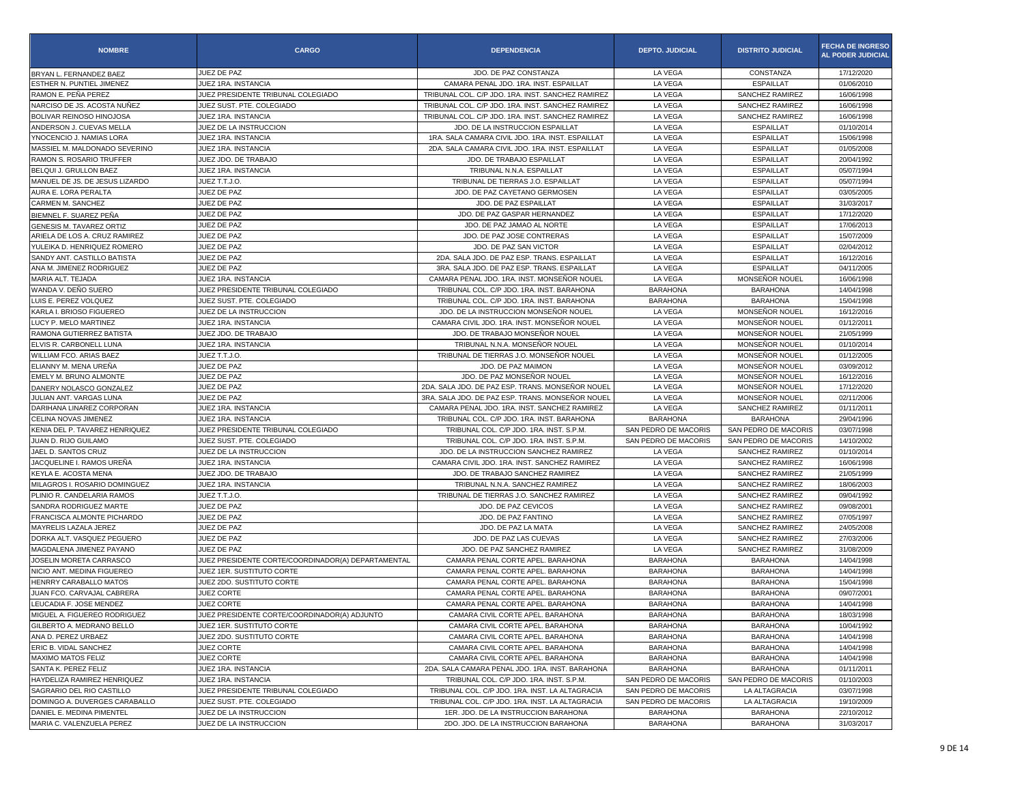| <b>NOMBRE</b>                  | <b>CARGO</b>                                       | <b>DEPENDENCIA</b>                                | <b>DEPTO. JUDICIAL</b> | <b>DISTRITO JUDICIAL</b> | <b>FECHA DE INGRESO</b><br><b>AL PODER JUDICIAL</b> |
|--------------------------------|----------------------------------------------------|---------------------------------------------------|------------------------|--------------------------|-----------------------------------------------------|
| BRYAN L. FERNANDEZ BAEZ        | JUEZ DE PAZ                                        | JDO, DE PAZ CONSTANZA                             | LA VEGA                | CONSTANZA                | 17/12/2020                                          |
| ESTHER N. PUNTIEL JIMENEZ      | JUEZ 1RA. INSTANCIA                                | CAMARA PENAL JDO. 1RA. INST. ESPAILLAT            | LA VEGA                | <b>ESPAILLAT</b>         | 01/06/2010                                          |
| RAMON E. PEÑA PEREZ            | JUEZ PRESIDENTE TRIBUNAL COLEGIADO                 | TRIBUNAL COL. C/P JDO. 1RA. INST. SANCHEZ RAMIREZ | LA VEGA                | SANCHEZ RAMIREZ          | 16/06/1998                                          |
| NARCISO DE JS. ACOSTA NUÑEZ    | JUEZ SUST, PTE, COLEGIADO                          | TRIBUNAL COL. C/P JDO. 1RA. INST. SANCHEZ RAMIREZ | LA VEGA                | SANCHEZ RAMIREZ          | 16/06/1998                                          |
| BOLIVAR REINOSO HINOJOSA       | JUEZ 1RA. INSTANCIA                                | TRIBUNAL COL. C/P JDO. 1RA. INST. SANCHEZ RAMIREZ | LA VEGA                | SANCHEZ RAMIREZ          | 16/06/1998                                          |
| ANDERSON J. CUEVAS MELLA       | JUEZ DE LA INSTRUCCION                             | JDO. DE LA INSTRUCCION ESPAILLAT                  | LA VEGA                | <b>ESPAILLAT</b>         | 01/10/2014                                          |
| YNOCENCIO J. NAMIAS LORA       | JUEZ 1RA. INSTANCIA                                | 1RA. SALA CAMARA CIVIL JDO. 1RA. INST. ESPAILLAT  | LA VEGA                | <b>ESPAILLAT</b>         | 15/06/1998                                          |
| MASSIEL M. MALDONADO SEVERINO  | JUEZ 1RA. INSTANCIA                                | 2DA. SALA CAMARA CIVIL JDO. 1RA. INST. ESPAILLAT  | LA VEGA                | <b>ESPAILLAT</b>         | 01/05/2008                                          |
| RAMON S. ROSARIO TRUFFER       | JUEZ JDO. DE TRABAJO                               | JDO. DE TRABAJO ESPAILLAT                         | LA VEGA                | <b>ESPAILLAT</b>         | 20/04/1992                                          |
| BELOULJ. GRULLON BAEZ          | JUEZ 1RA. INSTANCIA                                | TRIBUNAL N.N.A. ESPAILLAT                         | LA VEGA                | <b>ESPAILLAT</b>         | 05/07/1994                                          |
| MANUEL DE JS. DE JESUS LIZARDO | JUEZ T.T.J.O.                                      | TRIBUNAL DE TIERRAS J.O. ESPAILLAT                | LA VEGA                | <b>ESPAILLAT</b>         | 05/07/1994                                          |
| AURA E. LORA PERALTA           | JUEZ DE PAZ                                        | JDO. DE PAZ CAYETANO GERMOSEN                     | LA VEGA                | <b>ESPAILLAT</b>         | 03/05/2005                                          |
| CARMEN M. SANCHEZ              | JUEZ DE PAZ                                        | JDO. DE PAZ ESPAILLAT                             | LA VEGA                | <b>ESPAILLAT</b>         | 31/03/2017                                          |
| BIEMNEL F. SUAREZ PEÑA         | JUEZ DE PAZ                                        | JDO. DE PAZ GASPAR HERNANDEZ                      | LA VEGA                | <b>ESPAILLAT</b>         | 17/12/2020                                          |
| GENESIS M. TAVAREZ ORTIZ       | JUEZ DE PAZ                                        | JDO. DE PAZ JAMAO AL NORTE                        | LA VEGA                | <b>ESPAILLAT</b>         | 17/06/2013                                          |
| ARIELA DE LOS A. CRUZ RAMIREZ  | JUEZ DE PAZ                                        | JDO. DE PAZ JOSE CONTRERAS                        | LA VEGA                | <b>ESPAILLAT</b>         | 15/07/2009                                          |
| YULEIKA D. HENRIQUEZ ROMERO    | JUEZ DE PAZ                                        | JDO. DE PAZ SAN VICTOR                            | LA VEGA                | <b>ESPAILLAT</b>         | 02/04/2012                                          |
| SANDY ANT. CASTILLO BATISTA    | JUEZ DE PAZ                                        | 2DA. SALA JDO. DE PAZ ESP. TRANS. ESPAILLAT       | LA VEGA                | <b>ESPAILLAT</b>         | 16/12/2016                                          |
| ANA M. JIMENEZ RODRIGUEZ       | JUEZ DE PAZ                                        | 3RA. SALA JDO. DE PAZ ESP. TRANS. ESPAILLAT       | LA VEGA                | <b>ESPAILLAT</b>         | 04/11/2005                                          |
| MARIA ALT. TEJADA              | JUEZ 1RA. INSTANCIA                                | CAMARA PENAL JDO. 1RA. INST. MONSEÑOR NOUEL       | LA VEGA                | MONSEÑOR NOUEL           | 16/06/1998                                          |
| WANDA V. DEÑO SUERO            | JUEZ PRESIDENTE TRIBUNAL COLEGIADO                 | TRIBUNAL COL. C/P JDO. 1RA. INST. BARAHONA        | <b>BARAHONA</b>        | <b>BARAHONA</b>          | 14/04/1998                                          |
| LUIS E. PEREZ VOLQUEZ          | JUEZ SUST. PTE. COLEGIADO                          | TRIBUNAL COL. C/P JDO. 1RA. INST. BARAHONA        | <b>BARAHONA</b>        | <b>BARAHONA</b>          | 15/04/1998                                          |
| KARLA I. BRIOSO FIGUEREO       | JUEZ DE LA INSTRUCCION                             | JDO. DE LA INSTRUCCION MONSEÑOR NOUEL             | LA VEGA                | MONSEÑOR NOUEL           | 16/12/2016                                          |
| LUCY P. MELO MARTINEZ          | JUEZ 1RA. INSTANCIA                                | CAMARA CIVIL JDO. 1RA. INST. MONSEÑOR NOUEL       | LA VEGA                | MONSEÑOR NOUEL           | 01/12/2011                                          |
| RAMONA GUTIERREZ BATISTA       | JUEZ JDO. DE TRABAJO                               | JDO. DE TRABAJO MONSEÑOR NOUEL                    | LA VEGA                | <b>MONSEÑOR NOUEL</b>    | 21/05/1999                                          |
| ELVIS R. CARBONELL LUNA        | JUEZ 1RA. INSTANCIA                                | TRIBUNAL N.N.A. MONSEÑOR NOUEL                    | LA VEGA                | MONSEÑOR NOUEL           | 01/10/2014                                          |
| WILLIAM FCO. ARIAS BAEZ        | JUEZ T.T.J.O.                                      | TRIBUNAL DE TIERRAS J.O. MONSEÑOR NOUEL           | LA VEGA                | MONSEÑOR NOUEL           | 01/12/2005                                          |
| ELIANNY M. MENA UREÑA          | JUEZ DE PAZ                                        | JDO. DE PAZ MAIMON                                | LA VEGA                | MONSEÑOR NOUEL           | 03/09/2012                                          |
| EMELY M. BRUNO ALMONTE         | JUEZ DE PAZ                                        | JDO. DE PAZ MONSEÑOR NOUEL                        | LA VEGA                | MONSEÑOR NOUEL           | 16/12/2016                                          |
| DANERY NOLASCO GONZALEZ        | JUEZ DE PAZ                                        | 2DA, SALA JDO, DE PAZ ESP, TRANS, MONSEÑOR NOUEL  | LA VEGA                | MONSEÑOR NOUEL           | 17/12/2020                                          |
| JULIAN ANT. VARGAS LUNA        | JUEZ DE PAZ                                        | 3RA. SALA JDO. DE PAZ ESP. TRANS. MONSEÑOR NOUEL  | LA VEGA                | MONSEÑOR NOUEL           | 02/11/2006                                          |
| DARIHANA LINAREZ CORPORAN      | JUEZ 1RA. INSTANCIA                                | CAMARA PENAL JDO. 1RA. INST. SANCHEZ RAMIREZ      | LA VEGA                | SANCHEZ RAMIREZ          | 01/11/2011                                          |
| CELINA NOVAS JIMENEZ           | JUEZ 1RA. INSTANCIA                                | TRIBUNAL COL. C/P JDO. 1RA. INST. BARAHONA        | <b>BARAHONA</b>        | <b>BARAHONA</b>          | 29/04/1996                                          |
| KENIA DEL P. TAVAREZ HENRIQUEZ | JUEZ PRESIDENTE TRIBUNAL COLEGIADO                 | TRIBUNAL COL. C/P JDO. 1RA. INST. S.P.M.          | SAN PEDRO DE MACORIS   | SAN PEDRO DE MACORIS     | 03/07/1998                                          |
| JUAN D. RIJO GUILAMO           | JUEZ SUST. PTE. COLEGIADO                          | TRIBUNAL COL. C/P JDO. 1RA. INST. S.P.M.          | SAN PEDRO DE MACORIS   | SAN PEDRO DE MACORIS     | 14/10/2002                                          |
| JAEL D. SANTOS CRUZ            | JUEZ DE LA INSTRUCCION                             | JDO. DE LA INSTRUCCION SANCHEZ RAMIREZ            | LA VEGA                | SANCHEZ RAMIREZ          | 01/10/2014                                          |
| JACQUELINE I. RAMOS UREÑA      | JUEZ 1RA. INSTANCIA                                | CAMARA CIVIL JDO. 1RA. INST. SANCHEZ RAMIREZ      | LA VEGA                | SANCHEZ RAMIREZ          | 16/06/1998                                          |
| KEYLA E. ACOSTA MENA           | JUEZ JDO. DE TRABAJO                               | JDO. DE TRABAJO SANCHEZ RAMIREZ                   | LA VEGA                | SANCHEZ RAMIREZ          | 21/05/1999                                          |
| MILAGROS I. ROSARIO DOMINGUEZ  | JUEZ 1RA. INSTANCIA                                | TRIBUNAL N.N.A. SANCHEZ RAMIREZ                   | LA VEGA                | SANCHEZ RAMIREZ          | 18/06/2003                                          |
| PLINIO R. CANDELARIA RAMOS     | JUEZ T.T.J.O.                                      | TRIBUNAL DE TIERRAS J.O. SANCHEZ RAMIREZ          | LA VEGA                | SANCHEZ RAMIREZ          | 09/04/1992                                          |
| SANDRA RODRIGUEZ MARTE         | JUEZ DE PAZ                                        | JDO. DE PAZ CEVICOS                               | LA VEGA                | SANCHEZ RAMIREZ          | 09/08/2001                                          |
| FRANCISCA ALMONTE PICHARDO     | JUEZ DE PAZ                                        | JDO. DE PAZ FANTINO                               | LA VEGA                | SANCHEZ RAMIREZ          | 07/05/1997                                          |
| MAYRELIS LAZALA JEREZ          | JUEZ DE PAZ                                        | JDO. DE PAZ LA MATA                               | LA VEGA                | <b>SANCHEZ RAMIREZ</b>   | 24/05/2008                                          |
| DORKA ALT. VASQUEZ PEGUERO     | JUEZ DE PAZ                                        | JDO. DE PAZ LAS CUEVAS                            | LA VEGA                | SANCHEZ RAMIREZ          | 27/03/2006                                          |
| MAGDALENA JIMENEZ PAYANO       | JUEZ DE PAZ                                        | JDO. DE PAZ SANCHEZ RAMIREZ                       | LA VEGA                | SANCHEZ RAMIREZ          | 31/08/2009                                          |
| JOSELIN MORETA CARRASCO        | JUEZ PRESIDENTE CORTE/COORDINADOR(A) DEPARTAMENTAL | CAMARA PENAL CORTE APEL. BARAHONA                 | <b>BARAHONA</b>        | <b>BARAHONA</b>          | 14/04/1998                                          |
| NICIO ANT. MEDINA FIGUEREO     | JUEZ 1ER. SUSTITUTO CORTE                          | CAMARA PENAL CORTE APEL. BARAHONA                 | <b>BARAHONA</b>        | <b>BARAHONA</b>          | 14/04/1998                                          |
| HENRRY CARABALLO MATOS         | JUEZ 2DO. SUSTITUTO CORTE                          | CAMARA PENAL CORTE APEL. BARAHONA                 | <b>BARAHONA</b>        | <b>BARAHONA</b>          | 15/04/1998                                          |
| JUAN FCO. CARVAJAL CABRERA     | JUEZ CORTE                                         | CAMARA PENAL CORTE APEL. BARAHONA                 | <b>BARAHONA</b>        | <b>BARAHONA</b>          | 09/07/2001                                          |
| LEUCADIA F. JOSE MENDEZ        | JUEZ CORTE                                         | CAMARA PENAL CORTE APEL. BARAHONA                 | <b>BARAHONA</b>        | <b>BARAHONA</b>          | 14/04/1998                                          |
| MIGUEL A. FIGUEREO RODRIGUEZ   | JUEZ PRESIDENTE CORTE/COORDINADOR(A) ADJUNTO       | CAMARA CIVIL CORTE APEL. BARAHONA                 | <b>BARAHONA</b>        | BARAHONA                 | 18/03/1998                                          |
| GILBERTO A. MEDRANO BELLO      | JUEZ 1ER. SUSTITUTO CORTE                          | CAMARA CIVIL CORTE APEL. BARAHONA                 | <b>BARAHONA</b>        | <b>BARAHONA</b>          | 10/04/1992                                          |
| ANA D. PEREZ URBAEZ            | JUEZ 2DO. SUSTITUTO CORTE                          | CAMARA CIVIL CORTE APEL. BARAHONA                 | <b>BARAHONA</b>        | <b>BARAHONA</b>          | 14/04/1998                                          |
| ERIC B. VIDAL SANCHEZ          | JUEZ CORTE                                         | CAMARA CIVIL CORTE APEL. BARAHONA                 | <b>BARAHONA</b>        | <b>BARAHONA</b>          | 14/04/1998                                          |
| MAXIMO MATOS FELIZ             | JUEZ CORTE                                         | CAMARA CIVIL CORTE APEL. BARAHONA                 | <b>BARAHONA</b>        | <b>BARAHONA</b>          | 14/04/1998                                          |
| SANTA K. PEREZ FELIZ           | JUEZ 1RA. INSTANCIA                                | 2DA. SALA CAMARA PENAL JDO. 1RA. INST. BARAHONA   | <b>BARAHONA</b>        | <b>BARAHONA</b>          | 01/11/2011                                          |
| HAYDELIZA RAMIREZ HENRIQUEZ    | JUEZ 1RA. INSTANCIA                                | TRIBUNAL COL. C/P JDO. 1RA. INST. S.P.M.          | SAN PEDRO DE MACORIS   | SAN PEDRO DE MACORIS     | 01/10/2003                                          |
| SAGRARIO DEL RIO CASTILLO      | JUEZ PRESIDENTE TRIBUNAL COLEGIADO                 | TRIBUNAL COL. C/P JDO. 1RA. INST. LA ALTAGRACIA   | SAN PEDRO DE MACORIS   | LA ALTAGRACIA            | 03/07/1998                                          |
| DOMINGO A. DUVERGES CARABALLO  | JUEZ SUST, PTE, COLEGIADO                          | TRIBUNAL COL. C/P JDO. 1RA. INST. LA ALTAGRACIA   | SAN PEDRO DE MACORIS   | LA ALTAGRACIA            | 19/10/2009                                          |
| DANIEL E. MEDINA PIMENTEL      | JUEZ DE LA INSTRUCCION                             | 1ER. JDO. DE LA INSTRUCCION BARAHONA              | <b>BARAHONA</b>        | <b>BARAHONA</b>          | 22/10/2012                                          |
| MARIA C. VALENZUELA PEREZ      | JUEZ DE LA INSTRUCCION                             | 2DO. JDO. DE LA INSTRUCCION BARAHONA              | <b>BARAHONA</b>        | <b>BARAHONA</b>          | 31/03/2017                                          |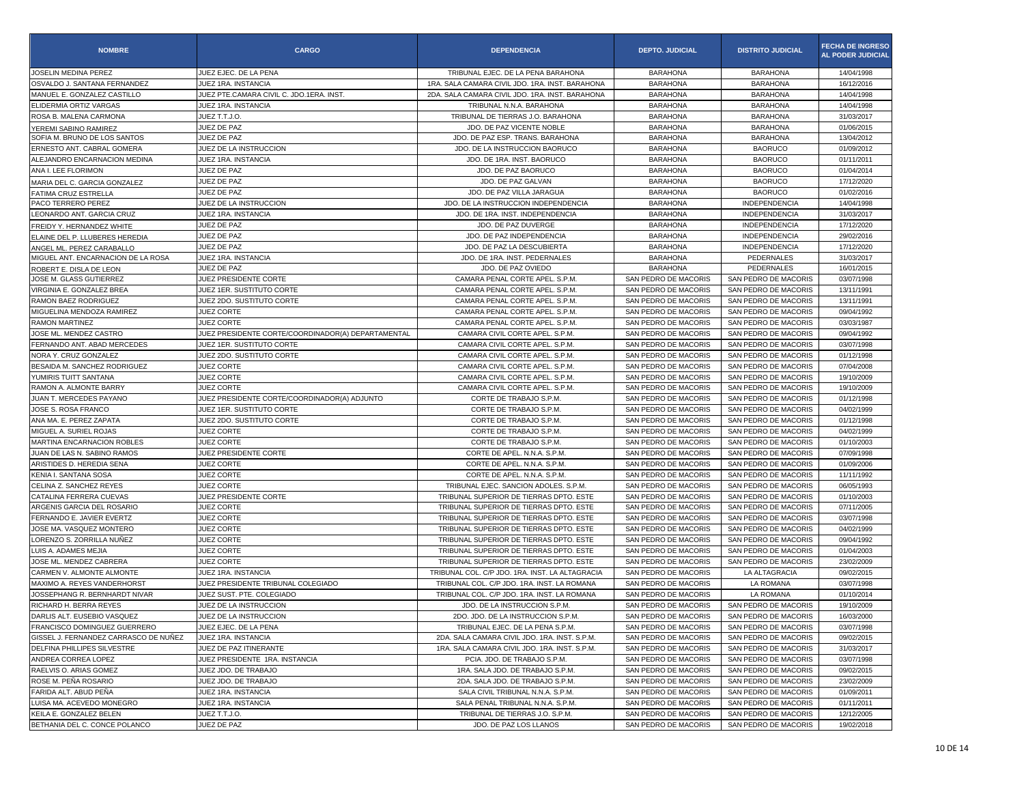| <b>NOMBRE</b>                         | <b>CARGO</b>                                       | <b>DEPENDENCIA</b>                              | <b>DEPTO. JUDICIAL</b> | <b>DISTRITO JUDICIAL</b> | <b>FECHA DE INGRESO</b><br>AL PODER JUDICIAL |
|---------------------------------------|----------------------------------------------------|-------------------------------------------------|------------------------|--------------------------|----------------------------------------------|
| JOSELIN MEDINA PEREZ                  | JUEZ EJEC. DE LA PENA                              | TRIBUNAL EJEC. DE LA PENA BARAHONA              | <b>BARAHONA</b>        | <b>BARAHONA</b>          | 14/04/1998                                   |
| OSVALDO J. SANTANA FERNANDEZ          | JUEZ 1RA. INSTANCIA                                | 1RA. SALA CAMARA CIVIL JDO. 1RA. INST. BARAHONA | <b>BARAHONA</b>        | <b>BARAHONA</b>          | 16/12/2016                                   |
| MANUEL E. GONZALEZ CASTILLO           | JUEZ PTE.CAMARA CIVIL C. JDO.1ERA. INST.           | 2DA. SALA CAMARA CIVIL JDO. 1RA. INST. BARAHONA | <b>BARAHONA</b>        | <b>BARAHONA</b>          | 14/04/1998                                   |
| ELIDERMIA ORTIZ VARGAS                | JUEZ 1RA. INSTANCIA                                | TRIBUNAL N.N.A. BARAHONA                        | <b>BARAHONA</b>        | <b>BARAHONA</b>          | 14/04/1998                                   |
| ROSA B. MALENA CARMONA                | JUEZ T.T.J.O.                                      | TRIBUNAL DE TIERRAS J.O. BARAHONA               | <b>BARAHONA</b>        | <b>BARAHONA</b>          | 31/03/2017                                   |
| YEREMI SABINO RAMIREZ                 | JUEZ DE PAZ                                        | JDO. DE PAZ VICENTE NOBLE                       | <b>BARAHONA</b>        | <b>BARAHONA</b>          | 01/06/2015                                   |
| SOFIA M. BRUNO DE LOS SANTOS          | JUEZ DE PAZ                                        | JDO. DE PAZ ESP. TRANS. BARAHONA                | <b>BARAHONA</b>        | <b>BARAHONA</b>          | 13/04/2012                                   |
| ERNESTO ANT. CABRAL GOMERA            | JUEZ DE LA INSTRUCCION                             | JDO. DE LA INSTRUCCION BAORUCO                  | <b>BARAHONA</b>        | <b>BAORUCO</b>           | 01/09/2012                                   |
| ALEJANDRO ENCARNACION MEDINA          | JUEZ 1RA. INSTANCIA                                | JDO. DE 1RA. INST. BAORUCO                      | <b>BARAHONA</b>        | <b>BAORUCO</b>           | 01/11/2011                                   |
| ANA I. LEE FLORIMON                   | JUEZ DE PAZ                                        | JDO. DE PAZ BAORUCO                             | <b>BARAHONA</b>        | <b>BAORUCO</b>           | 01/04/2014                                   |
| MARIA DEL C. GARCIA GONZALEZ          | JUEZ DE PAZ                                        | JDO. DE PAZ GALVAN                              | <b>BARAHONA</b>        | <b>BAORUCO</b>           | 17/12/2020                                   |
| FATIMA CRUZ ESTRELLA                  | JUEZ DE PAZ                                        | JDO. DE PAZ VILLA JARAGUA                       | <b>BARAHONA</b>        | <b>BAORUCO</b>           | 01/02/2016                                   |
| PACO TERRERO PEREZ                    | JUEZ DE LA INSTRUCCION                             | JDO. DE LA INSTRUCCION INDEPENDENCIA            | <b>BARAHONA</b>        | <b>INDEPENDENCIA</b>     | 14/04/1998                                   |
| LEONARDO ANT. GARCIA CRUZ             | JUEZ 1RA. INSTANCIA                                | JDO, DE 1RA, INST, INDEPENDENCIA                | <b>BARAHONA</b>        | <b>INDEPENDENCIA</b>     | 31/03/2017                                   |
| FREIDY Y. HERNANDEZ WHITE             | JUEZ DE PAZ                                        | JDO. DE PAZ DUVERGE                             | <b>BARAHONA</b>        | INDEPENDENCIA            | 17/12/2020                                   |
| ELAINE DEL P. LLUBERES HEREDIA        | JUEZ DE PAZ                                        | JDO. DE PAZ INDEPENDENCIA                       | <b>BARAHONA</b>        | <b>INDEPENDENCIA</b>     | 29/02/2016                                   |
| ANGEL ML. PEREZ CARABALLO             | JUEZ DE PAZ                                        | JDO. DE PAZ LA DESCUBIERTA                      | <b>BARAHONA</b>        | <b>INDEPENDENCIA</b>     | 17/12/2020                                   |
| MIGUEL ANT. ENCARNACION DE LA ROSA    | JUEZ 1RA. INSTANCIA                                | JDO. DE 1RA. INST. PEDERNALES                   | <b>BARAHONA</b>        | PEDERNALES               | 31/03/2017                                   |
| ROBERT E. DISLA DE LEON               | JUEZ DE PAZ                                        | JDO. DE PAZ OVIEDO                              | <b>BARAHONA</b>        | PEDERNALES               | 16/01/2015                                   |
| JOSE M. GLASS GUTIERREZ               | JUEZ PRESIDENTE CORTE                              | CAMARA PENAL CORTE APEL. S.P.M.                 | SAN PEDRO DE MACORIS   | SAN PEDRO DE MACORIS     | 03/07/1998                                   |
| VIRGINIA E. GONZALEZ BREA             | JUEZ 1ER. SUSTITUTO CORTE                          | CAMARA PENAL CORTE APEL. S.P.M.                 | SAN PEDRO DE MACORIS   | SAN PEDRO DE MACORIS     | 13/11/1991                                   |
| RAMON BAEZ RODRIGUEZ                  | JUEZ 2DO. SUSTITUTO CORTE                          | CAMARA PENAL CORTE APEL. S.P.M.                 | SAN PEDRO DE MACORIS   | SAN PEDRO DE MACORIS     | 13/11/1991                                   |
| MIGUELINA MENDOZA RAMIREZ             | JUEZ CORTE                                         | CAMARA PENAL CORTE APEL. S.P.M.                 | SAN PEDRO DE MACORIS   | SAN PEDRO DE MACORIS     | 09/04/1992                                   |
| <b>RAMON MARTINEZ</b>                 | <b>JUEZ CORTE</b>                                  | CAMARA PENAL CORTE APEL. S.P.M.                 | SAN PEDRO DE MACORIS   | SAN PEDRO DE MACORIS     | 03/03/1987                                   |
| JOSE ML. MENDEZ CASTRO                | JUEZ PRESIDENTE CORTE/COORDINADOR(A) DEPARTAMENTAL | CAMARA CIVIL CORTE APEL. S.P.M.                 | SAN PEDRO DE MACORIS   | SAN PEDRO DE MACORIS     | 09/04/1992                                   |
| FERNANDO ANT. ABAD MERCEDES           | JUEZ 1ER. SUSTITUTO CORTE                          | CAMARA CIVIL CORTE APEL, S.P.M.                 | SAN PEDRO DE MACORIS   | SAN PEDRO DE MACORIS     | 03/07/1998                                   |
| NORA Y. CRUZ GONZALEZ                 | JUEZ 2DO, SUSTITUTO CORTE                          | CAMARA CIVIL CORTE APEL. S.P.M.                 | SAN PEDRO DE MACORIS   | SAN PEDRO DE MACORIS     | 01/12/1998                                   |
| BESAIDA M. SANCHEZ RODRIGUEZ          | JUEZ CORTE                                         | CAMARA CIVIL CORTE APEL, S.P.M.                 | SAN PEDRO DE MACORIS   | SAN PEDRO DE MACORIS     | 07/04/2008                                   |
| YUMIRIS TUITT SANTANA                 | JUEZ CORTE                                         | CAMARA CIVIL CORTE APEL, S.P.M.                 | SAN PEDRO DE MACORIS   | SAN PEDRO DE MACORIS     | 19/10/2009                                   |
| RAMON A. ALMONTE BARRY                | <b>JUEZ CORTE</b>                                  | CAMARA CIVIL CORTE APEL. S.P.M.                 | SAN PEDRO DE MACORIS   | SAN PEDRO DE MACORIS     | 19/10/2009                                   |
| JUAN T. MERCEDES PAYANO               | JUEZ PRESIDENTE CORTE/COORDINADOR(A) ADJUNTO       | CORTE DE TRABAJO S.P.M.                         | SAN PEDRO DE MACORIS   | SAN PEDRO DE MACORIS     | 01/12/1998                                   |
| JOSE S. ROSA FRANCO                   | JUEZ 1ER. SUSTITUTO CORTE                          | CORTE DE TRABAJO S.P.M.                         | SAN PEDRO DE MACORIS   | SAN PEDRO DE MACORIS     | 04/02/1999                                   |
| ANA MA. E. PEREZ ZAPATA               | JUEZ 2DO. SUSTITUTO CORTE                          | CORTE DE TRABAJO S.P.M.                         | SAN PEDRO DE MACORIS   | SAN PEDRO DE MACORIS     | 01/12/1998                                   |
| MIGUEL A. SURIEL ROJAS                | <b>JUEZ CORTE</b>                                  | CORTE DE TRABAJO S.P.M.                         | SAN PEDRO DE MACORIS   | SAN PEDRO DE MACORIS     | 04/02/1999                                   |
| MARTINA ENCARNACION ROBLES            | <b>JUEZ CORTE</b>                                  | CORTE DE TRABAJO S.P.M.                         | SAN PEDRO DE MACORIS   | SAN PEDRO DE MACORIS     | 01/10/2003                                   |
| JUAN DE LAS N. SABINO RAMOS           | JUEZ PRESIDENTE CORTE                              | CORTE DE APEL. N.N.A. S.P.M.                    | SAN PEDRO DE MACORIS   | SAN PEDRO DE MACORIS     | 07/09/1998                                   |
| ARISTIDES D. HEREDIA SENA             | <b>JUEZ CORTE</b>                                  | CORTE DE APEL. N.N.A. S.P.M.                    | SAN PEDRO DE MACORIS   | SAN PEDRO DE MACORIS     | 01/09/2006                                   |
| KENIA I. SANTANA SOSA                 | <b>JUEZ CORTE</b>                                  | CORTE DE APEL. N.N.A. S.P.M.                    | SAN PEDRO DE MACORIS   | SAN PEDRO DE MACORIS     | 11/11/1992                                   |
| CELINA Z. SANCHEZ REYES               | <b>JUEZ CORTE</b>                                  | TRIBUNAL EJEC. SANCION ADOLES. S.P.M.           | SAN PEDRO DE MACORIS   | SAN PEDRO DE MACORIS     | 06/05/1993                                   |
| CATALINA FERRERA CUEVAS               | JUEZ PRESIDENTE CORTE                              | TRIBUNAL SUPERIOR DE TIERRAS DPTO. ESTE         | SAN PEDRO DE MACORIS   | SAN PEDRO DE MACORIS     | 01/10/2003                                   |
| ARGENIS GARCIA DEL ROSARIO            | <b>JUEZ CORTE</b>                                  | TRIBUNAL SUPERIOR DE TIERRAS DPTO. ESTE         | SAN PEDRO DE MACORIS   | SAN PEDRO DE MACORIS     | 07/11/2005                                   |
| FERNANDO E. JAVIER EVERTZ             | JUEZ CORTE                                         | TRIBUNAL SUPERIOR DE TIERRAS DPTO. ESTE         | SAN PEDRO DE MACORIS   | SAN PEDRO DE MACORIS     | 03/07/1998                                   |
| JOSE MA. VASQUEZ MONTERO              | <b>JUEZ CORTE</b>                                  | TRIBUNAL SUPERIOR DE TIERRAS DPTO. ESTE         | SAN PEDRO DE MACORIS   | SAN PEDRO DE MACORIS     | 04/02/1999                                   |
| LORENZO S. ZORRILLA NUÑEZ             | <b>JUEZ CORTE</b>                                  | TRIBUNAL SUPERIOR DE TIERRAS DPTO. ESTE         | SAN PEDRO DE MACORIS   | SAN PEDRO DE MACORIS     | 09/04/1992                                   |
| LUIS A. ADAMES MEJIA                  | <b>JUEZ CORTE</b>                                  | TRIBUNAL SUPERIOR DE TIERRAS DPTO. ESTE         | SAN PEDRO DE MACORIS   | SAN PEDRO DE MACORIS     | 01/04/2003                                   |
| JOSE ML. MENDEZ CABRERA               | JUEZ CORTE                                         | TRIBUNAL SUPERIOR DE TIERRAS DPTO. ESTE         | SAN PEDRO DE MACORIS   | SAN PEDRO DE MACORIS     | 23/02/2009                                   |
| CARMEN V. ALMONTE ALMONTE             | JUEZ 1RA. INSTANCIA                                | TRIBUNAL COL. C/P JDO. 1RA. INST. LA ALTAGRACIA | SAN PEDRO DE MACORIS   | LA ALTAGRACIA            | 09/02/2015                                   |
| MAXIMO A. REYES VANDERHORST           | JUEZ PRESIDENTE TRIBUNAL COLEGIADO                 | TRIBUNAL COL. C/P JDO. 1RA. INST. LA ROMANA     | SAN PEDRO DE MACORIS   | LA ROMANA                | 03/07/1998                                   |
| JOSSEPHANG R. BERNHARDT NIVAR         | JUEZ SUST. PTE. COLEGIADO                          | TRIBUNAL COL. C/P JDO. 1RA. INST. LA ROMANA     | SAN PEDRO DE MACORIS   | LA ROMANA                | 01/10/2014                                   |
| RICHARD H. BERRA REYES                | JUEZ DE LA INSTRUCCION                             | JDO. DE LA INSTRUCCION S.P.M.                   | SAN PEDRO DE MACORIS   | SAN PEDRO DE MACORIS     | 19/10/2009                                   |
| DARLIS ALT. EUSEBIO VASQUEZ           | JUEZ DE LA INSTRUCCION                             | 2DO. JDO. DE LA INSTRUCCION S.P.M.              | SAN PEDRO DE MACORIS   | SAN PEDRO DE MACORIS     | 16/03/2000                                   |
| FRANCISCO DOMINGUEZ GUERRERO          | JUEZ EJEC. DE LA PENA                              | TRIBUNAL EJEC. DE LA PENA S.P.M.                | SAN PEDRO DE MACORIS   | SAN PEDRO DE MACORIS     | 03/07/1998                                   |
| GISSEL J. FERNANDEZ CARRASCO DE NUÑEZ | JUEZ 1RA. INSTANCIA                                | 2DA, SALA CAMARA CIVIL JDO, 1RA, INST, S.P.M.   | SAN PEDRO DE MACORIS   | SAN PEDRO DE MACORIS     | 09/02/2015                                   |
| DELFINA PHILLIPES SILVESTRE           | JUEZ DE PAZ ITINERANTE                             | 1RA. SALA CAMARA CIVIL JDO. 1RA. INST. S.P.M    | SAN PEDRO DE MACORIS   | SAN PEDRO DE MACORIS     | 31/03/2017                                   |
| ANDREA CORREA LOPEZ                   | JUEZ PRESIDENTE 1RA. INSTANCIA                     | PCIA. JDO. DE TRABAJO S.P.M.                    | SAN PEDRO DE MACORIS   | SAN PEDRO DE MACORIS     | 03/07/1998                                   |
| RAELVIS O. ARIAS GOMEZ                | JUEZ JDO. DE TRABAJO                               | 1RA. SALA JDO. DE TRABAJO S.P.M.                | SAN PEDRO DE MACORIS   | SAN PEDRO DE MACORIS     | 09/02/2015                                   |
| ROSE M. PEÑA ROSARIO                  | JUEZ JDO. DE TRABAJO                               | 2DA. SALA JDO. DE TRABAJO S.P.M.                | SAN PEDRO DE MACORIS   | SAN PEDRO DE MACORIS     | 23/02/2009                                   |
| FARIDA ALT. ABUD PEÑA                 | JUEZ 1RA. INSTANCIA                                | SALA CIVIL TRIBUNAL N.N.A. S.P.M.               | SAN PEDRO DE MACORIS   | SAN PEDRO DE MACORIS     | 01/09/2011                                   |
| LUISA MA. ACEVEDO MONEGRO             | JUEZ 1RA. INSTANCIA                                | SALA PENAL TRIBUNAL N.N.A. S.P.M.               | SAN PEDRO DE MACORIS   | SAN PEDRO DE MACORIS     | 01/11/2011                                   |
| KEILA E. GONZALEZ BELEN               | JUEZ T.T.J.O.                                      | TRIBUNAL DE TIERRAS J.O. S.P.M.                 | SAN PEDRO DE MACORIS   | SAN PEDRO DE MACORIS     | 12/12/2005                                   |
| BETHANIA DEL C. CONCE POLANCO         | JUEZ DE PAZ                                        | JDO. DE PAZ LOS LLANOS                          | SAN PEDRO DE MACORIS   | SAN PEDRO DE MACORIS     | 19/02/2018                                   |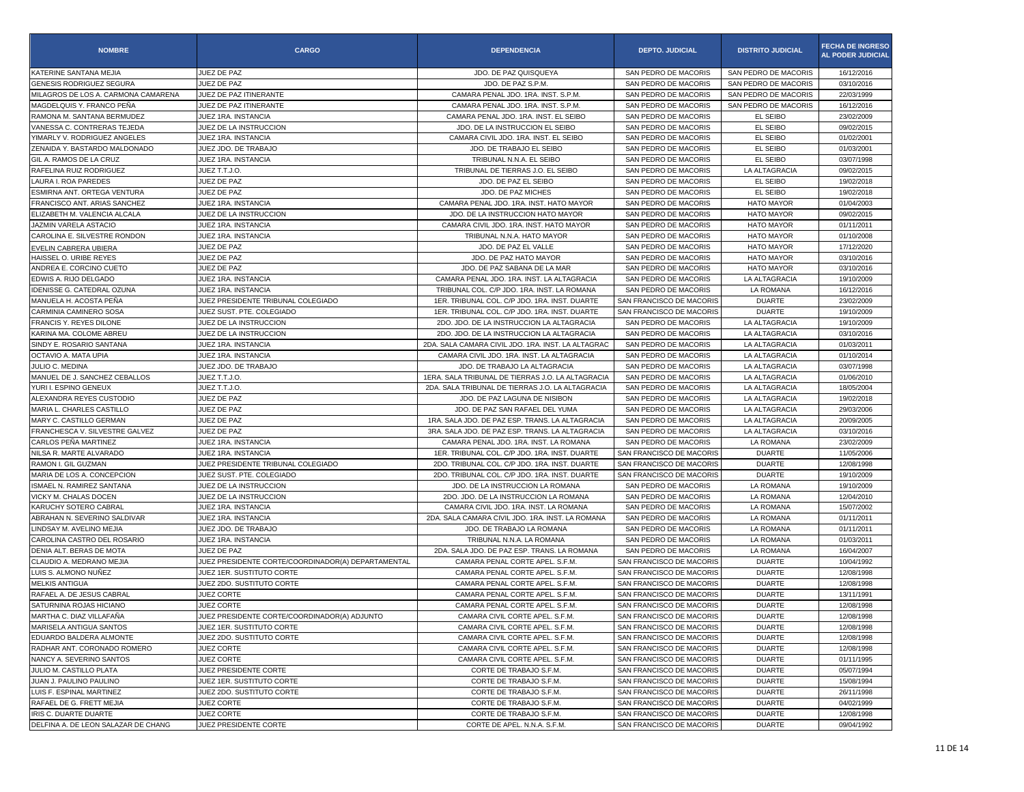| <b>NOMBRE</b>                       | <b>CARGO</b>                                       | <b>DEPENDENCIA</b>                                 | <b>DEPTO. JUDICIAL</b>   | <b>DISTRITO JUDICIAL</b> | <b>FECHA DE INGRESO</b><br><b>AL PODER JUDICIAL</b> |
|-------------------------------------|----------------------------------------------------|----------------------------------------------------|--------------------------|--------------------------|-----------------------------------------------------|
| KATERINE SANTANA MEJIA              | JUEZ DE PAZ                                        | JDO. DE PAZ QUISQUEYA                              | SAN PEDRO DE MACORIS     | SAN PEDRO DE MACORIS     | 16/12/2016                                          |
| GENESIS RODRIGUEZ SEGURA            | JUEZ DE PAZ                                        | JDO. DE PAZ S.P.M.                                 | SAN PEDRO DE MACORIS     | SAN PEDRO DE MACORIS     | 03/10/2016                                          |
| MILAGROS DE LOS A. CARMONA CAMARENA | JUEZ DE PAZ ITINERANTE                             | CAMARA PENAL JDO. 1RA. INST. S.P.M.                | SAN PEDRO DE MACORIS     | SAN PEDRO DE MACORIS     | 22/03/1999                                          |
| MAGDELQUIS Y. FRANCO PEÑA           | JUEZ DE PAZ ITINERANTE                             | CAMARA PENAL JDO, 1RA, INST, S.P.M.                | SAN PEDRO DE MACORIS     | SAN PEDRO DE MACORIS     | 16/12/2016                                          |
| RAMONA M. SANTANA BERMUDEZ          | JUEZ 1RA. INSTANCIA                                | CAMARA PENAL JDO. 1RA. INST. EL SEIBO              | SAN PEDRO DE MACORIS     | EL SEIBO                 | 23/02/2009                                          |
| VANESSA C. CONTRERAS TEJEDA         | JUEZ DE LA INSTRUCCION                             | JDO. DE LA INSTRUCCION EL SEIBO                    | SAN PEDRO DE MACORIS     | EL SEIBO                 | 09/02/2015                                          |
| YIMARLY V. RODRIGUEZ ANGELES        | JUEZ 1RA. INSTANCIA                                | CAMARA CIVIL JDO. 1RA. INST. EL SEIBO              | SAN PEDRO DE MACORIS     | EL SEIBO                 | 01/02/2001                                          |
| ZENAIDA Y. BASTARDO MALDONADO       | JUEZ JDO. DE TRABAJO                               | JDO. DE TRABAJO EL SEIBO                           | SAN PEDRO DE MACORIS     | EL SEIBO                 | 01/03/2001                                          |
| GIL A. RAMOS DE LA CRUZ             | JUEZ 1RA. INSTANCIA                                | TRIBUNAL N.N.A. EL SEIBO                           | SAN PEDRO DE MACORIS     | EL SEIBO                 | 03/07/1998                                          |
| RAFELINA RUIZ RODRIGUEZ             | JUEZ T.T.J.O.                                      | TRIBUNAL DE TIERRAS J.O. EL SEIBO                  | SAN PEDRO DE MACORIS     | LA ALTAGRACIA            | 09/02/2015                                          |
| LAURA I. ROA PAREDES                | JUEZ DE PAZ                                        | JDO. DE PAZ EL SEIBO                               | SAN PEDRO DE MACORIS     | EL SEIBO                 | 19/02/2018                                          |
| ESMIRNA ANT. ORTEGA VENTURA         | JUEZ DE PAZ                                        | JDO. DE PAZ MICHES                                 | SAN PEDRO DE MACORIS     | EL SEIBO                 | 19/02/2018                                          |
| FRANCISCO ANT. ARIAS SANCHEZ        | JUEZ 1RA. INSTANCIA                                | CAMARA PENAL JDO. 1RA. INST. HATO MAYOR            | SAN PEDRO DE MACORIS     | <b>HATO MAYOR</b>        | 01/04/2003                                          |
| ELIZABETH M. VALENCIA ALCALA        | JUEZ DE LA INSTRUCCION                             | JDO. DE LA INSTRUCCION HATO MAYOR                  | SAN PEDRO DE MACORIS     | <b>HATO MAYOR</b>        | 09/02/2015                                          |
| JAZMIN VARELA ASTACIO               | JUEZ 1RA. INSTANCIA                                | CAMARA CIVIL JDO. 1RA. INST. HATO MAYOR            | SAN PEDRO DE MACORIS     | <b>HATO MAYOR</b>        | 01/11/2011                                          |
| CAROLINA E. SILVESTRE RONDON        | JUEZ 1RA. INSTANCIA                                | TRIBUNAL N.N.A. HATO MAYOR                         | SAN PEDRO DE MACORIS     | <b>HATO MAYOR</b>        | 01/10/2008                                          |
| EVELIN CABRERA UBIERA               | JUEZ DE PAZ                                        | JDO. DE PAZ EL VALLE                               | SAN PEDRO DE MACORIS     | <b>HATO MAYOR</b>        | 17/12/2020                                          |
| HAISSEL O. URIBE REYES              | JUEZ DE PAZ                                        | JDO. DE PAZ HATO MAYOR                             | SAN PEDRO DE MACORIS     | <b>HATO MAYOR</b>        | 03/10/2016                                          |
| ANDREA E. CORCINO CUETO             | JUEZ DE PAZ                                        | JDO. DE PAZ SABANA DE LA MAR                       | SAN PEDRO DE MACORIS     | <b>HATO MAYOR</b>        | 03/10/2016                                          |
| EDWIS A. RIJO DELGADO               | JUEZ 1RA. INSTANCIA                                | CAMARA PENAL JDO. 1RA. INST. LA ALTAGRACIA         | SAN PEDRO DE MACORIS     | LA ALTAGRACIA            | 19/10/2009                                          |
| IDENISSE G. CATEDRAL OZUNA          | JUEZ 1RA. INSTANCIA                                | TRIBUNAL COL. C/P JDO. 1RA. INST. LA ROMANA        | SAN PEDRO DE MACORIS     | LA ROMANA                | 16/12/2016                                          |
| MANUELA H. ACOSTA PEÑA              | JUEZ PRESIDENTE TRIBUNAL COLEGIADO                 | 1ER. TRIBUNAL COL. C/P JDO. 1RA. INST. DUARTE      | SAN FRANCISCO DE MACORIS | <b>DUARTE</b>            | 23/02/2009                                          |
| <b>CARMINIA CAMINERO SOSA</b>       | JUEZ SUST. PTE. COLEGIADO                          | 1ER. TRIBUNAL COL. C/P JDO. 1RA. INST. DUARTE      | SAN FRANCISCO DE MACORIS | <b>DUARTE</b>            | 19/10/2009                                          |
| FRANCIS Y. REYES DILONE             | JUEZ DE LA INSTRUCCION                             | 2DO. JDO. DE LA INSTRUCCION LA ALTAGRACIA          | SAN PEDRO DE MACORIS     | LA ALTAGRACIA            | 19/10/2009                                          |
| KARINA MA. COLOME ABREU             | JUEZ DE LA INSTRUCCION                             | 2DO. JDO. DE LA INSTRUCCION LA ALTAGRACIA          | SAN PEDRO DE MACORIS     | LA ALTAGRACIA            | 03/10/2016                                          |
| SINDY E. ROSARIO SANTANA            | JUEZ 1RA. INSTANCIA                                | 2DA. SALA CAMARA CIVIL JDO. 1RA. INST. LA ALTAGRAC | SAN PEDRO DE MACORIS     | LA ALTAGRACIA            | 01/03/2011                                          |
| OCTAVIO A. MATA UPIA                | JUEZ 1RA. INSTANCIA                                | CAMARA CIVIL JDO, 1RA, INST, LA ALTAGRACIA         | SAN PEDRO DE MACORIS     | LA ALTAGRACIA            | 01/10/2014                                          |
| JULIO C. MEDINA                     | JUEZ JDO. DE TRABAJO                               | JDO. DE TRABAJO LA ALTAGRACIA                      | SAN PEDRO DE MACORIS     | LA ALTAGRACIA            | 03/07/1998                                          |
| MANUEL DE J. SANCHEZ CEBALLOS       | JUEZ T.T.J.O.                                      | 1ERA. SALA TRIBUNAL DE TIERRAS J.O. LA ALTAGRACIA  | SAN PEDRO DE MACORIS     | LA ALTAGRACIA            | 01/06/2010                                          |
| YURI I. ESPINO GENEUX               | JUEZ T.T.J.O.                                      | 2DA. SALA TRIBUNAL DE TIERRAS J.O. LA ALTAGRACIA   | SAN PEDRO DE MACORIS     | LA ALTAGRACIA            | 18/05/2004                                          |
| ALEXANDRA REYES CUSTODIO            | JUEZ DE PAZ                                        | JDO. DE PAZ LAGUNA DE NISIBON                      | SAN PEDRO DE MACORIS     | LA ALTAGRACIA            | 19/02/2018                                          |
| MARIA L. CHARLES CASTILLO           | JUEZ DE PAZ                                        | JDO. DE PAZ SAN RAFAEL DEL YUMA                    | SAN PEDRO DE MACORIS     | LA ALTAGRACIA            | 29/03/2006                                          |
| MARY C. CASTILLO GERMAN             | JUEZ DE PAZ                                        | 1RA, SALA JDO, DE PAZ ESP, TRANS, LA ALTAGRACIA    | SAN PEDRO DE MACORIS     | LA ALTAGRACIA            | 20/09/2005                                          |
| FRANCHESCA V. SILVESTRE GALVEZ      | JUEZ DE PAZ                                        | 3RA. SALA JDO. DE PAZ ESP. TRANS. LA ALTAGRACIA    | SAN PEDRO DE MACORIS     | LA ALTAGRACIA            | 03/10/2016                                          |
| CARLOS PEÑA MARTINEZ                | JUEZ 1RA. INSTANCIA                                | CAMARA PENAL JDO. 1RA. INST. LA ROMANA             | SAN PEDRO DE MACORIS     | LA ROMANA                | 23/02/2009                                          |
| NILSA R. MARTE ALVARADO             | JUEZ 1RA. INSTANCIA                                | 1ER. TRIBUNAL COL. C/P JDO. 1RA. INST. DUARTE      | SAN FRANCISCO DE MACORIS | <b>DUARTE</b>            | 11/05/2006                                          |
| RAMON I. GIL GUZMAN                 | JUEZ PRESIDENTE TRIBUNAL COLEGIADO                 | 2DO. TRIBUNAL COL. C/P JDO. 1RA. INST. DUARTE      | SAN FRANCISCO DE MACORIS | <b>DUARTE</b>            | 12/08/1998                                          |
| MARIA DE LOS A. CONCEPCION          | JUEZ SUST, PTE, COLEGIADO                          | 2DO. TRIBUNAL COL. C/P JDO. 1RA. INST. DUARTE      | SAN FRANCISCO DE MACORIS | <b>DUARTE</b>            | 19/10/2009                                          |
| ISMAEL N. RAMIREZ SANTANA           | JUEZ DE LA INSTRUCCION                             | JDO. DE LA INSTRUCCION LA ROMANA                   | SAN PEDRO DE MACORIS     | LA ROMANA                | 19/10/2009                                          |
| VICKY M. CHALAS DOCEN               | JUEZ DE LA INSTRUCCION                             | 2DO. JDO. DE LA INSTRUCCION LA ROMANA              | SAN PEDRO DE MACORIS     | LA ROMANA                | 12/04/2010                                          |
| KARUCHY SOTERO CABRAL               | JUEZ 1RA. INSTANCIA                                | CAMARA CIVIL JDO. 1RA. INST. LA ROMANA             | SAN PEDRO DE MACORIS     | LA ROMANA                | 15/07/2002                                          |
| ABRAHAN N. SEVERINO SALDIVAR        | JUEZ 1RA. INSTANCIA                                | 2DA. SALA CAMARA CIVIL JDO. 1RA. INST. LA ROMANA   | SAN PEDRO DE MACORIS     | LA ROMANA                | 01/11/2011                                          |
| LINDSAY M. AVELINO MEJIA            | JUEZ JDO, DE TRABAJO                               | JDO. DE TRABAJO LA ROMANA                          | SAN PEDRO DE MACORIS     | LA ROMANA                | 01/11/2011                                          |
| CAROLINA CASTRO DEL ROSARIO         | JUEZ 1RA. INSTANCIA                                | TRIBUNAL N.N.A. LA ROMANA                          | SAN PEDRO DE MACORIS     | LA ROMANA                | 01/03/2011                                          |
| DENIA ALT. BERAS DE MOTA            | JUEZ DE PAZ                                        | 2DA. SALA JDO. DE PAZ ESP. TRANS. LA ROMANA        | SAN PEDRO DE MACORIS     | LA ROMANA                | 16/04/2007                                          |
| CLAUDIO A. MEDRANO MEJIA            | JUEZ PRESIDENTE CORTE/COORDINADOR(A) DEPARTAMENTAL | CAMARA PENAL CORTE APEL. S.F.M.                    | SAN FRANCISCO DE MACORIS | <b>DUARTE</b>            | 10/04/1992                                          |
| LUIS S. ALMONO NUÑEZ                | JUEZ 1ER. SUSTITUTO CORTE                          | CAMARA PENAL CORTE APEL. S.F.M.                    | SAN FRANCISCO DE MACORIS | <b>DUARTE</b>            | 12/08/1998                                          |
| <b>MELKIS ANTIGUA</b>               | JUEZ 2DO. SUSTITUTO CORTE                          | CAMARA PENAL CORTE APEL, S.F.M.                    | SAN FRANCISCO DE MACORIS | <b>DUARTE</b>            | 12/08/1998                                          |
| RAFAEL A. DE JESUS CABRAL           | JUEZ CORTE                                         | CAMARA PENAL CORTE APEL. S.F.M.                    | SAN FRANCISCO DE MACORIS | <b>DUARTE</b>            | 13/11/1991                                          |
| SATURNINA ROJAS HICIANO             | JUEZ CORTE                                         | CAMARA PENAL CORTE APEL, S.F.M.                    | SAN FRANCISCO DE MACORIS | <b>DUARTE</b>            | 12/08/1998                                          |
| MARTHA C. DIAZ VILLAFANA            | JUEZ PRESIDENTE CORTE/COORDINADOR(A) ADJUNTO       | CAMARA CIVIL CORTE APEL. S.F.M.                    | SAN FRANCISCO DE MACORIS | <b>DUARTE</b>            | 12/08/1998                                          |
| MARISELA ANTIGUA SANTOS             | JUEZ 1ER. SUSTITUTO CORTE                          | CAMARA CIVIL CORTE APEL. S.F.M.                    | SAN FRANCISCO DE MACORIS | <b>DUARTE</b>            | 12/08/1998                                          |
| EDUARDO BALDERA ALMONTE             | JUEZ 2DO, SUSTITUTO CORTE                          | CAMARA CIVIL CORTE APEL. S.F.M.                    | SAN FRANCISCO DE MACORIS | <b>DUARTE</b>            | 12/08/1998                                          |
| RADHAR ANT. CORONADO ROMERO         | JUEZ CORTE                                         | CAMARA CIVIL CORTE APEL. S.F.M.                    | SAN FRANCISCO DE MACORIS | <b>DUARTE</b>            | 12/08/1998                                          |
| NANCY A. SEVERINO SANTOS            | JUEZ CORTE                                         | CAMARA CIVIL CORTE APEL. S.F.M.                    | SAN FRANCISCO DE MACORIS | <b>DUARTE</b>            | 01/11/1995                                          |
| JULIO M. CASTILLO PLATA             | JUEZ PRESIDENTE CORTE                              | CORTE DE TRABAJO S.F.M.                            | SAN FRANCISCO DE MACORIS | <b>DUARTE</b>            | 05/07/1994                                          |
| JUAN J. PAULINO PAULINO             | JUEZ 1ER. SUSTITUTO CORTE                          | CORTE DE TRABAJO S.F.M.                            | SAN FRANCISCO DE MACORIS | <b>DUARTE</b>            | 15/08/1994                                          |
| LUIS F. ESPINAL MARTINEZ            | JUEZ 2DO, SUSTITUTO CORTE                          | CORTE DE TRABAJO S.F.M.                            | SAN FRANCISCO DE MACORIS | <b>DUARTE</b>            | 26/11/1998                                          |
| RAFAEL DE G. FRETT MEJIA            | JUEZ CORTE                                         | CORTE DE TRABAJO S.F.M.                            | SAN FRANCISCO DE MACORIS | <b>DUARTE</b>            | 04/02/1999                                          |
| IRIS C. DUARTE DUARTE               | JUEZ CORTE                                         | CORTE DE TRABAJO S.F.M.                            | SAN FRANCISCO DE MACORIS | <b>DUARTE</b>            | 12/08/1998                                          |
| DELFINA A. DE LEON SALAZAR DE CHANG | JUEZ PRESIDENTE CORTE                              | CORTE DE APEL. N.N.A. S.F.M.                       | SAN FRANCISCO DE MACORIS | <b>DUARTE</b>            | 09/04/1992                                          |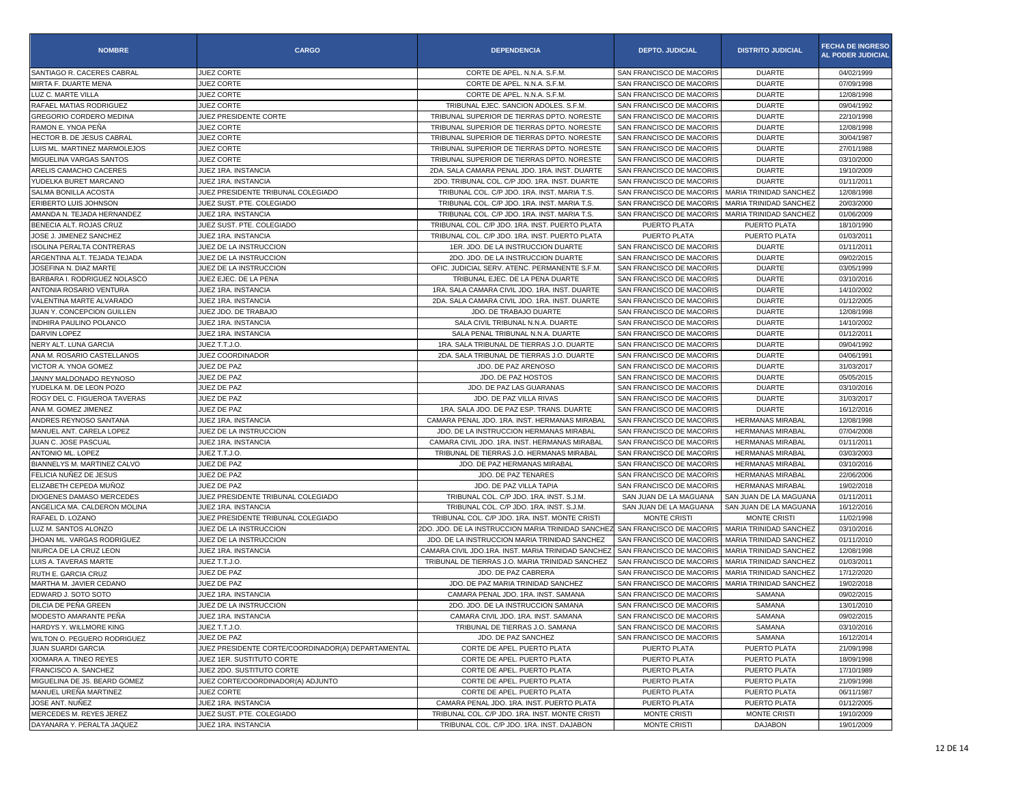| SANTIAGO R. CACERES CABRAL<br>JUEZ CORTE<br>CORTE DE APEL. N.N.A. S.F.M.<br>SAN FRANCISCO DE MACORIS<br><b>DUARTE</b>                                            | 04/02/1999<br>07/09/1998 |
|------------------------------------------------------------------------------------------------------------------------------------------------------------------|--------------------------|
|                                                                                                                                                                  |                          |
| JUEZ CORTE<br>MIRTA F. DUARTE MENA<br>CORTE DE APEL. N.N.A. S.F.M.<br>SAN FRANCISCO DE MACORIS<br><b>DUARTE</b>                                                  |                          |
| LUZ C. MARTE VILLA<br>JUEZ CORTE<br>CORTE DE APEL. N.N.A. S.F.M.<br>SAN FRANCISCO DE MACORIS<br><b>DUARTE</b>                                                    | 12/08/1998               |
| JUEZ CORTE<br>TRIBUNAL EJEC. SANCION ADOLES. S.F.M.<br>SAN FRANCISCO DE MACORIS<br>RAFAEL MATIAS RODRIGUEZ<br><b>DUARTE</b>                                      | 09/04/1992               |
| GREGORIO CORDERO MEDINA<br>JUEZ PRESIDENTE CORTE<br>TRIBUNAL SUPERIOR DE TIERRAS DPTO, NORESTE<br>SAN FRANCISCO DE MACORIS<br><b>DUARTE</b>                      | 22/10/1998               |
| JUEZ CORTE<br>TRIBUNAL SUPERIOR DE TIERRAS DPTO. NORESTE<br>RAMON E. YNOA PEÑA<br>SAN FRANCISCO DE MACORIS<br><b>DUARTE</b>                                      | 12/08/1998               |
| JUEZ CORTE<br>HECTOR B. DE JESUS CABRAL<br>TRIBUNAL SUPERIOR DE TIERRAS DPTO. NORESTE<br>SAN FRANCISCO DE MACORIS<br><b>DUARTE</b>                               | 30/04/1987               |
| LUIS ML. MARTINEZ MARMOLEJOS<br>JUEZ CORTE<br>TRIBUNAL SUPERIOR DE TIERRAS DPTO. NORESTE<br>SAN FRANCISCO DE MACORIS<br><b>DUARTE</b>                            | 27/01/1988               |
| JUEZ CORTE<br>TRIBUNAL SUPERIOR DE TIERRAS DPTO. NORESTE<br>MIGUELINA VARGAS SANTOS<br>SAN FRANCISCO DE MACORIS<br><b>DUARTE</b>                                 | 03/10/2000               |
| ARELIS CAMACHO CACERES<br>JUEZ 1RA. INSTANCIA<br>2DA. SALA CAMARA PENAL JDO. 1RA. INST. DUARTE<br>SAN FRANCISCO DE MACORIS<br><b>DUARTE</b>                      | 19/10/2009               |
| YUDELKA BURET MARCANO<br>2DO. TRIBUNAL COL. C/P JDO. 1RA. INST. DUARTE<br>SAN FRANCISCO DE MACORIS<br><b>DUARTE</b><br>JUEZ 1RA. INSTANCIA                       | 01/11/2011               |
| SALMA BONILLA ACOSTA<br>JUEZ PRESIDENTE TRIBUNAL COLEGIADO<br>TRIBUNAL COL. C/P JDO. 1RA. INST. MARIA T.S.<br>SAN FRANCISCO DE MACORIS<br>MARIA TRINIDAD SANCHEZ | 12/08/1998               |
| ERIBERTO LUIS JOHNSON<br>JUEZ SUST. PTE. COLEGIADO<br>TRIBUNAL COL. C/P JDO. 1RA. INST. MARIA T.S.<br>SAN FRANCISCO DE MACORIS<br>MARIA TRINIDAD SANCHEZ         | 20/03/2000               |
| JUEZ 1RA. INSTANCIA<br>SAN FRANCISCO DE MACORIS<br>AMANDA N. TEJADA HERNANDEZ<br>TRIBUNAL COL. C/P JDO. 1RA. INST. MARIA T.S.<br>MARIA TRINIDAD SANCHEZ          | 01/06/2009               |
| BENECIA ALT. ROJAS CRUZ<br>JUEZ SUST. PTE. COLEGIADO<br>TRIBUNAL COL. C/P JDO. 1RA. INST. PUERTO PLATA<br>PUERTO PLATA<br>PUERTO PLATA                           | 18/10/1990               |
| JOSE J. JIMENEZ SANCHEZ<br>TRIBUNAL COL. C/P JDO. 1RA. INST. PUERTO PLATA<br>JUEZ 1RA. INSTANCIA<br>PUERTO PLATA<br>PUERTO PLATA                                 | 01/03/2011               |
| JUEZ DE LA INSTRUCCION<br>1ER. JDO. DE LA INSTRUCCION DUARTE<br>SAN FRANCISCO DE MACORIS<br>ISOLINA PERALTA CONTRERAS<br><b>DUARTE</b>                           | 01/11/2011               |
| ARGENTINA ALT. TEJADA TEJADA<br>JUEZ DE LA INSTRUCCION<br>2DO. JDO. DE LA INSTRUCCION DUARTE<br>SAN FRANCISCO DE MACORIS<br><b>DUARTE</b>                        | 09/02/2015               |
| JUEZ DE LA INSTRUCCION<br>OFIC. JUDICIAL SERV. ATENC. PERMANENTE S.F.M.<br>JOSEFINA N. DIAZ MARTE<br>SAN FRANCISCO DE MACORIS<br><b>DUARTE</b>                   | 03/05/1999               |
| BARBARA I. RODRIGUEZ NOLASCO<br>JUEZ EJEC. DE LA PENA<br>TRIBUNAL EJEC. DE LA PENA DUARTE<br>SAN FRANCISCO DE MACORIS<br><b>DUARTE</b>                           | 03/10/2016               |
| ANTONIA ROSARIO VENTURA<br>JUEZ 1RA. INSTANCIA<br>1RA. SALA CAMARA CIVIL JDO. 1RA. INST. DUARTE<br>SAN FRANCISCO DE MACORIS<br><b>DUARTE</b>                     | 14/10/2002               |
| 2DA, SALA CAMARA CIVIL JDO, 1RA, INST, DUARTE<br>VALENTINA MARTE ALVARADO<br>JUEZ 1RA. INSTANCIA<br>SAN FRANCISCO DE MACORIS<br><b>DUARTE</b>                    | 01/12/2005               |
| JUAN Y. CONCEPCION GUILLEN<br>JUEZ JDO. DE TRABAJO<br>JDO. DE TRABAJO DUARTE<br>SAN FRANCISCO DE MACORIS<br><b>DUARTE</b>                                        | 12/08/1998               |
| JUEZ 1RA. INSTANCIA<br><b>INDHIRA PAULINO POLANCO</b><br>SALA CIVIL TRIBUNAL N.N.A. DUARTE<br>SAN FRANCISCO DE MACORIS<br><b>DUARTE</b>                          | 14/10/2002               |
| DARVIN LOPEZ<br>JUEZ 1RA. INSTANCIA<br>SALA PENAL TRIBUNAL N.N.A. DUARTE<br>SAN FRANCISCO DE MACORIS<br><b>DUARTE</b>                                            | 01/12/2011               |
| 1RA, SALA TRIBUNAL DE TIERRAS J.O. DUARTE<br>NERY ALT. LUNA GARCIA<br>JUEZ T.T.J.O.<br>SAN FRANCISCO DE MACORIS<br><b>DUARTE</b>                                 | 09/04/1992               |
| ANA M. ROSARIO CASTELLANOS<br>JUEZ COORDINADOR<br>2DA. SALA TRIBUNAL DE TIERRAS J.O. DUARTE<br>SAN FRANCISCO DE MACORIS<br><b>DUARTE</b>                         | 04/06/1991               |
| VICTOR A. YNOA GOMEZ<br>JUEZ DE PAZ<br>JDO. DE PAZ ARENOSO<br>SAN FRANCISCO DE MACORIS<br><b>DUARTE</b>                                                          | 31/03/2017               |
| JUEZ DE PAZ<br>JDO. DE PAZ HOSTOS<br>SAN FRANCISCO DE MACORIS<br><b>DUARTE</b><br>JANNY MALDONADO REYNOSO                                                        | 05/05/2015               |
| YUDELKA M. DE LEON POZO<br>JUEZ DE PAZ<br>JDO. DE PAZ LAS GUARANAS<br>SAN FRANCISCO DE MACORIS<br><b>DUARTE</b>                                                  | 03/10/2016               |
| ROGY DEL C. FIGUEROA TAVERAS<br>JUEZ DE PAZ<br>JDO. DE PAZ VILLA RIVAS<br>SAN FRANCISCO DE MACORIS<br><b>DUARTE</b>                                              | 31/03/2017               |
| JUEZ DE PAZ<br>ANA M. GOMEZ JIMENEZ<br>1RA. SALA JDO. DE PAZ ESP. TRANS. DUARTE<br>SAN FRANCISCO DE MACORIS<br><b>DUARTE</b>                                     | 16/12/2016               |
| ANDRES REYNOSO SANTANA<br>JUEZ 1RA. INSTANCIA<br>CAMARA PENAL JDO. 1RA. INST. HERMANAS MIRABAL<br>SAN FRANCISCO DE MACORIS<br>HERMANAS MIRABAL                   | 12/08/1998               |
| MANUEL ANT. CARELA LOPEZ<br>JUEZ DE LA INSTRUCCION<br>JDO. DE LA INSTRUCCION HERMANAS MIRABAL<br>SAN FRANCISCO DE MACORIS<br><b>HERMANAS MIRABAL</b>             | 07/04/2008               |
| JUAN C. JOSE PASCUAL<br>JUEZ 1RA. INSTANCIA<br>CAMARA CIVIL JDO. 1RA. INST. HERMANAS MIRABAL<br>SAN FRANCISCO DE MACORIS<br>HERMANAS MIRABAL                     | 01/11/2011               |
| <b>ANTONIO ML, LOPEZ</b><br>JUEZ T.T.J.O.<br>TRIBUNAL DE TIERRAS J.O. HERMANAS MIRABAL<br>SAN FRANCISCO DE MACORIS<br><b>HERMANAS MIRABAL</b>                    | 03/03/2003               |
| JUEZ DE PAZ<br>BIANNELYS M. MARTINEZ CALVO<br>JDO. DE PAZ HERMANAS MIRABAL<br>SAN FRANCISCO DE MACORIS<br><b>HERMANAS MIRABAL</b>                                | 03/10/2016               |
| FELICIA NUÑEZ DE JESUS<br>JUEZ DE PAZ<br>JDO. DE PAZ TENARES<br>SAN FRANCISCO DE MACORIS<br>HERMANAS MIRABAL                                                     | 22/06/2006               |
| JUEZ DE PAZ<br>ELIZABETH CEPEDA MUÑOZ<br>JDO. DE PAZ VILLA TAPIA<br>SAN FRANCISCO DE MACORIS<br><b>HERMANAS MIRABAL</b>                                          | 19/02/2018               |
| DIOGENES DAMASO MERCEDES<br>JUEZ PRESIDENTE TRIBUNAL COLEGIADO<br>TRIBUNAL COL. C/P JDO. 1RA. INST. S.J.M.<br>SAN JUAN DE LA MAGUANA<br>SAN JUAN DE LA MAGUANA   | 01/11/2011               |
| ANGELICA MA. CALDERON MOLINA<br>TRIBUNAL COL. C/P JDO. 1RA. INST. S.J.M.<br>SAN JUAN DE LA MAGUANA<br>JUEZ 1RA. INSTANCIA<br>SAN JUAN DE LA MAGUANA              | 16/12/2016               |
| RAFAEL D. LOZANO<br>JUEZ PRESIDENTE TRIBUNAL COLEGIADO<br>TRIBUNAL COL. C/P JDO. 1RA. INST. MONTE CRISTI<br><b>MONTE CRISTI</b><br><b>MONTE CRISTI</b>           | 11/02/1998               |
| LUZ M. SANTOS ALONZO<br>JUEZ DE LA INSTRUCCION<br>2DO. JDO. DE LA INSTRUCCION MARIA TRINIDAD SANCHEZ<br>SAN FRANCISCO DE MACORIS<br>MARIA TRINIDAD SANCHEZ       | 03/10/2016               |
| JUEZ DE LA INSTRUCCION<br>JDO. DE LA INSTRUCCION MARIA TRINIDAD SANCHEZ<br>JHOAN ML. VARGAS RODRIGUEZ<br>SAN FRANCISCO DE MACORIS<br>MARIA TRINIDAD SANCHEZ      | 01/11/2010               |
| NIURCA DE LA CRUZ LEON<br>JUEZ 1RA. INSTANCIA<br>CAMARA CIVIL JDO.1RA. INST. MARIA TRINIDAD SANCHEZ<br>SAN FRANCISCO DE MACORIS<br>MARIA TRINIDAD SANCHEZ        | 12/08/1998               |
| LUIS A. TAVERAS MARTE<br>TRIBUNAL DE TIERRAS J.O. MARIA TRINIDAD SANCHEZ<br>SAN FRANCISCO DE MACORIS<br>JUEZ T.T.J.O.<br>MARIA TRINIDAD SANCHEZ                  | 01/03/2011               |
| JUEZ DE PAZ<br>JDO. DE PAZ CABRERA<br>SAN FRANCISCO DE MACORIS<br>MARIA TRINIDAD SANCHEZ<br>RUTH E. GARCIA CRUZ                                                  | 17/12/2020               |
| JUEZ DE PAZ<br>SAN FRANCISCO DE MACORIS<br>MARIA TRINIDAD SANCHEZ<br>MARTHA M. JAVIER CEDANO<br>JDO. DE PAZ MARIA TRINIDAD SANCHEZ                               | 19/02/2018               |
| EDWARD J. SOTO SOTO<br>JUEZ 1RA. INSTANCIA<br>CAMARA PENAL JDO. 1RA. INST. SAMANA<br>SAN FRANCISCO DE MACORIS<br>SAMANA                                          | 09/02/2015               |
| DILCIA DE PEÑA GREEN<br>JUEZ DE LA INSTRUCCION<br>2DO. JDO. DE LA INSTRUCCION SAMANA<br>SAN FRANCISCO DE MACORIS<br>SAMANA                                       | 13/01/2010               |
| MODESTO AMARANTE PEÑA<br>JUEZ 1RA. INSTANCIA<br>CAMARA CIVIL JDO. 1RA. INST. SAMANA<br>SAN FRANCISCO DE MACORIS<br>SAMANA                                        | 09/02/2015               |
| HARDYS Y. WILLMORE KING<br>JUEZ T.T.J.O.<br>TRIBUNAL DE TIERRAS J.O. SAMANA<br>SAN FRANCISCO DE MACORIS<br>SAMANA                                                | 03/10/2016               |
| JUEZ DE PAZ<br>JDO. DE PAZ SANCHEZ<br>SAN FRANCISCO DE MACORIS<br>SAMANA<br>WILTON O. PEGUERO RODRIGUEZ                                                          | 16/12/2014               |
| <b>JUAN SUARDI GARCIA</b><br>JUEZ PRESIDENTE CORTE/COORDINADOR(A) DEPARTAMENTAL<br>CORTE DE APEL, PUERTO PLATA<br>PUERTO PLATA<br>PUERTO PLATA                   | 21/09/1998               |
| XIOMARA A. TINEO REYES<br>JUEZ 1ER. SUSTITUTO CORTE<br>CORTE DE APEL. PUERTO PLATA<br>PUERTO PLATA<br>PUERTO PLATA                                               | 18/09/1998               |
| FRANCISCO A. SANCHEZ<br>JUEZ 2DO. SUSTITUTO CORTE<br>CORTE DE APEL. PUERTO PLATA<br>PUERTO PLATA<br>PUERTO PLATA                                                 | 17/10/1989               |
| MIGUELINA DE JS. BEARD GOMEZ<br>JUEZ CORTE/COORDINADOR(A) ADJUNTO<br>PUERTO PLATA<br>PUERTO PLATA<br>CORTE DE APEL. PUERTO PLATA                                 | 21/09/1998               |
| MANUEL UREÑA MARTINEZ<br>JUEZ CORTE<br>CORTE DE APEL. PUERTO PLATA<br>PUERTO PLATA<br>PUERTO PLATA                                                               | 06/11/1987               |
| JOSE ANT. NUÑEZ<br>JUEZ 1RA. INSTANCIA<br>CAMARA PENAL JDO. 1RA. INST. PUERTO PLATA<br>PUERTO PLATA<br>PUERTO PLATA                                              | 01/12/2005               |
| MERCEDES M. REYES JEREZ<br>JUEZ SUST. PTE. COLEGIADO<br>TRIBUNAL COL. C/P JDO. 1RA. INST. MONTE CRISTI<br>MONTE CRISTI<br>MONTE CRISTI                           | 19/10/2009               |
| DAYANARA Y. PERALTA JAQUEZ<br>JUEZ 1RA. INSTANCIA<br>TRIBUNAL COL. C/P JDO. 1RA. INST. DAJABON<br>MONTE CRISTI<br><b>DAJABON</b>                                 | 19/01/2009               |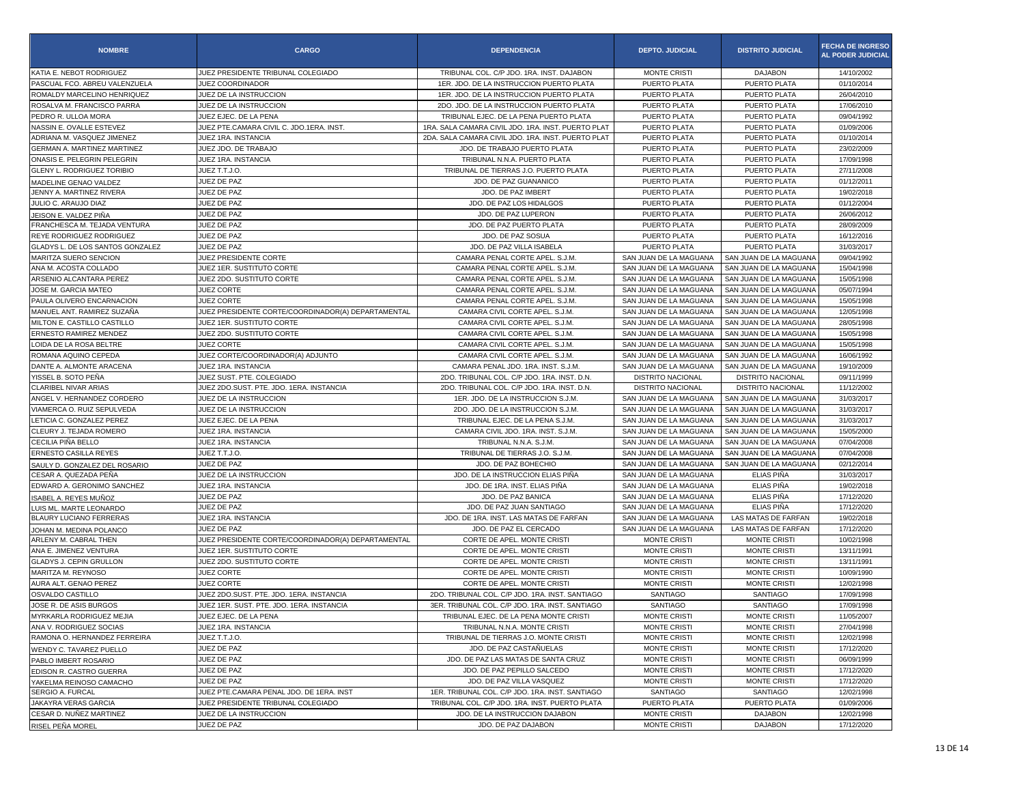| <b>NOMBRE</b>                    | <b>CARGO</b>                                       | <b>DEPENDENCIA</b>                                 | <b>DEPTO. JUDICIAL</b>   | <b>DISTRITO JUDICIAL</b> | <b>FECHA DE INGRESO</b><br>AL PODER JUDICIAL |
|----------------------------------|----------------------------------------------------|----------------------------------------------------|--------------------------|--------------------------|----------------------------------------------|
| KATIA E. NEBOT RODRIGUEZ         | JUEZ PRESIDENTE TRIBUNAL COLEGIADO                 | TRIBUNAL COL. C/P JDO. 1RA. INST. DAJABON          | <b>MONTE CRISTI</b>      | <b>DAJABON</b>           | 14/10/2002                                   |
| PASCUAL FCO. ABREU VALENZUELA    | JUEZ COORDINADOR                                   | 1ER. JDO. DE LA INSTRUCCION PUERTO PLATA           | PUERTO PLATA             | PUERTO PLATA             | 01/10/2014                                   |
| ROMALDY MARCELINO HENRIQUEZ      | JUEZ DE LA INSTRUCCION                             | 1ER. JDO. DE LA INSTRUCCION PUERTO PLATA           | PUERTO PLATA             | PUERTO PLATA             | 26/04/2010                                   |
| ROSALVA M. FRANCISCO PARRA       | JUEZ DE LA INSTRUCCION                             | 2DO. JDO. DE LA INSTRUCCION PUERTO PLATA           | PUERTO PLATA             | PUERTO PLATA             | 17/06/2010                                   |
| PEDRO R. ULLOA MORA              | JUEZ EJEC. DE LA PENA                              | TRIBUNAL EJEC, DE LA PENA PUERTO PLATA             | PUERTO PLATA             | PUERTO PLATA             | 09/04/1992                                   |
| NASSIN E. OVALLE ESTEVEZ         | JUEZ PTE.CAMARA CIVIL C. JDO.1ERA. INST.           | 1RA, SALA CAMARA CIVIL JDO, 1RA, INST, PUERTO PLAT | PUERTO PLATA             | PUERTO PLATA             | 01/09/2006                                   |
| ADRIANA M. VASQUEZ JIMENEZ       | JUEZ 1RA. INSTANCIA                                | 2DA. SALA CAMARA CIVIL JDO. 1RA. INST. PUERTO PLAT | PUERTO PLATA             | PUERTO PLATA             | 01/10/2014                                   |
| GERMAN A. MARTINEZ MARTINEZ      | JUEZ JDO. DE TRABAJO                               | JDO. DE TRABAJO PUERTO PLATA                       | PUERTO PLATA             | PUERTO PLATA             | 23/02/2009                                   |
| ONASIS E. PELEGRIN PELEGRIN      | JUEZ 1RA. INSTANCIA                                | TRIBUNAL N.N.A. PUERTO PLATA                       | PUERTO PLATA             | PUERTO PLATA             | 17/09/1998                                   |
| GLENY L. RODRIGUEZ TORIBIO       | JUEZ T.T.J.O.                                      | TRIBUNAL DE TIERRAS J.O. PUERTO PLATA              | PUERTO PLATA             | PUERTO PLATA             | 27/11/2008                                   |
| MADELINE GENAO VALDEZ            | JUEZ DE PAZ                                        | JDO. DE PAZ GUANANICO                              | PUERTO PLATA             | PUERTO PLATA             | 01/12/2011                                   |
| JENNY A. MARTINEZ RIVERA         | JUEZ DE PAZ                                        | JDO. DE PAZ IMBERT                                 | PUERTO PLATA             | PUERTO PLATA             | 19/02/2018                                   |
| JULIO C. ARAUJO DIAZ             | JUEZ DE PAZ                                        | JDO. DE PAZ LOS HIDALGOS                           | PUERTO PLATA             | PUERTO PLATA             | 01/12/2004                                   |
| JEISON E. VALDEZ PIÑA            | JUEZ DE PAZ                                        | JDO. DE PAZ LUPERON                                | PUERTO PLATA             | PUERTO PLATA             | 26/06/2012                                   |
| FRANCHESCA M. TEJADA VENTURA     | JUEZ DE PAZ                                        | JDO. DE PAZ PUERTO PLATA                           | PUERTO PLATA             | PUERTO PLATA             | 28/09/2009                                   |
| REYE RODRIGUEZ RODRIGUEZ         | JUEZ DE PAZ                                        | JDO. DE PAZ SOSUA                                  | PUERTO PLATA             | PUERTO PLATA             | 16/12/2016                                   |
| GLADYS L. DE LOS SANTOS GONZALEZ | JUEZ DE PAZ                                        | JDO. DE PAZ VILLA ISABELA                          | PUERTO PLATA             | PUERTO PLATA             | 31/03/2017                                   |
| MARITZA SUERO SENCION            | JUEZ PRESIDENTE CORTE                              | CAMARA PENAL CORTE APEL. S.J.M.                    | SAN JUAN DE LA MAGUANA   | SAN JUAN DE LA MAGUANA   | 09/04/1992                                   |
| ANA M. ACOSTA COLLADO            | JUEZ 1ER. SUSTITUTO CORTE                          | CAMARA PENAL CORTE APEL. S.J.M.                    | SAN JUAN DE LA MAGUANA   | SAN JUAN DE LA MAGUANA   | 15/04/1998                                   |
| ARSENIO ALCANTARA PEREZ          | JUEZ 2DO. SUSTITUTO CORTE                          | CAMARA PENAL CORTE APEL. S.J.M.                    | SAN JUAN DE LA MAGUANA   | SAN JUAN DE LA MAGUANA   | 15/05/1998                                   |
| JOSE M. GARCIA MATEO             | <b>JUEZ CORTE</b>                                  | CAMARA PENAL CORTE APEL. S.J.M.                    | SAN JUAN DE LA MAGUANA   | SAN JUAN DE LA MAGUANA   | 05/07/1994                                   |
| PAULA OLIVERO ENCARNACION        | JUEZ CORTE                                         | CAMARA PENAL CORTE APEL, S.J.M.                    | SAN JUAN DE LA MAGUANA   | SAN JUAN DE LA MAGUANA   | 15/05/1998                                   |
| MANUEL ANT. RAMIREZ SUZAÑA       | JUEZ PRESIDENTE CORTE/COORDINADOR(A) DEPARTAMENTAL | CAMARA CIVIL CORTE APEL. S.J.M.                    | SAN JUAN DE LA MAGUANA   | SAN JUAN DE LA MAGUANA   | 12/05/1998                                   |
| MILTON E. CASTILLO CASTILLO      | JUEZ 1ER. SUSTITUTO CORTE                          | CAMARA CIVIL CORTE APEL. S.J.M.                    | SAN JUAN DE LA MAGUANA   | SAN JUAN DE LA MAGUANA   | 28/05/1998                                   |
| <b>ERNESTO RAMIREZ MENDEZ</b>    | JUEZ 2DO. SUSTITUTO CORTE                          | CAMARA CIVIL CORTE APEL. S.J.M.                    | SAN JUAN DE LA MAGUANA   | SAN JUAN DE LA MAGUANA   | 15/05/1998                                   |
| LOIDA DE LA ROSA BELTRE          | JUEZ CORTE                                         | CAMARA CIVIL CORTE APEL. S.J.M.                    | SAN JUAN DE LA MAGUANA   | SAN JUAN DE LA MAGUANA   | 15/05/1998                                   |
| ROMANA AQUINO CEPEDA             | JUEZ CORTE/COORDINADOR(A) ADJUNTO                  | CAMARA CIVIL CORTE APEL. S.J.M.                    | SAN JUAN DE LA MAGUANA   | SAN JUAN DE LA MAGUANA   | 16/06/1992                                   |
| DANTE A. ALMONTE ARACENA         | JUEZ 1RA. INSTANCIA                                | CAMARA PENAL JDO. 1RA. INST. S.J.M                 | SAN JUAN DE LA MAGUANA   | SAN JUAN DE LA MAGUANA   | 19/10/2009                                   |
| YISSEL B. SOTO PEÑA              | JUEZ SUST. PTE. COLEGIADO                          | 2DO. TRIBUNAL COL. C/P JDO. 1RA. INST. D.N         | DISTRITO NACIONAL        | <b>DISTRITO NACIONAL</b> | 09/11/1999                                   |
| <b>CLARIBEL NIVAR ARIAS</b>      | JUEZ 2DO.SUST, PTE, JDO. 1ERA, INSTANCIA           | 2DO. TRIBUNAL COL. C/P JDO. 1RA. INST. D.N.        | <b>DISTRITO NACIONAL</b> | <b>DISTRITO NACIONAL</b> | 11/12/2002                                   |
| ANGEL V. HERNANDEZ CORDERO       | JUEZ DE LA INSTRUCCION                             | 1ER. JDO. DE LA INSTRUCCION S.J.M                  | SAN JUAN DE LA MAGUANA   | SAN JUAN DE LA MAGUANA   | 31/03/2017                                   |
| VIAMERCA O. RUIZ SEPULVEDA       | JUEZ DE LA INSTRUCCION                             | 2DO. JDO. DE LA INSTRUCCION S.J.M.                 | SAN JUAN DE LA MAGUANA   | SAN JUAN DE LA MAGUANA   | 31/03/2017                                   |
| LETICIA C. GONZALEZ PEREZ        | JUEZ EJEC. DE LA PENA                              | TRIBUNAL EJEC. DE LA PENA S.J.M.                   | SAN JUAN DE LA MAGUANA   | SAN JUAN DE LA MAGUANA   | 31/03/2017                                   |
| CLEURY J. TEJADA ROMERO          | JUEZ 1RA. INSTANCIA                                | CAMARA CIVIL JDO. 1RA. INST. S.J.M.                | SAN JUAN DE LA MAGUANA   | SAN JUAN DE LA MAGUANA   | 15/05/2000                                   |
| CECILIA PIÑA BELLO               | JUEZ 1RA. INSTANCIA                                | TRIBUNAL N.N.A. S.J.M.                             | SAN JUAN DE LA MAGUANA   | SAN JUAN DE LA MAGUANA   | 07/04/2008                                   |
| <b>ERNESTO CASILLA REYES</b>     | JUEZ T.T.J.O.                                      | TRIBUNAL DE TIERRAS J.O. S.J.M.                    | SAN JUAN DE LA MAGUANA   | SAN JUAN DE LA MAGUANA   | 07/04/2008                                   |
| SAULY D. GONZALEZ DEL ROSARIO    | JUEZ DE PAZ                                        | JDO. DE PAZ BOHECHIO                               | SAN JUAN DE LA MAGUANA   | SAN JUAN DE LA MAGUANA   | 02/12/2014                                   |
| CESAR A. QUEZADA PEÑA            | JUEZ DE LA INSTRUCCION                             | JDO. DE LA INSTRUCCION ELIAS PIÑA                  | SAN JUAN DE LA MAGUANA   | ELIAS PIÑA               | 31/03/2017                                   |
| EDWARD A. GERONIMO SANCHEZ       | JUEZ 1RA. INSTANCIA                                | JDO. DE 1RA. INST. ELIAS PIÑA                      | SAN JUAN DE LA MAGUANA   | ELIAS PIÑA               | 19/02/2018                                   |
| ISABEL A. REYES MUÑOZ            | JUEZ DE PAZ                                        | JDO. DE PAZ BANICA                                 | SAN JUAN DE LA MAGUANA   | ELIAS PIÑA               | 17/12/2020                                   |
| LUIS ML. MARTE LEONARDO          | JUEZ DE PAZ                                        | JDO. DE PAZ JUAN SANTIAGO                          | SAN JUAN DE LA MAGUANA   | <b>ELIAS PIÑA</b>        | 17/12/2020                                   |
| BLAURY LUCIANO FERRERAS          | JUEZ 1RA. INSTANCIA                                | JDO. DE 1RA. INST. LAS MATAS DE FARFAN             | SAN JUAN DE LA MAGUANA   | LAS MATAS DE FARFAN      | 19/02/2018                                   |
| JOHAN M. MEDINA POLANCO          | JUEZ DE PAZ                                        | JDO. DE PAZ EL CERCADO                             | SAN JUAN DE LA MAGUANA   | LAS MATAS DE FARFAN      | 17/12/2020                                   |
| ARLENY M. CABRAL THEN            | JUEZ PRESIDENTE CORTE/COORDINADOR(A) DEPARTAMENTAL | CORTE DE APEL. MONTE CRISTI                        | <b>MONTE CRIST</b>       | <b>MONTE CRIST</b>       | 10/02/1998                                   |
| ANA E. JIMENEZ VENTURA           | JUEZ 1ER. SUSTITUTO CORTE                          | CORTE DE APEL. MONTE CRISTI                        | <b>MONTE CRISTI</b>      | <b>MONTE CRISTI</b>      | 13/11/1991                                   |
| GLADYS J. CEPIN GRULLON          | JUEZ 2DO, SUSTITUTO CORTE                          | CORTE DE APEL, MONTE CRISTI                        | <b>MONTE CRISTI</b>      | <b>MONTE CRISTI</b>      | 13/11/1991                                   |
| MARITZA M. REYNOSO               | JUEZ CORTE                                         | CORTE DE APEL. MONTE CRISTI                        | MONTE CRISTI             | MONTE CRISTI             | 10/09/1990                                   |
| AURA ALT. GENAO PEREZ            | <b>JUEZ CORTE</b>                                  | CORTE DE APEL. MONTE CRISTI                        | <b>MONTE CRISTI</b>      | <b>MONTE CRISTI</b>      | 12/02/1998                                   |
| OSVALDO CASTILLO                 | JUEZ 2DO.SUST. PTE. JDO. 1ERA. INSTANCIA           | 2DO. TRIBUNAL COL. C/P JDO. 1RA. INST. SANTIAGO    | <b>SANTIAGO</b>          | <b>SANTIAGO</b>          | 17/09/1998                                   |
| JOSE R. DE ASIS BURGOS           | JUEZ 1ER. SUST. PTE. JDO. 1ERA. INSTANCIA          | 3ER. TRIBUNAL COL. C/P JDO. 1RA. INST. SANTIAGO    | SANTIAGO                 | <b>SANTIAGO</b>          | 17/09/1998                                   |
| MYRKARLA RODRIGUEZ MEJIA         | JUEZ EJEC. DE LA PENA                              | TRIBUNAL EJEC. DE LA PENA MONTE CRISTI             | MONTE CRISTI             | MONTE CRISTI             | 11/05/2007                                   |
| ANA V. RODRIGUEZ SOCIAS          | JUEZ 1RA. INSTANCIA                                | TRIBUNAL N.N.A. MONTE CRISTI                       | MONTE CRISTI             | MONTE CRISTI             | 27/04/1998                                   |
| RAMONA O. HERNANDEZ FERREIRA     | JUEZ T.T.J.O.                                      | TRIBUNAL DE TIERRAS J.O. MONTE CRISTI              | <b>MONTE CRISTI</b>      | <b>MONTE CRISTI</b>      | 12/02/1998                                   |
| WENDY C. TAVAREZ PUELLO          | JUEZ DE PAZ                                        | JDO. DE PAZ CASTAÑUELAS                            | <b>MONTE CRISTI</b>      | <b>MONTE CRISTI</b>      | 17/12/2020                                   |
| PABLO IMBERT ROSARIO             | JUEZ DE PAZ                                        | JDO. DE PAZ LAS MATAS DE SANTA CRUZ                | MONTE CRISTI             | MONTE CRISTI             | 06/09/1999                                   |
| EDISON R. CASTRO GUERRA          | JUEZ DE PAZ                                        | JDO. DE PAZ PEPILLO SALCEDO                        | <b>MONTE CRISTI</b>      | MONTE CRISTI             | 17/12/2020                                   |
| YAKELMA REINOSO CAMACHO          | JUEZ DE PAZ                                        | JDO. DE PAZ VILLA VASQUEZ                          | MONTE CRISTI             | MONTE CRISTI             | 17/12/2020                                   |
| SERGIO A. FURCAL                 | JUEZ PTE.CAMARA PENAL JDO. DE 1ERA. INST           | 1ER. TRIBUNAL COL. C/P JDO. 1RA. INST. SANTIAGO    | SANTIAGO                 | SANTIAGO                 | 12/02/1998                                   |
| JAKAYRA VERAS GARCIA             | JUEZ PRESIDENTE TRIBUNAL COLEGIADO                 | TRIBUNAL COL. C/P JDO. 1RA. INST. PUERTO PLATA     | PUERTO PLATA             | PUERTO PLATA             | 01/09/2006                                   |
| CESAR D. NUÑEZ MARTINEZ          | JUEZ DE LA INSTRUCCION                             | JDO. DE LA INSTRUCCION DAJABON                     | MONTE CRISTI             | <b>DAJABON</b>           | 12/02/1998                                   |
| RISEL PEÑA MOREL                 | JUEZ DE PAZ                                        | JDO. DE PAZ DAJABON                                | MONTE CRISTI             | <b>DAJABON</b>           | 17/12/2020                                   |